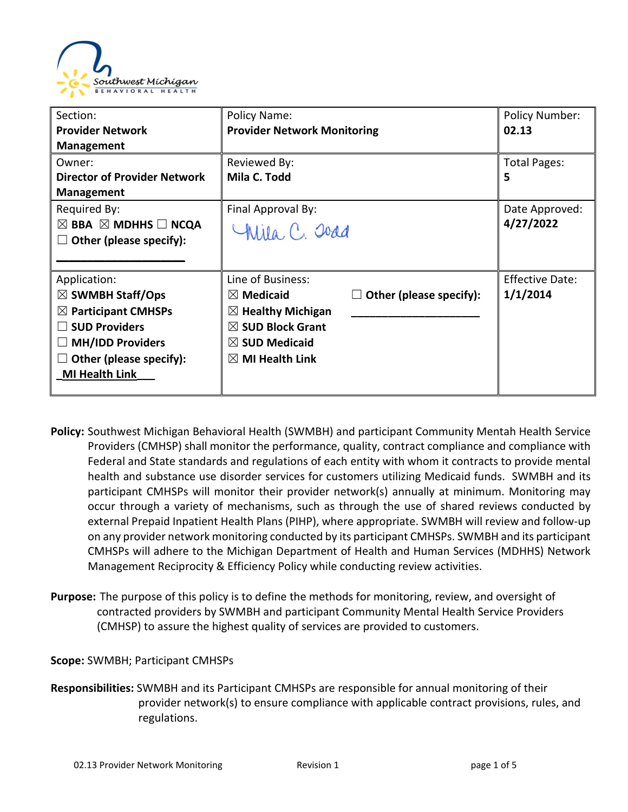

| Section:                                      | Policy Name:                       |                                   | <b>Policy Number:</b>  |
|-----------------------------------------------|------------------------------------|-----------------------------------|------------------------|
| <b>Provider Network</b>                       | <b>Provider Network Monitoring</b> |                                   | 02.13                  |
| <b>Management</b>                             |                                    |                                   |                        |
| Owner:                                        | Reviewed By:                       |                                   | Total Pages:           |
| <b>Director of Provider Network</b>           | Mila C. Todd                       |                                   | 5                      |
| <b>Management</b>                             |                                    |                                   |                        |
| Required By:                                  | Final Approval By:                 |                                   | Date Approved:         |
| $\boxtimes$ BBA $\boxtimes$ MDHHS $\Box$ NCQA | Chila, C. Joad                     |                                   | 4/27/2022              |
| Other (please specify):                       |                                    |                                   |                        |
|                                               |                                    |                                   |                        |
| Application:                                  | Line of Business:                  |                                   | <b>Effective Date:</b> |
| $\boxtimes$ SWMBH Staff/Ops                   | $\boxtimes$ Medicaid               | Other (please specify):<br>$\Box$ | 1/1/2014               |
| $\boxtimes$ Participant CMHSPs                | $\boxtimes$ Healthy Michigan       |                                   |                        |
| <b>SUD Providers</b>                          | $\boxtimes$ SUD Block Grant        |                                   |                        |
| <b>MH/IDD Providers</b>                       | $\boxtimes$ SUD Medicaid           |                                   |                        |
| Other (please specify):                       | $\boxtimes$ MI Health Link         |                                   |                        |
| <b>MI Health Link</b>                         |                                    |                                   |                        |
|                                               |                                    |                                   |                        |

- **Policy:** Southwest Michigan Behavioral Health (SWMBH) and participant Community Mentah Health Service Providers (CMHSP) shall monitor the performance, quality, contract compliance and compliance with Federal and State standards and regulations of each entity with whom it contracts to provide mental health and substance use disorder services for customers utilizing Medicaid funds. SWMBH and its participant CMHSPs will monitor their provider network(s) annually at minimum. Monitoring may occur through a variety of mechanisms, such as through the use of shared reviews conducted by external Prepaid Inpatient Health Plans (PIHP), where appropriate. SWMBH will review and follow-up on any provider network monitoring conducted by its participant CMHSPs. SWMBH and its participant CMHSPs will adhere to the Michigan Department of Health and Human Services (MDHHS) Network Management Reciprocity & Efficiency Policy while conducting review activities.
- **Purpose:** The purpose of this policy is to define the methods for monitoring, review, and oversight of contracted providers by SWMBH and participant Community Mental Health Service Providers (CMHSP) to assure the highest quality of services are provided to customers.

## **Scope:** SWMBH; Participant CMHSPs

**Responsibilities:** SWMBH and its Participant CMHSPs are responsible for annual monitoring of their provider network(s) to ensure compliance with applicable contract provisions, rules, and regulations.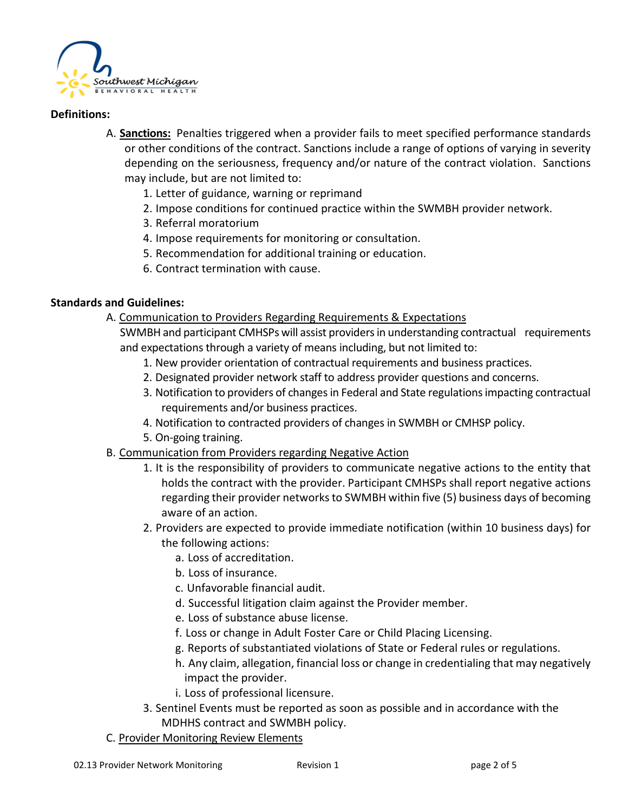

### **Definitions:**

- A. **Sanctions:** Penalties triggered when a provider fails to meet specified performance standards or other conditions of the contract. Sanctions include a range of options of varying in severity depending on the seriousness, frequency and/or nature of the contract violation. Sanctions may include, but are not limited to:
	- 1. Letter of guidance, warning or reprimand
	- 2. Impose conditions for continued practice within the SWMBH provider network.
	- 3. Referral moratorium
	- 4. Impose requirements for monitoring or consultation.
	- 5. Recommendation for additional training or education.
	- 6. Contract termination with cause.

## **Standards and Guidelines:**

- A. Communication to Providers Regarding Requirements & Expectations
	- SWMBH and participant CMHSPs will assist providers in understanding contractual requirements and expectations through a variety of means including, but not limited to:
		- 1. New provider orientation of contractual requirements and business practices.
		- 2. Designated provider network staff to address provider questions and concerns.
		- 3. Notification to providers of changes in Federal and State regulations impacting contractual requirements and/or business practices.
		- 4. Notification to contracted providers of changes in SWMBH or CMHSP policy.
		- 5. On-going training.
- B. Communication from Providers regarding Negative Action
	- 1. It is the responsibility of providers to communicate negative actions to the entity that holds the contract with the provider. Participant CMHSPs shall report negative actions regarding their provider networks to SWMBH within five (5) business days of becoming aware of an action.
	- 2. Providers are expected to provide immediate notification (within 10 business days) for the following actions:
		- a. Loss of accreditation.
		- b. Loss of insurance.
		- c. Unfavorable financial audit.
		- d. Successful litigation claim against the Provider member.
		- e. Loss of substance abuse license.
		- f. Loss or change in Adult Foster Care or Child Placing Licensing.
		- g. Reports of substantiated violations of State or Federal rules or regulations.
		- h. Any claim, allegation, financial loss or change in credentialing that may negatively impact the provider.
		- i. Loss of professional licensure.
	- 3. Sentinel Events must be reported as soon as possible and in accordance with the MDHHS contract and SWMBH policy.
- C. Provider Monitoring Review Elements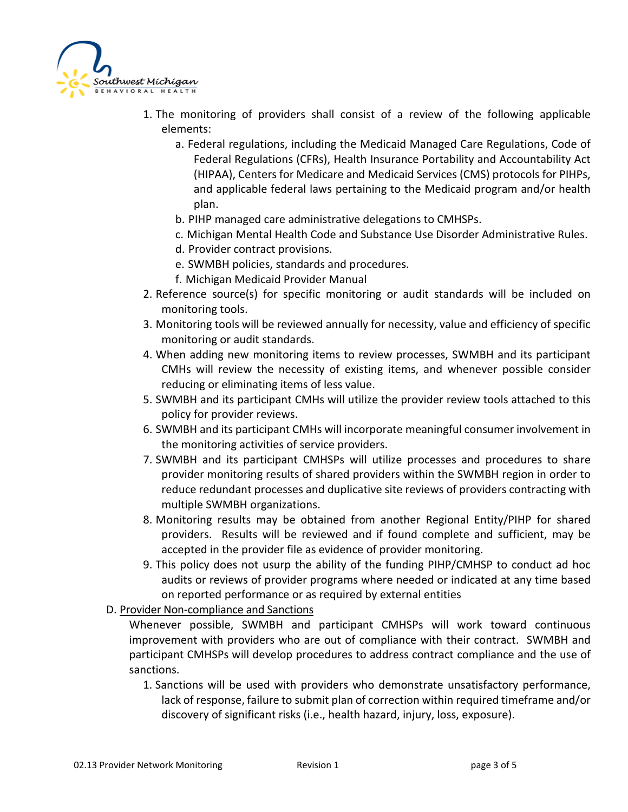

- 1. The monitoring of providers shall consist of a review of the following applicable elements:
	- a. Federal regulations, including the Medicaid Managed Care Regulations, Code of Federal Regulations (CFRs), Health Insurance Portability and Accountability Act (HIPAA), Centers for Medicare and Medicaid Services (CMS) protocols for PIHPs, and applicable federal laws pertaining to the Medicaid program and/or health plan.
	- b. PIHP managed care administrative delegations to CMHSPs.
	- c. Michigan Mental Health Code and Substance Use Disorder Administrative Rules.
	- d. Provider contract provisions.
	- e. SWMBH policies, standards and procedures.
	- f. Michigan Medicaid Provider Manual
- 2. Reference source(s) for specific monitoring or audit standards will be included on monitoring tools.
- 3. Monitoring tools will be reviewed annually for necessity, value and efficiency of specific monitoring or audit standards.
- 4. When adding new monitoring items to review processes, SWMBH and its participant CMHs will review the necessity of existing items, and whenever possible consider reducing or eliminating items of less value.
- 5. SWMBH and its participant CMHs will utilize the provider review tools attached to this policy for provider reviews.
- 6. SWMBH and its participant CMHs will incorporate meaningful consumer involvement in the monitoring activities of service providers.
- 7. SWMBH and its participant CMHSPs will utilize processes and procedures to share provider monitoring results of shared providers within the SWMBH region in order to reduce redundant processes and duplicative site reviews of providers contracting with multiple SWMBH organizations.
- 8. Monitoring results may be obtained from another Regional Entity/PIHP for shared providers. Results will be reviewed and if found complete and sufficient, may be accepted in the provider file as evidence of provider monitoring.
- 9. This policy does not usurp the ability of the funding PIHP/CMHSP to conduct ad hoc audits or reviews of provider programs where needed or indicated at any time based on reported performance or as required by external entities
- D. Provider Non-compliance and Sanctions

Whenever possible, SWMBH and participant CMHSPs will work toward continuous improvement with providers who are out of compliance with their contract. SWMBH and participant CMHSPs will develop procedures to address contract compliance and the use of sanctions.

1. Sanctions will be used with providers who demonstrate unsatisfactory performance, lack of response, failure to submit plan of correction within required timeframe and/or discovery of significant risks (i.e., health hazard, injury, loss, exposure).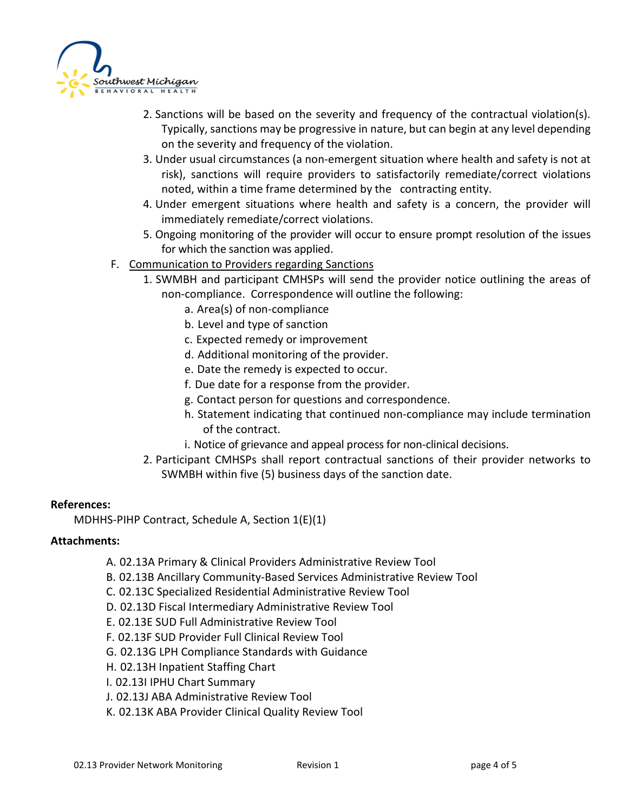

- 2. Sanctions will be based on the severity and frequency of the contractual violation(s). Typically, sanctions may be progressive in nature, but can begin at any level depending on the severity and frequency of the violation.
- 3. Under usual circumstances (a non-emergent situation where health and safety is not at risk), sanctions will require providers to satisfactorily remediate/correct violations noted, within a time frame determined by the contracting entity.
- 4. Under emergent situations where health and safety is a concern, the provider will immediately remediate/correct violations.
- 5. Ongoing monitoring of the provider will occur to ensure prompt resolution of the issues for which the sanction was applied.
- F. Communication to Providers regarding Sanctions
	- 1. SWMBH and participant CMHSPs will send the provider notice outlining the areas of non-compliance. Correspondence will outline the following:
		- a. Area(s) of non-compliance
		- b. Level and type of sanction
		- c. Expected remedy or improvement
		- d. Additional monitoring of the provider.
		- e. Date the remedy is expected to occur.
		- f. Due date for a response from the provider.
		- g. Contact person for questions and correspondence.
		- h. Statement indicating that continued non-compliance may include termination of the contract.
		- i. Notice of grievance and appeal process for non-clinical decisions.
	- 2. Participant CMHSPs shall report contractual sanctions of their provider networks to SWMBH within five (5) business days of the sanction date.

## **References:**

MDHHS-PIHP Contract, Schedule A, Section 1(E)(1)

## **Attachments:**

- A. 02.13A Primary & Clinical Providers Administrative Review Tool
- B. 02.13B Ancillary Community-Based Services Administrative Review Tool
- C. 02.13C Specialized Residential Administrative Review Tool
- D. 02.13D Fiscal Intermediary Administrative Review Tool
- E. 02.13E SUD Full Administrative Review Tool
- F. 02.13F SUD Provider Full Clinical Review Tool
- G. 02.13G LPH Compliance Standards with Guidance
- H. 02.13H Inpatient Staffing Chart
- I. 02.13I IPHU Chart Summary
- J. 02.13J ABA Administrative Review Tool
- K. 02.13K ABA Provider Clinical Quality Review Tool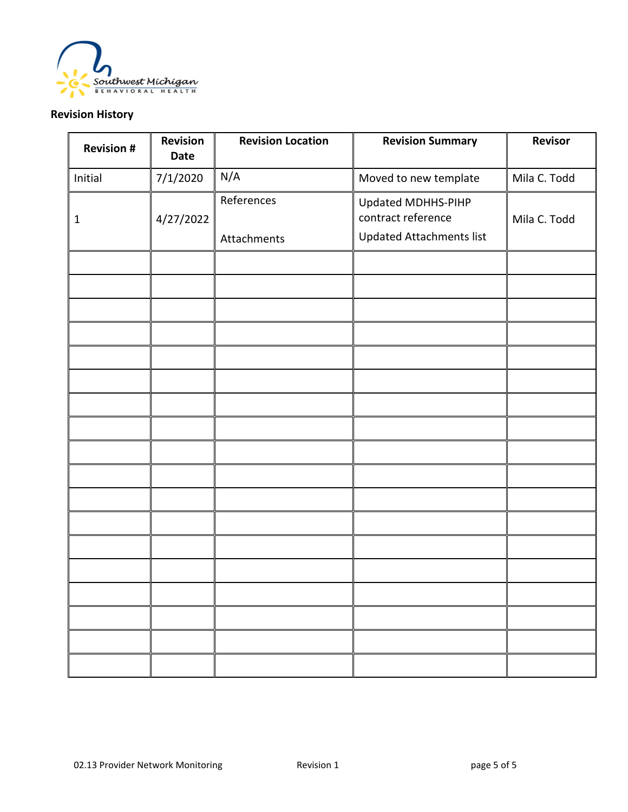

# **Revision History**

| <b>Revision #</b> | Revision<br>Date | <b>Revision Location</b>  | <b>Revision Summary</b>                                              | Revisor      |
|-------------------|------------------|---------------------------|----------------------------------------------------------------------|--------------|
| Initial           | 7/1/2020         | N/A                       | Moved to new template                                                | Mila C. Todd |
| 1                 | 4/27/2022        | References<br>Attachments | Updated MDHHS-PIHP<br>contract reference<br>Updated Attachments list | Mila C. Todd |
|                   |                  |                           |                                                                      |              |
|                   |                  |                           |                                                                      |              |
|                   |                  |                           |                                                                      |              |
|                   |                  |                           |                                                                      |              |
|                   |                  |                           |                                                                      |              |
|                   |                  |                           |                                                                      |              |
|                   |                  |                           |                                                                      |              |
|                   |                  |                           |                                                                      |              |
|                   |                  |                           |                                                                      |              |
|                   |                  |                           |                                                                      |              |
|                   |                  |                           |                                                                      |              |
|                   |                  |                           |                                                                      |              |
|                   |                  |                           |                                                                      |              |
|                   |                  |                           |                                                                      |              |
|                   |                  |                           |                                                                      |              |
|                   |                  |                           |                                                                      |              |
|                   |                  |                           |                                                                      |              |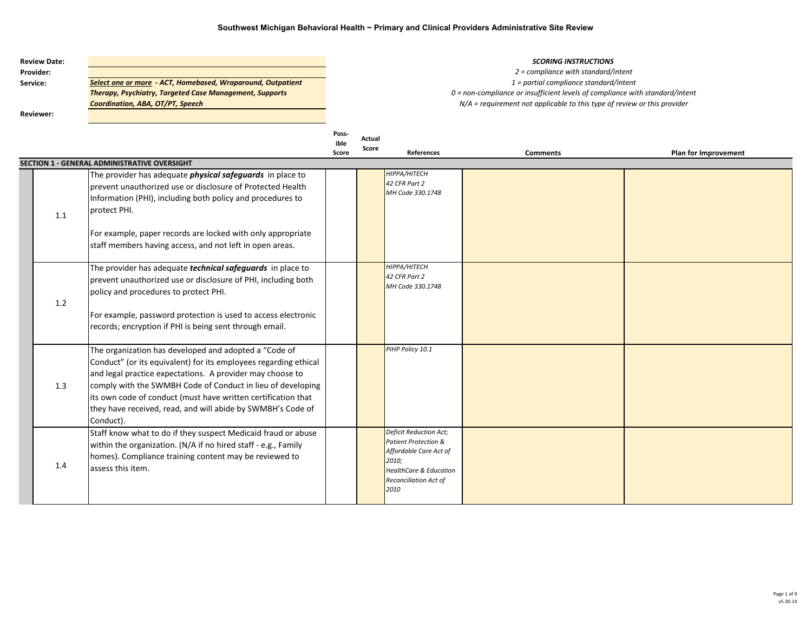| <b>Review Date:</b> |                                                                |
|---------------------|----------------------------------------------------------------|
| <b>Provider:</b>    |                                                                |
| Service:            | Select one or more - ACT, Homebased, Wraparound, Outpatient    |
|                     | <b>Therapy, Psychiatry, Targeted Case Management, Supports</b> |
|                     | Coordination, ABA, OT/PT, Speech                               |
| <b>Reviewer:</b>    |                                                                |

#### **SCORING INSTRUCTIONS**

*2 = compliance with standard/intent 1 = partial compliance standard/intent 0 = non-compliance or insufficient levels of compliance with standard/intent N/A = requirement not applicable to this type of review or this provider*

|     |                                                                                                                                                                                                                                                                                                                                                                                                    | Poss-<br>ible<br>Score | Actual<br>Score | References                                                                                                                                                     | <b>Comments</b> | Plan for Improvement |
|-----|----------------------------------------------------------------------------------------------------------------------------------------------------------------------------------------------------------------------------------------------------------------------------------------------------------------------------------------------------------------------------------------------------|------------------------|-----------------|----------------------------------------------------------------------------------------------------------------------------------------------------------------|-----------------|----------------------|
|     | <b>SECTION 1 - GENERAL ADMINISTRATIVE OVERSIGHT</b>                                                                                                                                                                                                                                                                                                                                                |                        |                 |                                                                                                                                                                |                 |                      |
| 1.1 | The provider has adequate <i>physical safeguards</i> in place to<br>prevent unauthorized use or disclosure of Protected Health<br>Information (PHI), including both policy and procedures to<br>protect PHI.                                                                                                                                                                                       |                        |                 | HIPPA/HITECH<br>42 CFR Part 2<br>MH Code 330.1748                                                                                                              |                 |                      |
|     | For example, paper records are locked with only appropriate<br>staff members having access, and not left in open areas.                                                                                                                                                                                                                                                                            |                        |                 |                                                                                                                                                                |                 |                      |
| 1.2 | The provider has adequate <i>technical safeguards</i> in place to<br>prevent unauthorized use or disclosure of PHI, including both<br>policy and procedures to protect PHI.<br>For example, password protection is used to access electronic<br>records; encryption if PHI is being sent through email.                                                                                            |                        |                 | HIPPA/HITECH<br>42 CFR Part 2<br>MH Code 330.1748                                                                                                              |                 |                      |
| 1.3 | The organization has developed and adopted a "Code of<br>Conduct" (or its equivalent) for its employees regarding ethical<br>and legal practice expectations. A provider may choose to<br>comply with the SWMBH Code of Conduct in lieu of developing<br>its own code of conduct (must have written certification that<br>they have received, read, and will abide by SWMBH's Code of<br>Conduct). |                        |                 | PIHP Policy 10.1                                                                                                                                               |                 |                      |
| 1.4 | Staff know what to do if they suspect Medicaid fraud or abuse<br>within the organization. (N/A if no hired staff - e.g., Family<br>homes). Compliance training content may be reviewed to<br>assess this item.                                                                                                                                                                                     |                        |                 | Deficit Reduction Act;<br>Patient Protection &<br>Affordable Care Act of<br>2010;<br><b>HealthCare &amp; Education</b><br><b>Reconciliation Act of</b><br>2010 |                 |                      |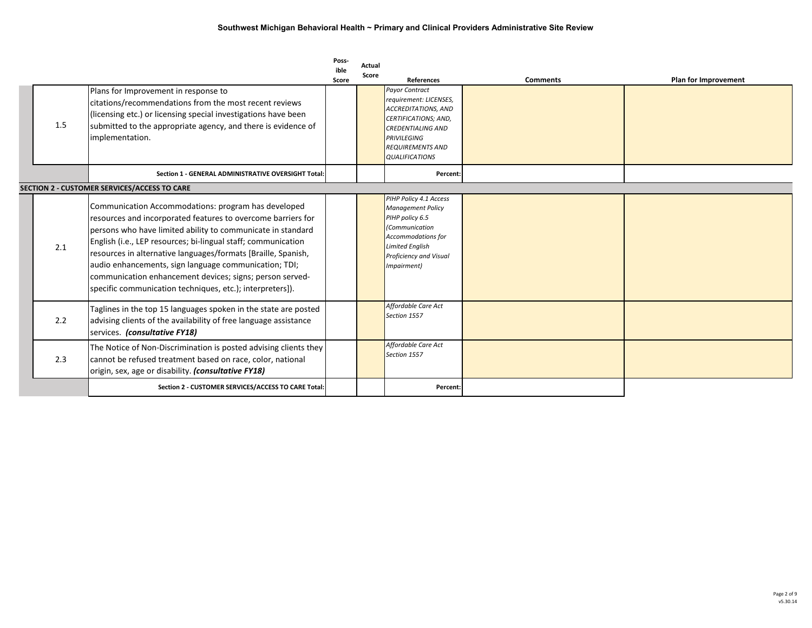| 1.5 | Plans for Improvement in response to<br>citations/recommendations from the most recent reviews<br>(licensing etc.) or licensing special investigations have been<br>submitted to the appropriate agency, and there is evidence of<br>implementation.                                                                                                                                                                                                                                                   | Poss-<br>ible<br>Score | Actual<br>Score | <b>References</b><br><b>Payor Contract</b><br>requirement: LICENSES,<br><b>ACCREDITATIONS, AND</b><br>CERTIFICATIONS; AND,<br><b>CREDENTIALING AND</b><br><b>PRIVILEGING</b><br><b>REQUIREMENTS AND</b><br><b>QUALIFICATIONS</b> | <b>Comments</b> | Plan for Improvement |
|-----|--------------------------------------------------------------------------------------------------------------------------------------------------------------------------------------------------------------------------------------------------------------------------------------------------------------------------------------------------------------------------------------------------------------------------------------------------------------------------------------------------------|------------------------|-----------------|----------------------------------------------------------------------------------------------------------------------------------------------------------------------------------------------------------------------------------|-----------------|----------------------|
|     | Section 1 - GENERAL ADMINISTRATIVE OVERSIGHT Total:                                                                                                                                                                                                                                                                                                                                                                                                                                                    |                        |                 | Percent:                                                                                                                                                                                                                         |                 |                      |
|     | SECTION 2 - CUSTOMER SERVICES/ACCESS TO CARE                                                                                                                                                                                                                                                                                                                                                                                                                                                           |                        |                 |                                                                                                                                                                                                                                  |                 |                      |
| 2.1 | Communication Accommodations: program has developed<br>resources and incorporated features to overcome barriers for<br>persons who have limited ability to communicate in standard<br>English (i.e., LEP resources; bi-lingual staff; communication<br>resources in alternative languages/formats [Braille, Spanish,<br>audio enhancements, sign language communication; TDI;<br>communication enhancement devices; signs; person served-<br>specific communication techniques, etc.); interpreters]). |                        |                 | PIHP Policy 4.1 Access<br><b>Management Policy</b><br>PIHP policy 6.5<br>(Communication<br>Accommodations for<br><b>Limited English</b><br>Proficiency and Visual<br>(Impairment                                                 |                 |                      |
| 2.2 | Taglines in the top 15 languages spoken in the state are posted<br>advising clients of the availability of free language assistance<br>services. (consultative FY18)                                                                                                                                                                                                                                                                                                                                   |                        |                 | Affordable Care Act<br>Section 1557                                                                                                                                                                                              |                 |                      |
| 2.3 | The Notice of Non-Discrimination is posted advising clients they<br>cannot be refused treatment based on race, color, national<br>origin, sex, age or disability. (consultative FY18)                                                                                                                                                                                                                                                                                                                  |                        |                 | Affordable Care Act<br>Section 1557                                                                                                                                                                                              |                 |                      |
|     | Section 2 - CUSTOMER SERVICES/ACCESS TO CARE Total:                                                                                                                                                                                                                                                                                                                                                                                                                                                    |                        |                 | Percent:                                                                                                                                                                                                                         |                 |                      |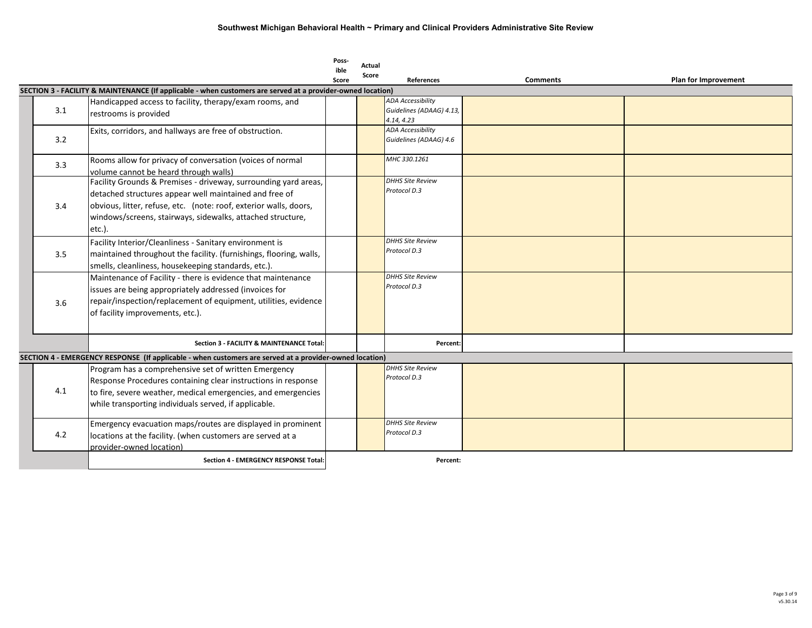|     |                                                                                                                                                                                                                                                                        | Poss-<br>ible | Actual |                                                                    |                 |                      |
|-----|------------------------------------------------------------------------------------------------------------------------------------------------------------------------------------------------------------------------------------------------------------------------|---------------|--------|--------------------------------------------------------------------|-----------------|----------------------|
|     |                                                                                                                                                                                                                                                                        | Score         | Score  | <b>References</b>                                                  | <b>Comments</b> | Plan for Improvement |
|     | SECTION 3 - FACILITY & MAINTENANCE (If applicable - when customers are served at a provider-owned location)                                                                                                                                                            |               |        |                                                                    |                 |                      |
| 3.1 | Handicapped access to facility, therapy/exam rooms, and<br>restrooms is provided                                                                                                                                                                                       |               |        | <b>ADA Accessibility</b><br>Guidelines (ADAAG) 4.13,<br>4.14, 4.23 |                 |                      |
| 3.2 | Exits, corridors, and hallways are free of obstruction.                                                                                                                                                                                                                |               |        | <b>ADA Accessibility</b><br>Guidelines (ADAAG) 4.6                 |                 |                      |
| 3.3 | Rooms allow for privacy of conversation (voices of normal<br>volume cannot be heard through walls)                                                                                                                                                                     |               |        | MHC 330.1261                                                       |                 |                      |
| 3.4 | Facility Grounds & Premises - driveway, surrounding yard areas,<br>detached structures appear well maintained and free of<br>obvious, litter, refuse, etc. (note: roof, exterior walls, doors,<br>windows/screens, stairways, sidewalks, attached structure,<br>etc.). |               |        | <b>DHHS Site Review</b><br>Protocol D.3                            |                 |                      |
| 3.5 | Facility Interior/Cleanliness - Sanitary environment is<br>maintained throughout the facility. (furnishings, flooring, walls,<br>smells, cleanliness, housekeeping standards, etc.).                                                                                   |               |        | <b>DHHS Site Review</b><br>Protocol D.3                            |                 |                      |
| 3.6 | Maintenance of Facility - there is evidence that maintenance<br>issues are being appropriately addressed (invoices for<br>repair/inspection/replacement of equipment, utilities, evidence<br>of facility improvements, etc.).                                          |               |        | <b>DHHS Site Review</b><br>Protocol D.3                            |                 |                      |
|     | Section 3 - FACILITY & MAINTENANCE Total:                                                                                                                                                                                                                              |               |        | Percent:                                                           |                 |                      |
|     | SECTION 4 - EMERGENCY RESPONSE (If applicable - when customers are served at a provider-owned location)                                                                                                                                                                |               |        |                                                                    |                 |                      |
| 4.1 | Program has a comprehensive set of written Emergency<br>Response Procedures containing clear instructions in response<br>to fire, severe weather, medical emergencies, and emergencies<br>while transporting individuals served, if applicable.                        |               |        | <b>DHHS Site Review</b><br>Protocol D.3                            |                 |                      |
| 4.2 | Emergency evacuation maps/routes are displayed in prominent<br>locations at the facility. (when customers are served at a<br>provider-owned location)                                                                                                                  |               |        | <b>DHHS Site Review</b><br>Protocol D.3                            |                 |                      |
|     | <b>Section 4 - EMERGENCY RESPONSE Total:</b>                                                                                                                                                                                                                           |               |        | Percent:                                                           |                 |                      |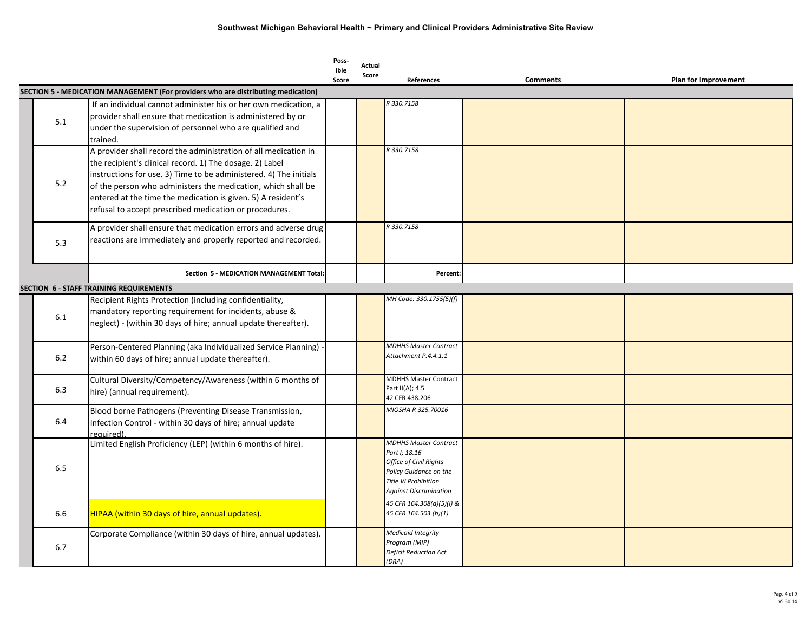|     |                                                                                                                                                                                                                                                                                                                                                                                            | Poss-<br>ible<br>Score | Actual<br>Score | References                                                                                                                                                        | <b>Comments</b> | Plan for Improvement |
|-----|--------------------------------------------------------------------------------------------------------------------------------------------------------------------------------------------------------------------------------------------------------------------------------------------------------------------------------------------------------------------------------------------|------------------------|-----------------|-------------------------------------------------------------------------------------------------------------------------------------------------------------------|-----------------|----------------------|
|     | SECTION 5 - MEDICATION MANAGEMENT (For providers who are distributing medication)                                                                                                                                                                                                                                                                                                          |                        |                 |                                                                                                                                                                   |                 |                      |
| 5.1 | If an individual cannot administer his or her own medication, a<br>provider shall ensure that medication is administered by or<br>under the supervision of personnel who are qualified and<br>trained.                                                                                                                                                                                     |                        |                 | R 330.7158                                                                                                                                                        |                 |                      |
| 5.2 | A provider shall record the administration of all medication in<br>the recipient's clinical record. 1) The dosage. 2) Label<br>instructions for use. 3) Time to be administered. 4) The initials<br>of the person who administers the medication, which shall be<br>entered at the time the medication is given. 5) A resident's<br>refusal to accept prescribed medication or procedures. |                        |                 | R 330.7158                                                                                                                                                        |                 |                      |
| 5.3 | A provider shall ensure that medication errors and adverse drug<br>reactions are immediately and properly reported and recorded.                                                                                                                                                                                                                                                           |                        |                 | R 330.7158                                                                                                                                                        |                 |                      |
|     | Section 5 - MEDICATION MANAGEMENT Total:                                                                                                                                                                                                                                                                                                                                                   |                        |                 | Percent:                                                                                                                                                          |                 |                      |
|     | <b>SECTION 6 - STAFF TRAINING REQUIREMENTS</b>                                                                                                                                                                                                                                                                                                                                             |                        |                 |                                                                                                                                                                   |                 |                      |
| 6.1 | Recipient Rights Protection (including confidentiality,<br>mandatory reporting requirement for incidents, abuse &<br>neglect) - (within 30 days of hire; annual update thereafter).                                                                                                                                                                                                        |                        |                 | MH Code: 330.1755(5)(f)                                                                                                                                           |                 |                      |
| 6.2 | Person-Centered Planning (aka Individualized Service Planning)<br>within 60 days of hire; annual update thereafter).                                                                                                                                                                                                                                                                       |                        |                 | <b>MDHHS Master Contract</b><br>Attachment P.4.4.1.1                                                                                                              |                 |                      |
| 6.3 | Cultural Diversity/Competency/Awareness (within 6 months of<br>hire) (annual requirement).                                                                                                                                                                                                                                                                                                 |                        |                 | <b>MDHHS Master Contract</b><br>Part II(A); 4.5<br>42 CFR 438.206                                                                                                 |                 |                      |
| 6.4 | Blood borne Pathogens (Preventing Disease Transmission,<br>Infection Control - within 30 days of hire; annual update<br>reauired).                                                                                                                                                                                                                                                         |                        |                 | MIOSHA R 325,70016                                                                                                                                                |                 |                      |
| 6.5 | Limited English Proficiency (LEP) (within 6 months of hire).                                                                                                                                                                                                                                                                                                                               |                        |                 | <b>MDHHS Master Contract</b><br>Part I; 18.16<br>Office of Civil Rights<br>Policy Guidance on the<br><b>Title VI Prohibition</b><br><b>Against Discrimination</b> |                 |                      |
| 6.6 | HIPAA (within 30 days of hire, annual updates).                                                                                                                                                                                                                                                                                                                                            |                        |                 | 45 CFR 164.308(a)(5)(i) &<br>45 CFR 164.503.(b)(1)                                                                                                                |                 |                      |
| 6.7 | Corporate Compliance (within 30 days of hire, annual updates).                                                                                                                                                                                                                                                                                                                             |                        |                 | <b>Medicaid Integrity</b><br>Program (MIP)<br><b>Deficit Reduction Act</b><br>(DRA)                                                                               |                 |                      |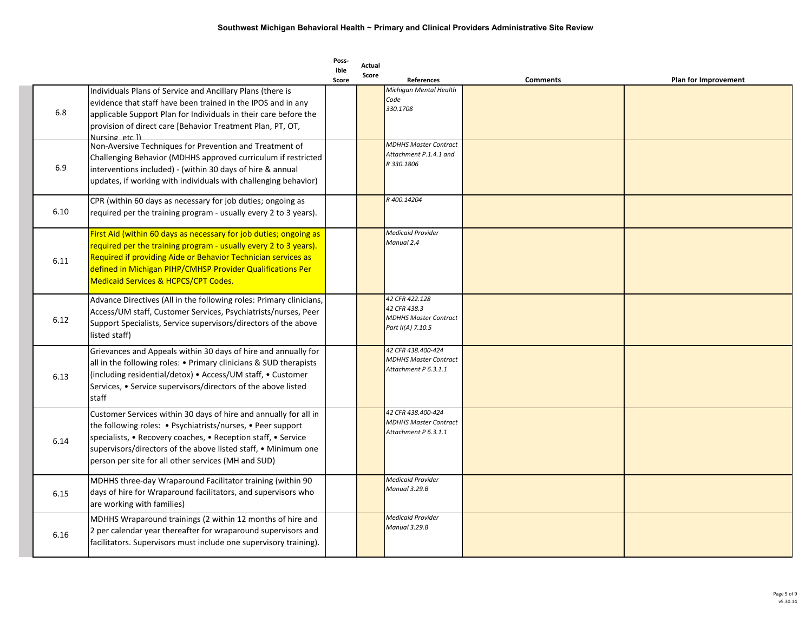|      |                                                                                                                                                                                                                                                                                                                           | Poss-<br>ible<br>Score | Actual<br>Score | References                                                                          | <b>Comments</b> | <b>Plan for Improvement</b> |
|------|---------------------------------------------------------------------------------------------------------------------------------------------------------------------------------------------------------------------------------------------------------------------------------------------------------------------------|------------------------|-----------------|-------------------------------------------------------------------------------------|-----------------|-----------------------------|
| 6.8  | Individuals Plans of Service and Ancillary Plans (there is<br>evidence that staff have been trained in the IPOS and in any<br>applicable Support Plan for Individuals in their care before the<br>provision of direct care [Behavior Treatment Plan, PT, OT,<br>Nursing etc ll                                            |                        |                 | Michigan Mental Health<br>Code<br>330.1708                                          |                 |                             |
| 6.9  | Non-Aversive Techniques for Prevention and Treatment of<br>Challenging Behavior (MDHHS approved curriculum if restricted<br>interventions included) - (within 30 days of hire & annual<br>updates, if working with individuals with challenging behavior)                                                                 |                        |                 | <b>MDHHS Master Contract</b><br>Attachment P.1.4.1 and<br>R 330.1806                |                 |                             |
| 6.10 | CPR (within 60 days as necessary for job duties; ongoing as<br>required per the training program - usually every 2 to 3 years).                                                                                                                                                                                           |                        |                 | R 400.14204                                                                         |                 |                             |
| 6.11 | First Aid (within 60 days as necessary for job duties; ongoing as<br>required per the training program - usually every 2 to 3 years).<br>Required if providing Aide or Behavior Technician services as<br>defined in Michigan PIHP/CMHSP Provider Qualifications Per<br>Medicaid Services & HCPCS/CPT Codes.              |                        |                 | <b>Medicaid Provider</b><br>Manual 2.4                                              |                 |                             |
| 6.12 | Advance Directives (All in the following roles: Primary clinicians,<br>Access/UM staff, Customer Services, Psychiatrists/nurses, Peer<br>Support Specialists, Service supervisors/directors of the above<br>listed staff)                                                                                                 |                        |                 | 42 CFR 422.128<br>42 CFR 438.3<br><b>MDHHS Master Contract</b><br>Part II(A) 7.10.5 |                 |                             |
| 6.13 | Grievances and Appeals within 30 days of hire and annually for<br>all in the following roles: • Primary clinicians & SUD therapists<br>(including residential/detox) • Access/UM staff, • Customer<br>Services, • Service supervisors/directors of the above listed<br>staff                                              |                        |                 | 42 CFR 438.400-424<br><b>MDHHS Master Contract</b><br>Attachment P 6.3.1.1          |                 |                             |
| 6.14 | Customer Services within 30 days of hire and annually for all in<br>the following roles: • Psychiatrists/nurses, • Peer support<br>specialists, • Recovery coaches, • Reception staff, • Service<br>supervisors/directors of the above listed staff, • Minimum one<br>person per site for all other services (MH and SUD) |                        |                 | 42 CFR 438.400-424<br><b>MDHHS Master Contract</b><br>Attachment P 6.3.1.1          |                 |                             |
| 6.15 | MDHHS three-day Wraparound Facilitator training (within 90<br>days of hire for Wraparound facilitators, and supervisors who<br>are working with families)                                                                                                                                                                 |                        |                 | <b>Medicaid Provider</b><br>Manual 3.29.B                                           |                 |                             |
| 6.16 | MDHHS Wraparound trainings (2 within 12 months of hire and<br>2 per calendar year thereafter for wraparound supervisors and<br>facilitators. Supervisors must include one supervisory training).                                                                                                                          |                        |                 | <b>Medicaid Provider</b><br>Manual 3.29.B                                           |                 |                             |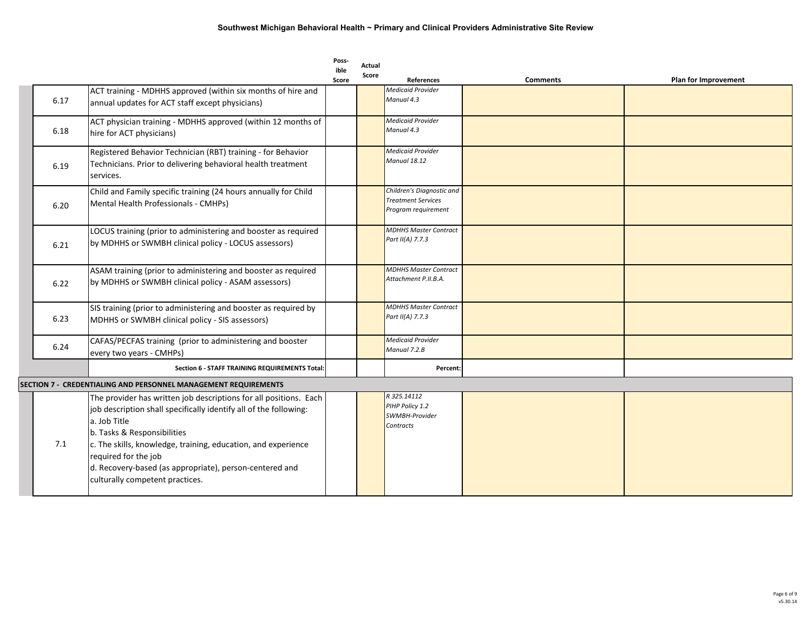|      |                                                                                                                                                                                                                                                                                                                                                                              | Poss-<br>ible<br>Score | Actual<br>Score | References                                                                    | <b>Comments</b> | Plan for Improvement |
|------|------------------------------------------------------------------------------------------------------------------------------------------------------------------------------------------------------------------------------------------------------------------------------------------------------------------------------------------------------------------------------|------------------------|-----------------|-------------------------------------------------------------------------------|-----------------|----------------------|
| 6.17 | ACT training - MDHHS approved (within six months of hire and<br>annual updates for ACT staff except physicians)                                                                                                                                                                                                                                                              |                        |                 | Medicaid Provider<br>Manual 4.3                                               |                 |                      |
| 6.18 | ACT physician training - MDHHS approved (within 12 months of<br>hire for ACT physicians)                                                                                                                                                                                                                                                                                     |                        |                 | Medicaid Provider<br>Manual 4.3                                               |                 |                      |
| 6.19 | Registered Behavior Technician (RBT) training - for Behavior<br>Technicians. Prior to delivering behavioral health treatment<br>services.                                                                                                                                                                                                                                    |                        |                 | Medicaid Provider<br>Manual 18.12                                             |                 |                      |
| 6.20 | Child and Family specific training (24 hours annually for Child<br>Mental Health Professionals - CMHPs)                                                                                                                                                                                                                                                                      |                        |                 | Children's Diagnostic and<br><b>Treatment Services</b><br>Program requirement |                 |                      |
| 6.21 | LOCUS training (prior to administering and booster as required<br>by MDHHS or SWMBH clinical policy - LOCUS assessors)                                                                                                                                                                                                                                                       |                        |                 | <b>MDHHS Master Contract</b><br>Part II(A) 7.7.3                              |                 |                      |
| 6.22 | ASAM training (prior to administering and booster as required<br>by MDHHS or SWMBH clinical policy - ASAM assessors)                                                                                                                                                                                                                                                         |                        |                 | <b>MDHHS Master Contract</b><br>Attachment P.II.B.A.                          |                 |                      |
| 6.23 | SIS training (prior to administering and booster as required by<br>MDHHS or SWMBH clinical policy - SIS assessors)                                                                                                                                                                                                                                                           |                        |                 | <b>MDHHS Master Contract</b><br>Part II(A) 7.7.3                              |                 |                      |
| 6.24 | CAFAS/PECFAS training (prior to administering and booster<br>every two years - CMHPs)                                                                                                                                                                                                                                                                                        |                        |                 | <b>Medicaid Provider</b><br>Manual 7.2.B                                      |                 |                      |
|      | Section 6 - STAFF TRAINING REQUIREMENTS Total:                                                                                                                                                                                                                                                                                                                               |                        |                 | Percent:                                                                      |                 |                      |
|      | SECTION 7 - CREDENTIALING AND PERSONNEL MANAGEMENT REQUIREMENTS                                                                                                                                                                                                                                                                                                              |                        |                 |                                                                               |                 |                      |
| 7.1  | The provider has written job descriptions for all positions. Each<br>job description shall specifically identify all of the following:<br>a. Job Title<br>b. Tasks & Responsibilities<br>c. The skills, knowledge, training, education, and experience<br>required for the job<br>d. Recovery-based (as appropriate), person-centered and<br>culturally competent practices. |                        |                 | R 325.14112<br>PIHP Policy 1.2<br>SWMBH-Provider<br>Contracts                 |                 |                      |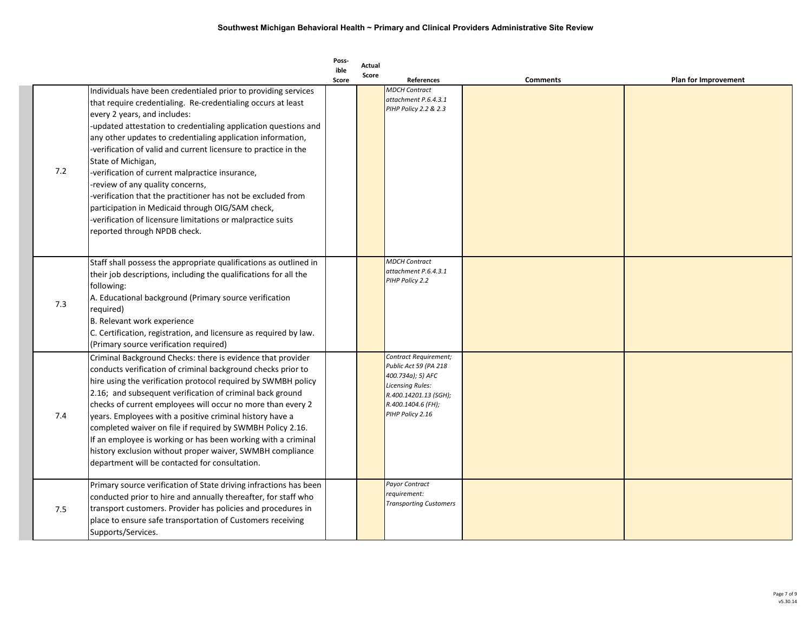|     |                                                                                                                                                                                                                                                                                                                                                                                                                                                                                                                                                                                                                                                                                                     | Poss-         | Actual |                                                                                                                                                            |                 |                             |
|-----|-----------------------------------------------------------------------------------------------------------------------------------------------------------------------------------------------------------------------------------------------------------------------------------------------------------------------------------------------------------------------------------------------------------------------------------------------------------------------------------------------------------------------------------------------------------------------------------------------------------------------------------------------------------------------------------------------------|---------------|--------|------------------------------------------------------------------------------------------------------------------------------------------------------------|-----------------|-----------------------------|
|     |                                                                                                                                                                                                                                                                                                                                                                                                                                                                                                                                                                                                                                                                                                     | ible<br>Score | Score  | <b>References</b>                                                                                                                                          | <b>Comments</b> | <b>Plan for Improvement</b> |
| 7.2 | Individuals have been credentialed prior to providing services<br>that require credentialing. Re-credentialing occurs at least<br>every 2 years, and includes:<br>-updated attestation to credentialing application questions and<br>any other updates to credentialing application information,<br>-verification of valid and current licensure to practice in the<br>State of Michigan,<br>-verification of current malpractice insurance,<br>-review of any quality concerns,<br>-verification that the practitioner has not be excluded from<br>participation in Medicaid through OIG/SAM check,<br>-verification of licensure limitations or malpractice suits<br>reported through NPDB check. |               |        | <b>MDCH Contract</b><br>attachment P.6.4.3.1<br>PIHP Policy 2.2 & 2.3                                                                                      |                 |                             |
| 7.3 | Staff shall possess the appropriate qualifications as outlined in<br>their job descriptions, including the qualifications for all the<br>following:<br>A. Educational background (Primary source verification<br>required)<br>B. Relevant work experience<br>C. Certification, registration, and licensure as required by law.<br>(Primary source verification required)                                                                                                                                                                                                                                                                                                                            |               |        | <b>MDCH Contract</b><br>attachment P.6.4.3.1<br>PIHP Policy 2.2                                                                                            |                 |                             |
| 7.4 | Criminal Background Checks: there is evidence that provider<br>conducts verification of criminal background checks prior to<br>hire using the verification protocol required by SWMBH policy<br>2.16; and subsequent verification of criminal back ground<br>checks of current employees will occur no more than every 2<br>years. Employees with a positive criminal history have a<br>completed waiver on file if required by SWMBH Policy 2.16.<br>If an employee is working or has been working with a criminal<br>history exclusion without proper waiver, SWMBH compliance<br>department will be contacted for consultation.                                                                  |               |        | Contract Requirement;<br>Public Act 59 (PA 218<br>400.734a); 5) AFC<br>Licensing Rules:<br>R.400.14201.13 (SGH);<br>R.400.1404.6 (FH);<br>PIHP Policy 2.16 |                 |                             |
| 7.5 | Primary source verification of State driving infractions has been<br>conducted prior to hire and annually thereafter, for staff who<br>transport customers. Provider has policies and procedures in<br>place to ensure safe transportation of Customers receiving<br>Supports/Services.                                                                                                                                                                                                                                                                                                                                                                                                             |               |        | Payor Contract<br>requirement:<br><b>Transporting Customers</b>                                                                                            |                 |                             |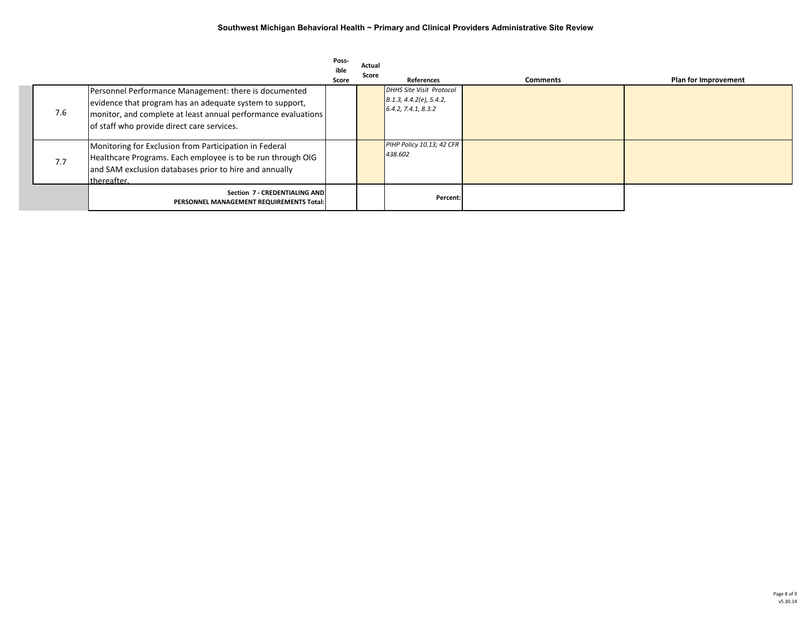|     |                                                                                                                                                                                                                                  | Poss-<br>ible<br>Score | Actual<br>Score | <b>References</b>                                                                 | <b>Comments</b> | Plan for Improvement |
|-----|----------------------------------------------------------------------------------------------------------------------------------------------------------------------------------------------------------------------------------|------------------------|-----------------|-----------------------------------------------------------------------------------|-----------------|----------------------|
| 7.6 | Personnel Performance Management: there is documented<br>evidence that program has an adequate system to support,<br>monitor, and complete at least annual performance evaluations<br>of staff who provide direct care services. |                        |                 | <b>DHHS Site Visit Protocol</b><br>B.1.3, 4.4.2(e), 5.4.2,<br>6.4.2, 7.4.1, 8.3.2 |                 |                      |
| 7.7 | Monitoring for Exclusion from Participation in Federal<br>Healthcare Programs. Each employee is to be run through OIG<br>and SAM exclusion databases prior to hire and annually<br>thereafter.                                   |                        |                 | PIHP Policy 10.13; 42 CFR<br>438.602                                              |                 |                      |
|     | Section 7 - CREDENTIALING AND<br>PERSONNEL MANAGEMENT REQUIREMENTS Total:                                                                                                                                                        |                        |                 | Percent:                                                                          |                 |                      |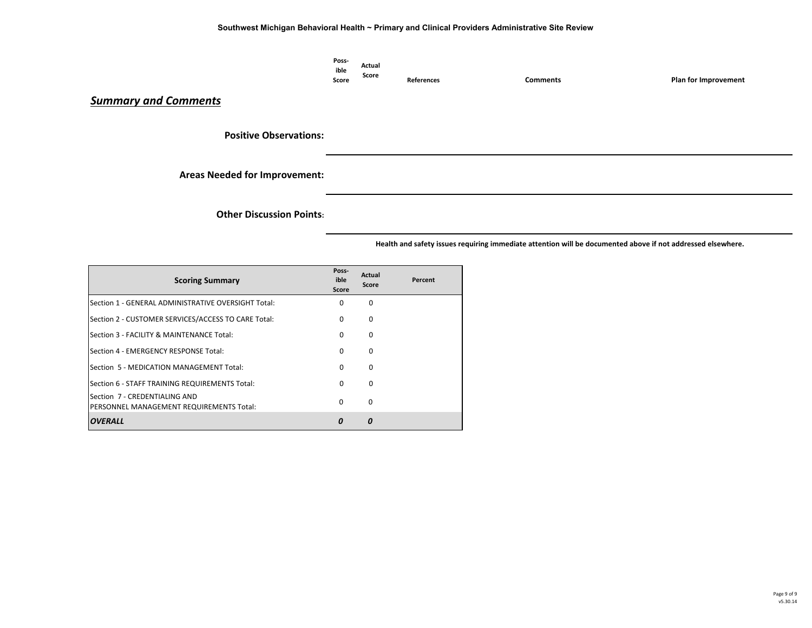| Poss-        | Actual |                   |          |                             |
|--------------|--------|-------------------|----------|-----------------------------|
| ible         |        |                   |          |                             |
| <b>Score</b> | Score  | <b>References</b> | Comments | <b>Plan for Improvement</b> |

### *Summary and Comments*

**Positive Observations:**

**Areas Needed for Improvement:**

**Other Discussion Points:**

| <b>Scoring Summary</b>                                                    | Poss-<br>ible<br>Score | Actual<br>Score | Percent |
|---------------------------------------------------------------------------|------------------------|-----------------|---------|
| Section 1 - GENERAL ADMINISTRATIVE OVERSIGHT Total:                       | $\Omega$               | 0               |         |
| Section 2 - CUSTOMER SERVICES/ACCESS TO CARE Total:                       | $\Omega$               | 0               |         |
| Section 3 - FACILITY & MAINTENANCE Total:                                 | $\Omega$               | 0               |         |
| Section 4 - EMERGENCY RESPONSE Total:                                     | 0                      | 0               |         |
| Section 5 - MEDICATION MANAGEMENT Total:                                  | $\Omega$               | 0               |         |
| Section 6 - STAFF TRAINING REQUIREMENTS Total:                            | $\Omega$               | 0               |         |
| Section 7 - CREDENTIALING AND<br>PERSONNEL MANAGEMENT REQUIREMENTS Total: | $\Omega$               | 0               |         |
| <b>OVERALL</b>                                                            | 0                      | Ο               |         |

 **Health and safety issues requiring immediate attention will be documented above if not addressed elsewhere.**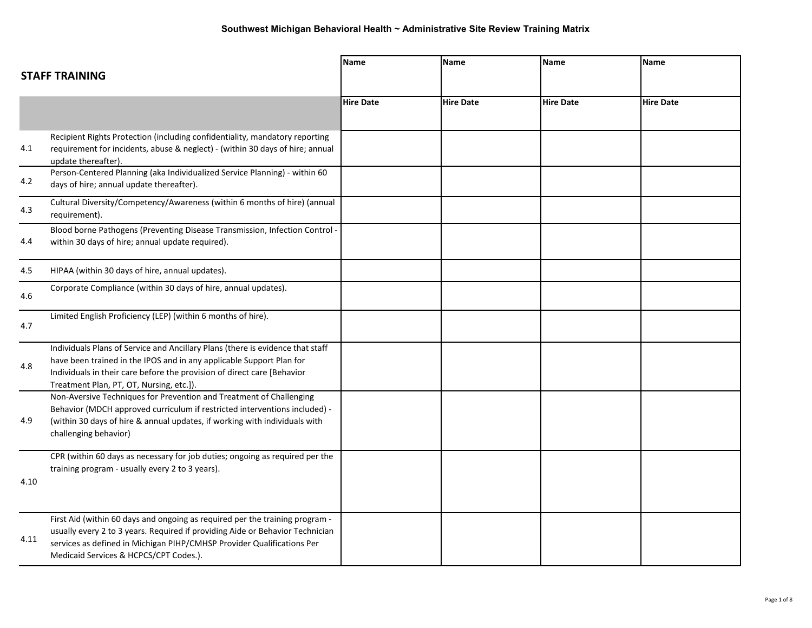|      | <b>STAFF TRAINING</b>                                                                                                                                                                                                                                                             | <b>Name</b>      | Name             | <b>Name</b>      | <b>Name</b>      |
|------|-----------------------------------------------------------------------------------------------------------------------------------------------------------------------------------------------------------------------------------------------------------------------------------|------------------|------------------|------------------|------------------|
|      |                                                                                                                                                                                                                                                                                   | <b>Hire Date</b> | <b>Hire Date</b> | <b>Hire Date</b> | <b>Hire Date</b> |
| 4.1  | Recipient Rights Protection (including confidentiality, mandatory reporting<br>requirement for incidents, abuse & neglect) - (within 30 days of hire; annual<br>update thereafter).                                                                                               |                  |                  |                  |                  |
| 4.2  | Person-Centered Planning (aka Individualized Service Planning) - within 60<br>days of hire; annual update thereafter).                                                                                                                                                            |                  |                  |                  |                  |
| 4.3  | Cultural Diversity/Competency/Awareness (within 6 months of hire) (annual<br>requirement).                                                                                                                                                                                        |                  |                  |                  |                  |
| 4.4  | Blood borne Pathogens (Preventing Disease Transmission, Infection Control -<br>within 30 days of hire; annual update required).                                                                                                                                                   |                  |                  |                  |                  |
| 4.5  | HIPAA (within 30 days of hire, annual updates).                                                                                                                                                                                                                                   |                  |                  |                  |                  |
| 4.6  | Corporate Compliance (within 30 days of hire, annual updates).                                                                                                                                                                                                                    |                  |                  |                  |                  |
| 4.7  | Limited English Proficiency (LEP) (within 6 months of hire).                                                                                                                                                                                                                      |                  |                  |                  |                  |
| 4.8  | Individuals Plans of Service and Ancillary Plans (there is evidence that staff<br>have been trained in the IPOS and in any applicable Support Plan for<br>Individuals in their care before the provision of direct care [Behavior<br>Treatment Plan, PT, OT, Nursing, etc.]).     |                  |                  |                  |                  |
| 4.9  | Non-Aversive Techniques for Prevention and Treatment of Challenging<br>Behavior (MDCH approved curriculum if restricted interventions included) -<br>(within 30 days of hire & annual updates, if working with individuals with<br>challenging behavior)                          |                  |                  |                  |                  |
| 4.10 | CPR (within 60 days as necessary for job duties; ongoing as required per the<br>training program - usually every 2 to 3 years).                                                                                                                                                   |                  |                  |                  |                  |
| 4.11 | First Aid (within 60 days and ongoing as required per the training program -<br>usually every 2 to 3 years. Required if providing Aide or Behavior Technician<br>services as defined in Michigan PIHP/CMHSP Provider Qualifications Per<br>Medicaid Services & HCPCS/CPT Codes.). |                  |                  |                  |                  |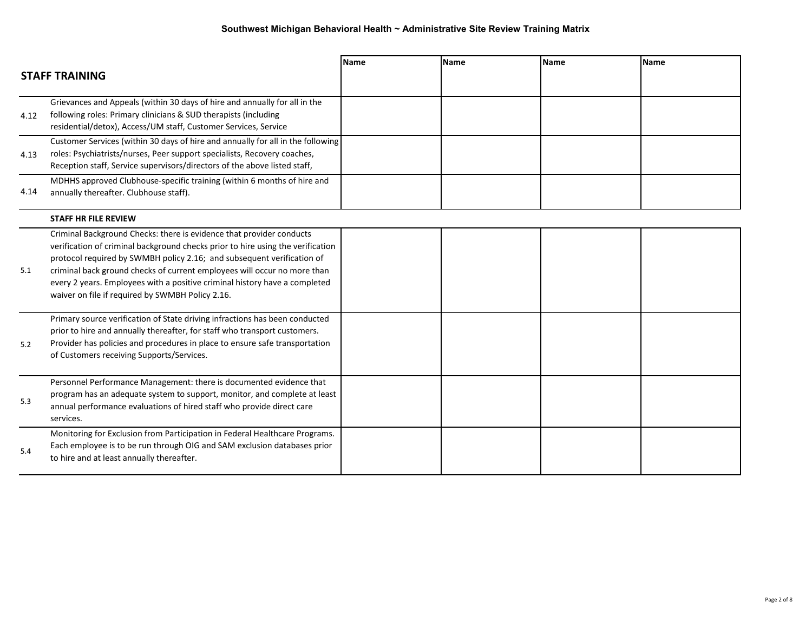|      | <b>STAFF TRAINING</b>                                                                                                                                                                                                                                                                                                                                                                                                                           | <b>Name</b> | <b>Name</b> | <b>Name</b> | <b>Name</b> |
|------|-------------------------------------------------------------------------------------------------------------------------------------------------------------------------------------------------------------------------------------------------------------------------------------------------------------------------------------------------------------------------------------------------------------------------------------------------|-------------|-------------|-------------|-------------|
| 4.12 | Grievances and Appeals (within 30 days of hire and annually for all in the<br>following roles: Primary clinicians & SUD therapists (including<br>residential/detox), Access/UM staff, Customer Services, Service                                                                                                                                                                                                                                |             |             |             |             |
| 4.13 | Customer Services (within 30 days of hire and annually for all in the following<br>roles: Psychiatrists/nurses, Peer support specialists, Recovery coaches,<br>Reception staff, Service supervisors/directors of the above listed staff,                                                                                                                                                                                                        |             |             |             |             |
| 4.14 | MDHHS approved Clubhouse-specific training (within 6 months of hire and<br>annually thereafter. Clubhouse staff).                                                                                                                                                                                                                                                                                                                               |             |             |             |             |
|      | <b>STAFF HR FILE REVIEW</b>                                                                                                                                                                                                                                                                                                                                                                                                                     |             |             |             |             |
| 5.1  | Criminal Background Checks: there is evidence that provider conducts<br>verification of criminal background checks prior to hire using the verification<br>protocol required by SWMBH policy 2.16; and subsequent verification of<br>criminal back ground checks of current employees will occur no more than<br>every 2 years. Employees with a positive criminal history have a completed<br>waiver on file if required by SWMBH Policy 2.16. |             |             |             |             |
| 5.2  | Primary source verification of State driving infractions has been conducted<br>prior to hire and annually thereafter, for staff who transport customers.<br>Provider has policies and procedures in place to ensure safe transportation<br>of Customers receiving Supports/Services.                                                                                                                                                            |             |             |             |             |
| 5.3  | Personnel Performance Management: there is documented evidence that<br>program has an adequate system to support, monitor, and complete at least<br>annual performance evaluations of hired staff who provide direct care<br>services.                                                                                                                                                                                                          |             |             |             |             |
| 5.4  | Monitoring for Exclusion from Participation in Federal Healthcare Programs.<br>Each employee is to be run through OIG and SAM exclusion databases prior<br>to hire and at least annually thereafter.                                                                                                                                                                                                                                            |             |             |             |             |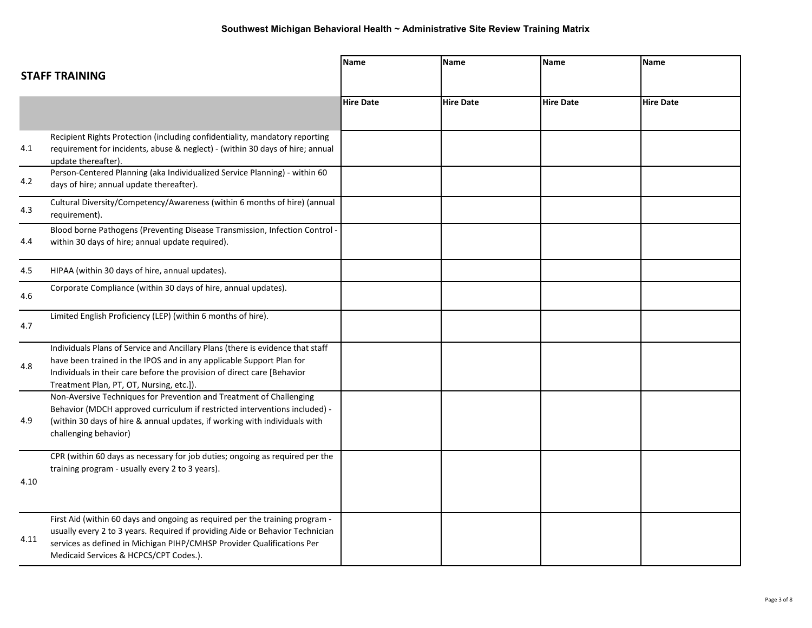|      |                                                                                                                                                                                                                                                                                   | <b>Name</b>      | <b>Name</b>      | <b>Name</b>      | <b>Name</b>      |
|------|-----------------------------------------------------------------------------------------------------------------------------------------------------------------------------------------------------------------------------------------------------------------------------------|------------------|------------------|------------------|------------------|
|      | <b>STAFF TRAINING</b>                                                                                                                                                                                                                                                             |                  |                  |                  |                  |
|      |                                                                                                                                                                                                                                                                                   | <b>Hire Date</b> | <b>Hire Date</b> | <b>Hire Date</b> | <b>Hire Date</b> |
| 4.1  | Recipient Rights Protection (including confidentiality, mandatory reporting<br>requirement for incidents, abuse & neglect) - (within 30 days of hire; annual<br>update thereafter).                                                                                               |                  |                  |                  |                  |
| 4.2  | Person-Centered Planning (aka Individualized Service Planning) - within 60<br>days of hire; annual update thereafter).                                                                                                                                                            |                  |                  |                  |                  |
| 4.3  | Cultural Diversity/Competency/Awareness (within 6 months of hire) (annual<br>requirement).                                                                                                                                                                                        |                  |                  |                  |                  |
| 4.4  | Blood borne Pathogens (Preventing Disease Transmission, Infection Control -<br>within 30 days of hire; annual update required).                                                                                                                                                   |                  |                  |                  |                  |
| 4.5  | HIPAA (within 30 days of hire, annual updates).                                                                                                                                                                                                                                   |                  |                  |                  |                  |
| 4.6  | Corporate Compliance (within 30 days of hire, annual updates).                                                                                                                                                                                                                    |                  |                  |                  |                  |
| 4.7  | Limited English Proficiency (LEP) (within 6 months of hire).                                                                                                                                                                                                                      |                  |                  |                  |                  |
| 4.8  | Individuals Plans of Service and Ancillary Plans (there is evidence that staff<br>have been trained in the IPOS and in any applicable Support Plan for<br>Individuals in their care before the provision of direct care [Behavior<br>Treatment Plan, PT, OT, Nursing, etc.]).     |                  |                  |                  |                  |
| 4.9  | Non-Aversive Techniques for Prevention and Treatment of Challenging<br>Behavior (MDCH approved curriculum if restricted interventions included) -<br>(within 30 days of hire & annual updates, if working with individuals with<br>challenging behavior)                          |                  |                  |                  |                  |
| 4.10 | CPR (within 60 days as necessary for job duties; ongoing as required per the<br>training program - usually every 2 to 3 years).                                                                                                                                                   |                  |                  |                  |                  |
| 4.11 | First Aid (within 60 days and ongoing as required per the training program -<br>usually every 2 to 3 years. Required if providing Aide or Behavior Technician<br>services as defined in Michigan PIHP/CMHSP Provider Qualifications Per<br>Medicaid Services & HCPCS/CPT Codes.). |                  |                  |                  |                  |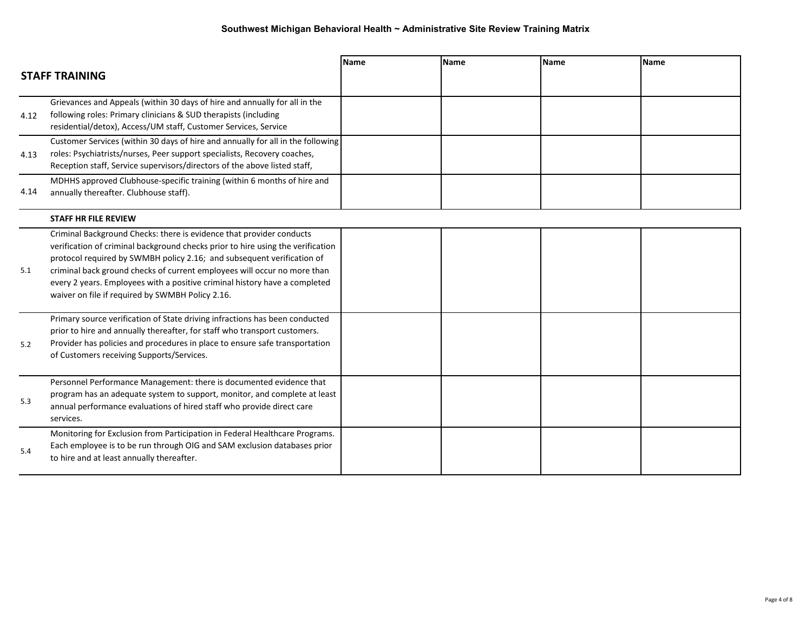|      | <b>STAFF TRAINING</b>                                                                                                                                                                                                                                                                                                                                                                                                                           | <b>Name</b> | <b>Name</b> | <b>Name</b> | <b>Name</b> |
|------|-------------------------------------------------------------------------------------------------------------------------------------------------------------------------------------------------------------------------------------------------------------------------------------------------------------------------------------------------------------------------------------------------------------------------------------------------|-------------|-------------|-------------|-------------|
| 4.12 | Grievances and Appeals (within 30 days of hire and annually for all in the<br>following roles: Primary clinicians & SUD therapists (including<br>residential/detox), Access/UM staff, Customer Services, Service                                                                                                                                                                                                                                |             |             |             |             |
| 4.13 | Customer Services (within 30 days of hire and annually for all in the following<br>roles: Psychiatrists/nurses, Peer support specialists, Recovery coaches,<br>Reception staff, Service supervisors/directors of the above listed staff,                                                                                                                                                                                                        |             |             |             |             |
| 4.14 | MDHHS approved Clubhouse-specific training (within 6 months of hire and<br>annually thereafter. Clubhouse staff).                                                                                                                                                                                                                                                                                                                               |             |             |             |             |
|      | <b>STAFF HR FILE REVIEW</b>                                                                                                                                                                                                                                                                                                                                                                                                                     |             |             |             |             |
| 5.1  | Criminal Background Checks: there is evidence that provider conducts<br>verification of criminal background checks prior to hire using the verification<br>protocol required by SWMBH policy 2.16; and subsequent verification of<br>criminal back ground checks of current employees will occur no more than<br>every 2 years. Employees with a positive criminal history have a completed<br>waiver on file if required by SWMBH Policy 2.16. |             |             |             |             |
| 5.2  | Primary source verification of State driving infractions has been conducted<br>prior to hire and annually thereafter, for staff who transport customers.<br>Provider has policies and procedures in place to ensure safe transportation<br>of Customers receiving Supports/Services.                                                                                                                                                            |             |             |             |             |
| 5.3  | Personnel Performance Management: there is documented evidence that<br>program has an adequate system to support, monitor, and complete at least<br>annual performance evaluations of hired staff who provide direct care<br>services.                                                                                                                                                                                                          |             |             |             |             |
| 5.4  | Monitoring for Exclusion from Participation in Federal Healthcare Programs.<br>Each employee is to be run through OIG and SAM exclusion databases prior<br>to hire and at least annually thereafter.                                                                                                                                                                                                                                            |             |             |             |             |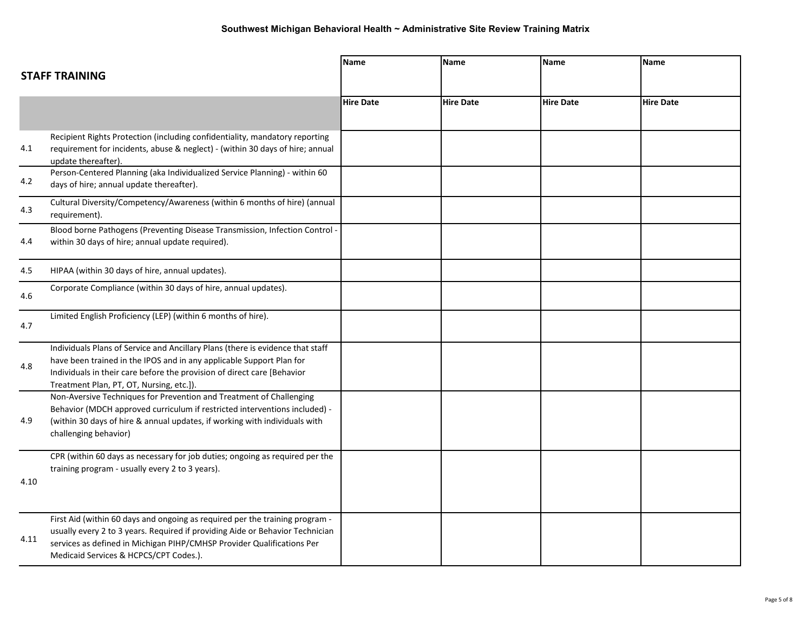|      |                                                                                                                                                                                                                                                                                   | Name             | <b>Name</b>      | <b>Name</b>      | <b>Name</b>      |
|------|-----------------------------------------------------------------------------------------------------------------------------------------------------------------------------------------------------------------------------------------------------------------------------------|------------------|------------------|------------------|------------------|
|      | <b>STAFF TRAINING</b>                                                                                                                                                                                                                                                             |                  |                  |                  |                  |
|      |                                                                                                                                                                                                                                                                                   | <b>Hire Date</b> | <b>Hire Date</b> | <b>Hire Date</b> | <b>Hire Date</b> |
| 4.1  | Recipient Rights Protection (including confidentiality, mandatory reporting<br>requirement for incidents, abuse & neglect) - (within 30 days of hire; annual<br>update thereafter).                                                                                               |                  |                  |                  |                  |
| 4.2  | Person-Centered Planning (aka Individualized Service Planning) - within 60<br>days of hire; annual update thereafter).                                                                                                                                                            |                  |                  |                  |                  |
| 4.3  | Cultural Diversity/Competency/Awareness (within 6 months of hire) (annual<br>requirement).                                                                                                                                                                                        |                  |                  |                  |                  |
| 4.4  | Blood borne Pathogens (Preventing Disease Transmission, Infection Control -<br>within 30 days of hire; annual update required).                                                                                                                                                   |                  |                  |                  |                  |
| 4.5  | HIPAA (within 30 days of hire, annual updates).                                                                                                                                                                                                                                   |                  |                  |                  |                  |
| 4.6  | Corporate Compliance (within 30 days of hire, annual updates).                                                                                                                                                                                                                    |                  |                  |                  |                  |
| 4.7  | Limited English Proficiency (LEP) (within 6 months of hire).                                                                                                                                                                                                                      |                  |                  |                  |                  |
| 4.8  | Individuals Plans of Service and Ancillary Plans (there is evidence that staff<br>have been trained in the IPOS and in any applicable Support Plan for<br>Individuals in their care before the provision of direct care [Behavior<br>Treatment Plan, PT, OT, Nursing, etc.]).     |                  |                  |                  |                  |
| 4.9  | Non-Aversive Techniques for Prevention and Treatment of Challenging<br>Behavior (MDCH approved curriculum if restricted interventions included) -<br>(within 30 days of hire & annual updates, if working with individuals with<br>challenging behavior)                          |                  |                  |                  |                  |
| 4.10 | CPR (within 60 days as necessary for job duties; ongoing as required per the<br>training program - usually every 2 to 3 years).                                                                                                                                                   |                  |                  |                  |                  |
| 4.11 | First Aid (within 60 days and ongoing as required per the training program -<br>usually every 2 to 3 years. Required if providing Aide or Behavior Technician<br>services as defined in Michigan PIHP/CMHSP Provider Qualifications Per<br>Medicaid Services & HCPCS/CPT Codes.). |                  |                  |                  |                  |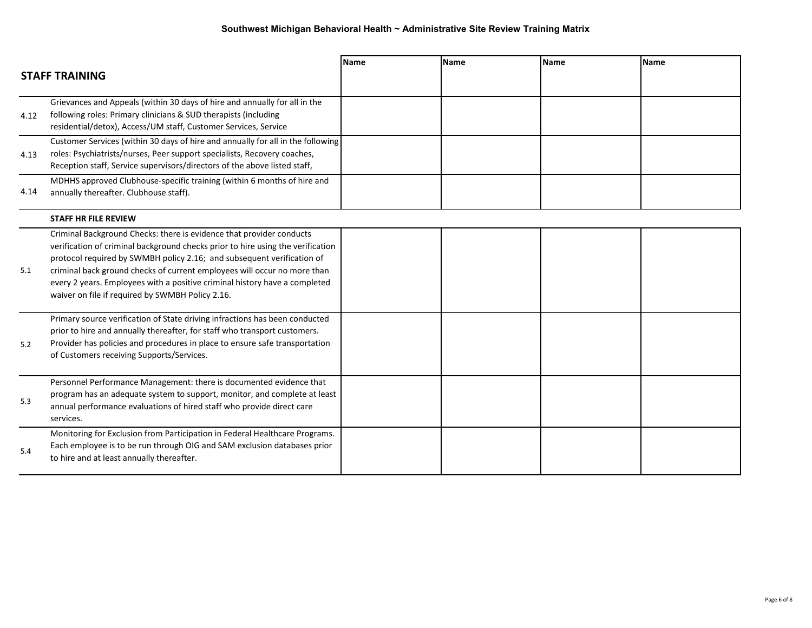|      | <b>STAFF TRAINING</b>                                                                                                                                                                                                                                                                                                                                                                                                                           | <b>Name</b> | <b>Name</b> | <b>Name</b> | <b>Name</b> |
|------|-------------------------------------------------------------------------------------------------------------------------------------------------------------------------------------------------------------------------------------------------------------------------------------------------------------------------------------------------------------------------------------------------------------------------------------------------|-------------|-------------|-------------|-------------|
| 4.12 | Grievances and Appeals (within 30 days of hire and annually for all in the<br>following roles: Primary clinicians & SUD therapists (including<br>residential/detox), Access/UM staff, Customer Services, Service                                                                                                                                                                                                                                |             |             |             |             |
| 4.13 | Customer Services (within 30 days of hire and annually for all in the following<br>roles: Psychiatrists/nurses, Peer support specialists, Recovery coaches,<br>Reception staff, Service supervisors/directors of the above listed staff,                                                                                                                                                                                                        |             |             |             |             |
| 4.14 | MDHHS approved Clubhouse-specific training (within 6 months of hire and<br>annually thereafter. Clubhouse staff).                                                                                                                                                                                                                                                                                                                               |             |             |             |             |
|      | <b>STAFF HR FILE REVIEW</b>                                                                                                                                                                                                                                                                                                                                                                                                                     |             |             |             |             |
| 5.1  | Criminal Background Checks: there is evidence that provider conducts<br>verification of criminal background checks prior to hire using the verification<br>protocol required by SWMBH policy 2.16; and subsequent verification of<br>criminal back ground checks of current employees will occur no more than<br>every 2 years. Employees with a positive criminal history have a completed<br>waiver on file if required by SWMBH Policy 2.16. |             |             |             |             |
| 5.2  | Primary source verification of State driving infractions has been conducted<br>prior to hire and annually thereafter, for staff who transport customers.<br>Provider has policies and procedures in place to ensure safe transportation<br>of Customers receiving Supports/Services.                                                                                                                                                            |             |             |             |             |
| 5.3  | Personnel Performance Management: there is documented evidence that<br>program has an adequate system to support, monitor, and complete at least<br>annual performance evaluations of hired staff who provide direct care<br>services.                                                                                                                                                                                                          |             |             |             |             |
| 5.4  | Monitoring for Exclusion from Participation in Federal Healthcare Programs.<br>Each employee is to be run through OIG and SAM exclusion databases prior<br>to hire and at least annually thereafter.                                                                                                                                                                                                                                            |             |             |             |             |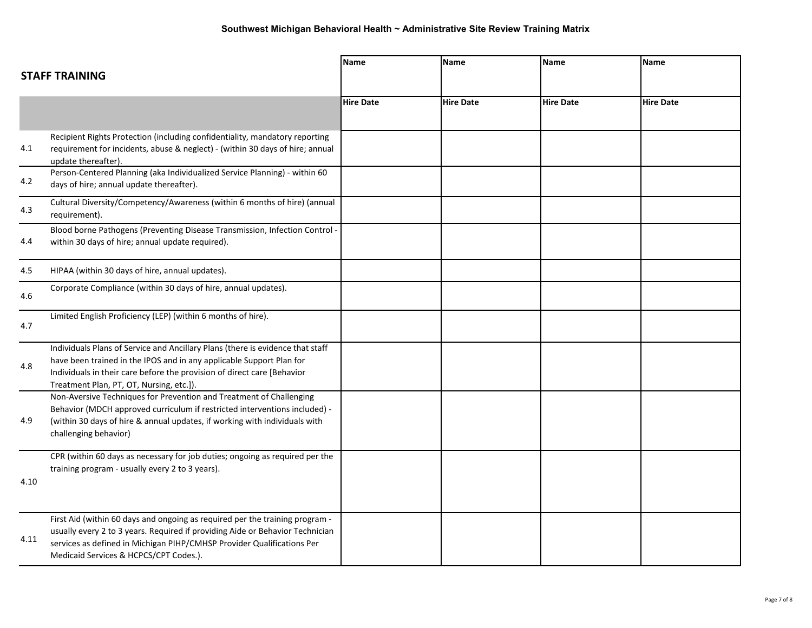|      | <b>STAFF TRAINING</b>                                                                                                                                                                                                                                                             | Name             | Name             | <b>Name</b>      | <b>Name</b>      |
|------|-----------------------------------------------------------------------------------------------------------------------------------------------------------------------------------------------------------------------------------------------------------------------------------|------------------|------------------|------------------|------------------|
|      |                                                                                                                                                                                                                                                                                   |                  |                  |                  |                  |
|      |                                                                                                                                                                                                                                                                                   | <b>Hire Date</b> | <b>Hire Date</b> | <b>Hire Date</b> | <b>Hire Date</b> |
| 4.1  | Recipient Rights Protection (including confidentiality, mandatory reporting<br>requirement for incidents, abuse & neglect) - (within 30 days of hire; annual<br>update thereafter).                                                                                               |                  |                  |                  |                  |
| 4.2  | Person-Centered Planning (aka Individualized Service Planning) - within 60<br>days of hire; annual update thereafter).                                                                                                                                                            |                  |                  |                  |                  |
| 4.3  | Cultural Diversity/Competency/Awareness (within 6 months of hire) (annual<br>requirement).                                                                                                                                                                                        |                  |                  |                  |                  |
| 4.4  | Blood borne Pathogens (Preventing Disease Transmission, Infection Control -<br>within 30 days of hire; annual update required).                                                                                                                                                   |                  |                  |                  |                  |
| 4.5  | HIPAA (within 30 days of hire, annual updates).                                                                                                                                                                                                                                   |                  |                  |                  |                  |
| 4.6  | Corporate Compliance (within 30 days of hire, annual updates).                                                                                                                                                                                                                    |                  |                  |                  |                  |
| 4.7  | Limited English Proficiency (LEP) (within 6 months of hire).                                                                                                                                                                                                                      |                  |                  |                  |                  |
| 4.8  | Individuals Plans of Service and Ancillary Plans (there is evidence that staff<br>have been trained in the IPOS and in any applicable Support Plan for<br>Individuals in their care before the provision of direct care [Behavior<br>Treatment Plan, PT, OT, Nursing, etc.]).     |                  |                  |                  |                  |
| 4.9  | Non-Aversive Techniques for Prevention and Treatment of Challenging<br>Behavior (MDCH approved curriculum if restricted interventions included) -<br>(within 30 days of hire & annual updates, if working with individuals with<br>challenging behavior)                          |                  |                  |                  |                  |
| 4.10 | CPR (within 60 days as necessary for job duties; ongoing as required per the<br>training program - usually every 2 to 3 years).                                                                                                                                                   |                  |                  |                  |                  |
| 4.11 | First Aid (within 60 days and ongoing as required per the training program -<br>usually every 2 to 3 years. Required if providing Aide or Behavior Technician<br>services as defined in Michigan PIHP/CMHSP Provider Qualifications Per<br>Medicaid Services & HCPCS/CPT Codes.). |                  |                  |                  |                  |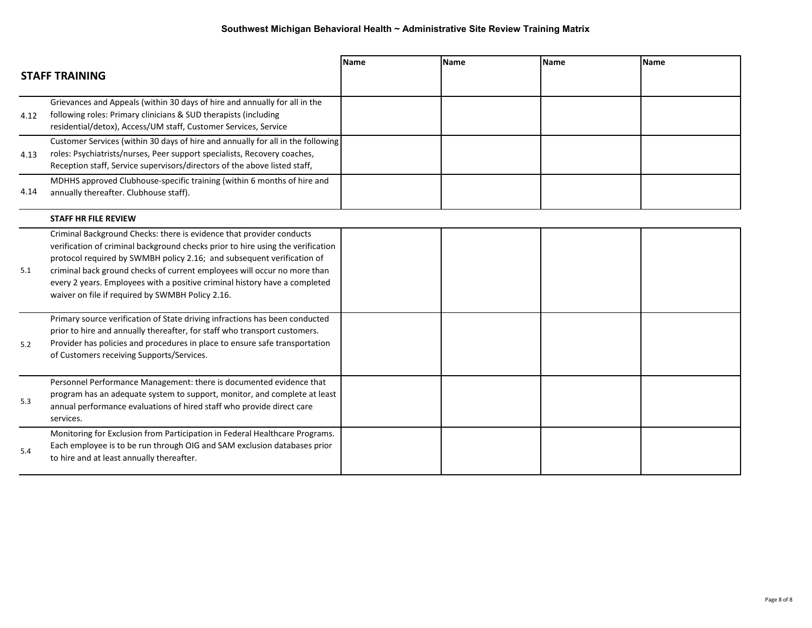|      | <b>STAFF TRAINING</b>                                                                                                                                                                                                                                                                                                                                                                                                                           | <b>Name</b> | <b>Name</b> | <b>Name</b> | <b>Name</b> |
|------|-------------------------------------------------------------------------------------------------------------------------------------------------------------------------------------------------------------------------------------------------------------------------------------------------------------------------------------------------------------------------------------------------------------------------------------------------|-------------|-------------|-------------|-------------|
| 4.12 | Grievances and Appeals (within 30 days of hire and annually for all in the<br>following roles: Primary clinicians & SUD therapists (including<br>residential/detox), Access/UM staff, Customer Services, Service                                                                                                                                                                                                                                |             |             |             |             |
| 4.13 | Customer Services (within 30 days of hire and annually for all in the following<br>roles: Psychiatrists/nurses, Peer support specialists, Recovery coaches,<br>Reception staff, Service supervisors/directors of the above listed staff,                                                                                                                                                                                                        |             |             |             |             |
| 4.14 | MDHHS approved Clubhouse-specific training (within 6 months of hire and<br>annually thereafter. Clubhouse staff).                                                                                                                                                                                                                                                                                                                               |             |             |             |             |
|      | <b>STAFF HR FILE REVIEW</b>                                                                                                                                                                                                                                                                                                                                                                                                                     |             |             |             |             |
| 5.1  | Criminal Background Checks: there is evidence that provider conducts<br>verification of criminal background checks prior to hire using the verification<br>protocol required by SWMBH policy 2.16; and subsequent verification of<br>criminal back ground checks of current employees will occur no more than<br>every 2 years. Employees with a positive criminal history have a completed<br>waiver on file if required by SWMBH Policy 2.16. |             |             |             |             |
| 5.2  | Primary source verification of State driving infractions has been conducted<br>prior to hire and annually thereafter, for staff who transport customers.<br>Provider has policies and procedures in place to ensure safe transportation<br>of Customers receiving Supports/Services.                                                                                                                                                            |             |             |             |             |
| 5.3  | Personnel Performance Management: there is documented evidence that<br>program has an adequate system to support, monitor, and complete at least<br>annual performance evaluations of hired staff who provide direct care<br>services.                                                                                                                                                                                                          |             |             |             |             |
| 5.4  | Monitoring for Exclusion from Participation in Federal Healthcare Programs.<br>Each employee is to be run through OIG and SAM exclusion databases prior<br>to hire and at least annually thereafter.                                                                                                                                                                                                                                            |             |             |             |             |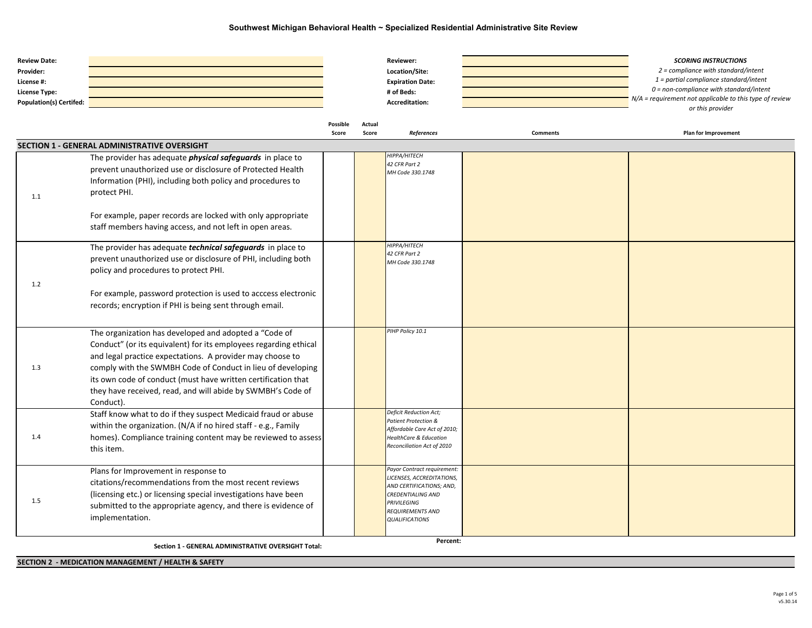| <b>Review Date:</b><br>Provider:<br>License #:<br>License Type:<br><b>Population(s) Certifed:</b> |                                                                                                                                                                                                                                                                                                                                                                                                    |                          |                 | Reviewer:<br>Location/Site:<br><b>Expiration Date:</b><br># of Beds:<br><b>Accreditation:</b>                                                                                |                 | <b>SCORING INSTRUCTIONS</b><br>2 = compliance with standard/intent<br>1 = partial compliance standard/intent<br>$0 = non-compliance$ with standard/intent<br>N/A = requirement not applicable to this type of review<br>or this provider |
|---------------------------------------------------------------------------------------------------|----------------------------------------------------------------------------------------------------------------------------------------------------------------------------------------------------------------------------------------------------------------------------------------------------------------------------------------------------------------------------------------------------|--------------------------|-----------------|------------------------------------------------------------------------------------------------------------------------------------------------------------------------------|-----------------|------------------------------------------------------------------------------------------------------------------------------------------------------------------------------------------------------------------------------------------|
|                                                                                                   |                                                                                                                                                                                                                                                                                                                                                                                                    | <b>Possible</b><br>Score | Actual<br>Score | References                                                                                                                                                                   | <b>Comments</b> | <b>Plan for Improvement</b>                                                                                                                                                                                                              |
|                                                                                                   | SECTION 1 - GENERAL ADMINISTRATIVE OVERSIGHT                                                                                                                                                                                                                                                                                                                                                       |                          |                 |                                                                                                                                                                              |                 |                                                                                                                                                                                                                                          |
| 1.1                                                                                               | The provider has adequate <i>physical safeguards</i> in place to<br>prevent unauthorized use or disclosure of Protected Health<br>Information (PHI), including both policy and procedures to<br>protect PHI.                                                                                                                                                                                       |                          |                 | HIPPA/HITECH<br>42 CFR Part 2<br>MH Code 330.1748                                                                                                                            |                 |                                                                                                                                                                                                                                          |
|                                                                                                   | For example, paper records are locked with only appropriate<br>staff members having access, and not left in open areas.                                                                                                                                                                                                                                                                            |                          |                 |                                                                                                                                                                              |                 |                                                                                                                                                                                                                                          |
| 1.2                                                                                               | The provider has adequate <i>technical safeguards</i> in place to<br>prevent unauthorized use or disclosure of PHI, including both<br>policy and procedures to protect PHI.<br>For example, password protection is used to acccess electronic<br>records; encryption if PHI is being sent through email.                                                                                           |                          |                 | HIPPA/HITECH<br>42 CFR Part 2<br>MH Code 330.1748                                                                                                                            |                 |                                                                                                                                                                                                                                          |
| 1.3                                                                                               | The organization has developed and adopted a "Code of<br>Conduct" (or its equivalent) for its employees regarding ethical<br>and legal practice expectations. A provider may choose to<br>comply with the SWMBH Code of Conduct in lieu of developing<br>its own code of conduct (must have written certification that<br>they have received, read, and will abide by SWMBH's Code of<br>Conduct). |                          |                 | PIHP Policy 10.1                                                                                                                                                             |                 |                                                                                                                                                                                                                                          |
| 1.4                                                                                               | Staff know what to do if they suspect Medicaid fraud or abuse<br>within the organization. (N/A if no hired staff - e.g., Family<br>homes). Compliance training content may be reviewed to assess<br>this item.                                                                                                                                                                                     |                          |                 | Deficit Reduction Act;<br>Patient Protection &<br>Affordable Care Act of 2010;<br><b>HealthCare &amp; Education</b><br>Reconciliation Act of 2010                            |                 |                                                                                                                                                                                                                                          |
| 1.5                                                                                               | Plans for Improvement in response to<br>citations/recommendations from the most recent reviews<br>(licensing etc.) or licensing special investigations have been<br>submitted to the appropriate agency, and there is evidence of<br>implementation.                                                                                                                                               |                          |                 | Payor Contract requirement:<br>LICENSES, ACCREDITATIONS,<br>AND CERTIFICATIONS; AND,<br><b>CREDENTIALING AND</b><br>PRIVILEGING<br>REQUIREMENTS AND<br><b>QUALIFICATIONS</b> |                 |                                                                                                                                                                                                                                          |

**Section 1 - GENERAL ADMINISTRATIVE OVERSIGHT Total: <sup>0</sup> <sup>0</sup> Percent:**

**SECTION 2 - MEDICATION MANAGEMENT / HEALTH & SAFETY**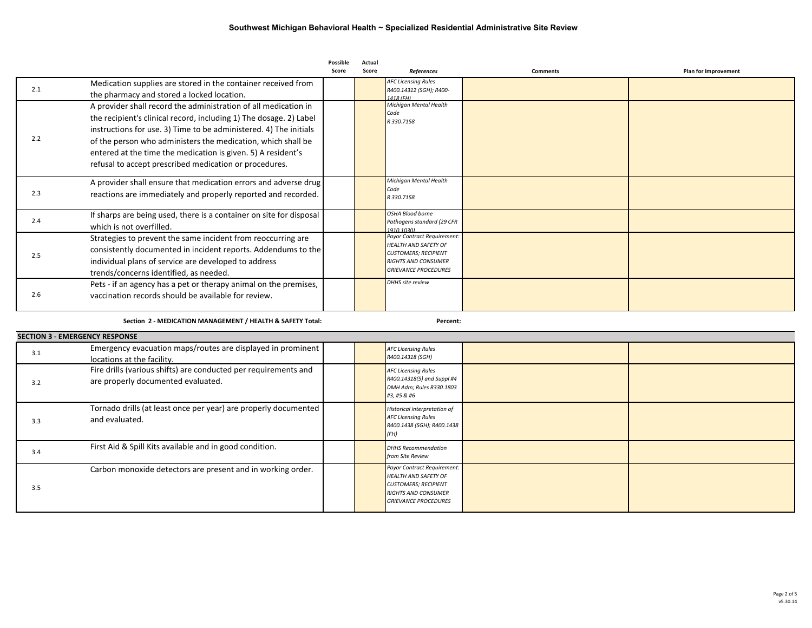|     |                                                                     | Possible | Actual |                                                            |                 |                             |
|-----|---------------------------------------------------------------------|----------|--------|------------------------------------------------------------|-----------------|-----------------------------|
|     |                                                                     | Score    | Score  | <b>References</b>                                          | <b>Comments</b> | <b>Plan for Improvement</b> |
| 2.1 | Medication supplies are stored in the container received from       |          |        | <b>AFC Licensing Rules</b><br>R400.14312 (SGH); R400-      |                 |                             |
|     | the pharmacy and stored a locked location.                          |          |        | 1418 (FH)                                                  |                 |                             |
|     | A provider shall record the administration of all medication in     |          |        | Michigan Mental Health<br>Code                             |                 |                             |
|     | the recipient's clinical record, including 1) The dosage. 2) Label  |          |        | R 330.7158                                                 |                 |                             |
|     | instructions for use. 3) Time to be administered. 4) The initials   |          |        |                                                            |                 |                             |
| 2.2 | of the person who administers the medication, which shall be        |          |        |                                                            |                 |                             |
|     | entered at the time the medication is given. 5) A resident's        |          |        |                                                            |                 |                             |
|     | refusal to accept prescribed medication or procedures.              |          |        |                                                            |                 |                             |
|     | A provider shall ensure that medication errors and adverse drug     |          |        | Michigan Mental Health                                     |                 |                             |
| 2.3 | reactions are immediately and properly reported and recorded.       |          |        | Code<br>R 330.7158                                         |                 |                             |
|     |                                                                     |          |        |                                                            |                 |                             |
| 2.4 | If sharps are being used, there is a container on site for disposal |          |        | OSHA Blood borne<br>Pathogens standard (29 CFR             |                 |                             |
|     | which is not overfilled.                                            |          |        | 1910 1030)                                                 |                 |                             |
|     | Strategies to prevent the same incident from reoccurring are        |          |        | Payor Contract Requirement:                                |                 |                             |
| 2.5 | consistently documented in incident reports. Addendums to the       |          |        | <b>HEALTH AND SAFETY OF</b><br><b>CUSTOMERS: RECIPIENT</b> |                 |                             |
|     | individual plans of service are developed to address                |          |        | <b>RIGHTS AND CONSUMER</b>                                 |                 |                             |
|     | trends/concerns identified, as needed.                              |          |        | <b>GRIEVANCE PROCEDURES</b>                                |                 |                             |
|     | Pets - if an agency has a pet or therapy animal on the premises,    |          |        | DHHS site review                                           |                 |                             |
| 2.6 | vaccination records should be available for review.                 |          |        |                                                            |                 |                             |
|     |                                                                     |          |        |                                                            |                 |                             |
|     |                                                                     |          |        |                                                            |                 |                             |

**Section 2 - MEDICATION MANAGEMENT / HEALTH & SAFETY Total: 0 0 Percent:**

|     | <b>SECTION 3 - EMERGENCY RESPONSE</b>                                                                 |  |                                                                                                                                                        |  |  |  |  |  |  |
|-----|-------------------------------------------------------------------------------------------------------|--|--------------------------------------------------------------------------------------------------------------------------------------------------------|--|--|--|--|--|--|
| 3.1 | Emergency evacuation maps/routes are displayed in prominent<br>locations at the facility.             |  | <b>AFC Licensing Rules</b><br>R400.14318 (SGH)                                                                                                         |  |  |  |  |  |  |
| 3.2 | Fire drills (various shifts) are conducted per requirements and<br>are properly documented evaluated. |  | <b>AFC Licensing Rules</b><br>R400.14318(5) and Suppl #4<br>DMH Adm; Rules R330.1803<br>#3, #5 & #6                                                    |  |  |  |  |  |  |
| 3.3 | Tornado drills (at least once per year) are properly documented<br>and evaluated.                     |  | <b>Historical interpretation of</b><br><b>AFC Licensing Rules</b><br>R400.1438 (SGH); R400.1438<br>(FH)                                                |  |  |  |  |  |  |
| 3.4 | First Aid & Spill Kits available and in good condition.                                               |  | <b>DHHS Recommendation</b><br>from Site Review                                                                                                         |  |  |  |  |  |  |
| 3.5 | Carbon monoxide detectors are present and in working order.                                           |  | Payor Contract Requirement:<br><b>HEALTH AND SAFETY OF</b><br><b>CUSTOMERS; RECIPIENT</b><br><b>RIGHTS AND CONSUMER</b><br><b>GRIEVANCE PROCEDURES</b> |  |  |  |  |  |  |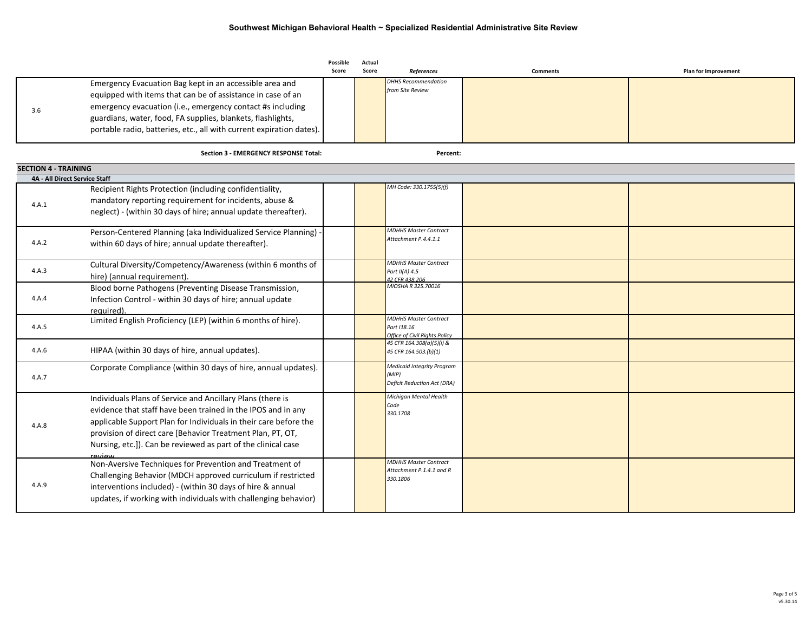|                               |                                                                                                                                                                                                                                                                                                                                         | <b>Possible</b><br>Score | Actual<br>Score | References                                                                | <b>Comments</b> | Plan for Improvement |
|-------------------------------|-----------------------------------------------------------------------------------------------------------------------------------------------------------------------------------------------------------------------------------------------------------------------------------------------------------------------------------------|--------------------------|-----------------|---------------------------------------------------------------------------|-----------------|----------------------|
| 3.6                           | Emergency Evacuation Bag kept in an accessible area and<br>equipped with items that can be of assistance in case of an<br>emergency evacuation (i.e., emergency contact #s including<br>guardians, water, food, FA supplies, blankets, flashlights,<br>portable radio, batteries, etc., all with current expiration dates).             |                          |                 | <b>DHHS Recommendation</b><br>from Site Review                            |                 |                      |
|                               | Section 3 - EMERGENCY RESPONSE Total:                                                                                                                                                                                                                                                                                                   |                          |                 | Percent:                                                                  |                 |                      |
| <b>SECTION 4 - TRAINING</b>   |                                                                                                                                                                                                                                                                                                                                         |                          |                 |                                                                           |                 |                      |
| 4A - All Direct Service Staff |                                                                                                                                                                                                                                                                                                                                         |                          |                 |                                                                           |                 |                      |
| 4.A.1                         | Recipient Rights Protection (including confidentiality,<br>mandatory reporting requirement for incidents, abuse &<br>neglect) - (within 30 days of hire; annual update thereafter).                                                                                                                                                     |                          |                 | MH Code: 330.1755(5)(f)                                                   |                 |                      |
| 4.A.2                         | Person-Centered Planning (aka Individualized Service Planning)<br>within 60 days of hire; annual update thereafter).                                                                                                                                                                                                                    |                          |                 | MDHHS Master Contract<br>Attachment P.4.4.1.1                             |                 |                      |
| 4.A.3                         | Cultural Diversity/Competency/Awareness (within 6 months of<br>hire) (annual requirement).                                                                                                                                                                                                                                              |                          |                 | <b>MDHHS Master Contract</b><br>Part II(A) 4.5<br>42 CFR 438,206          |                 |                      |
| 4.A.4                         | Blood borne Pathogens (Preventing Disease Transmission,<br>Infection Control - within 30 days of hire; annual update<br>required).                                                                                                                                                                                                      |                          |                 | MIOSHA R 325.70016                                                        |                 |                      |
| 4.A.5                         | Limited English Proficiency (LEP) (within 6 months of hire).                                                                                                                                                                                                                                                                            |                          |                 | MDHHS Master Contract<br>Part 118.16<br>Office of Civil Riahts Policy     |                 |                      |
| 4.A.6                         | HIPAA (within 30 days of hire, annual updates).                                                                                                                                                                                                                                                                                         |                          |                 | 45 CFR 164.308(a)(5)(i) &<br>45 CFR 164.503.(b)(1)                        |                 |                      |
| 4.A.7                         | Corporate Compliance (within 30 days of hire, annual updates).                                                                                                                                                                                                                                                                          |                          |                 | Medicaid Integrity Program<br>(MIP)<br><b>Deficit Reduction Act (DRA)</b> |                 |                      |
| 4.A.8                         | Individuals Plans of Service and Ancillary Plans (there is<br>evidence that staff have been trained in the IPOS and in any<br>applicable Support Plan for Individuals in their care before the<br>provision of direct care [Behavior Treatment Plan, PT, OT,<br>Nursing, etc.]). Can be reviewed as part of the clinical case<br>review |                          |                 | Michigan Mental Health<br>Code<br>330.1708                                |                 |                      |
| 4.A.9                         | Non-Aversive Techniques for Prevention and Treatment of<br>Challenging Behavior (MDCH approved curriculum if restricted<br>interventions included) - (within 30 days of hire & annual<br>updates, if working with individuals with challenging behavior)                                                                                |                          |                 | <b>MDHHS Master Contract</b><br>Attachment P.1.4.1 and R<br>330.1806      |                 |                      |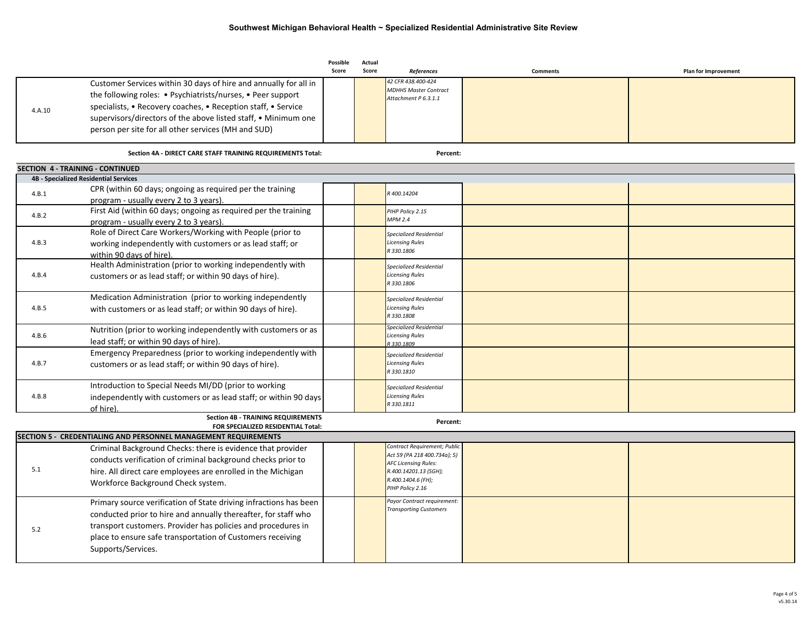|        |                                                                                                     | Possible<br>Score | Actual<br>Score | References                                                   | <b>Comments</b> | <b>Plan for Improvement</b> |
|--------|-----------------------------------------------------------------------------------------------------|-------------------|-----------------|--------------------------------------------------------------|-----------------|-----------------------------|
|        | Customer Services within 30 days of hire and annually for all in                                    |                   |                 | 42 CFR 438.400-424                                           |                 |                             |
|        | the following roles: • Psychiatrists/nurses, • Peer support                                         |                   |                 | <b>MDHHS Master Contract</b><br>Attachment P 6.3.1.1         |                 |                             |
| 4.A.10 | specialists, • Recovery coaches, • Reception staff, • Service                                       |                   |                 |                                                              |                 |                             |
|        | supervisors/directors of the above listed staff, • Minimum one                                      |                   |                 |                                                              |                 |                             |
|        | person per site for all other services (MH and SUD)                                                 |                   |                 |                                                              |                 |                             |
|        | Section 4A - DIRECT CARE STAFF TRAINING REQUIREMENTS Total:                                         |                   |                 | Percent:                                                     |                 |                             |
|        | SECTION 4 - TRAINING - CONTINUED                                                                    |                   |                 |                                                              |                 |                             |
|        | <b>4B - Specialized Residential Services</b>                                                        |                   |                 |                                                              |                 |                             |
| 4.B.1  | CPR (within 60 days; ongoing as required per the training<br>program - usually every 2 to 3 years). |                   |                 | 3400.14204                                                   |                 |                             |
|        | First Aid (within 60 days; ongoing as required per the training                                     |                   |                 | PIHP Policy 2.15                                             |                 |                             |
| 4.B.2  | program - usually every 2 to 3 years).                                                              |                   |                 | MPM 2.4                                                      |                 |                             |
|        | Role of Direct Care Workers/Working with People (prior to                                           |                   |                 | Specialized Residential                                      |                 |                             |
| 4.B.3  | working independently with customers or as lead staff; or                                           |                   |                 | <b>Licensing Rules</b>                                       |                 |                             |
|        | within 90 days of hire).                                                                            |                   |                 | R 330.1806                                                   |                 |                             |
|        | Health Administration (prior to working independently with                                          |                   |                 | Specialized Residential                                      |                 |                             |
| 4.B.4  | customers or as lead staff; or within 90 days of hire).                                             |                   |                 | <b>Licensing Rules</b><br>R 330.1806                         |                 |                             |
|        | Medication Administration (prior to working independently                                           |                   |                 | <b>Specialized Residential</b>                               |                 |                             |
| 4.B.5  | with customers or as lead staff; or within 90 days of hire).                                        |                   |                 | <b>Licensing Rules</b>                                       |                 |                             |
|        |                                                                                                     |                   |                 | R 330.1808                                                   |                 |                             |
| 4.B.6  | Nutrition (prior to working independently with customers or as                                      |                   |                 | Specialized Residential<br><b>Licensing Rules</b>            |                 |                             |
|        | lead staff; or within 90 days of hire).                                                             |                   |                 | 330.1809                                                     |                 |                             |
|        | Emergency Preparedness (prior to working independently with                                         |                   |                 | Specialized Residential                                      |                 |                             |
| 4.B.7  | customers or as lead staff; or within 90 days of hire).                                             |                   |                 | <b>Licensing Rules</b><br>R 330.1810                         |                 |                             |
|        | Introduction to Special Needs MI/DD (prior to working                                               |                   |                 | <b>Specialized Residential</b>                               |                 |                             |
| 4.B.8  | independently with customers or as lead staff; or within 90 days                                    |                   |                 | <b>Licensing Rules</b>                                       |                 |                             |
|        | of hire).                                                                                           |                   |                 | R 330.1811                                                   |                 |                             |
|        | <b>Section 4B - TRAINING REQUIREMENTS</b><br>FOR SPECIALIZED RESIDENTIAL Total:                     |                   |                 | Percent:                                                     |                 |                             |
|        | <b>SECTION 5 - CREDENTIALING AND PERSONNEL MANAGEMENT REQUIREMENTS</b>                              |                   |                 |                                                              |                 |                             |
|        | Criminal Background Checks: there is evidence that provider                                         |                   |                 | Contract Requirement; Public                                 |                 |                             |
|        | conducts verification of criminal background checks prior to                                        |                   |                 | Act 59 (PA 218 400.734a); 5)<br><b>AFC Licensing Rules:</b>  |                 |                             |
| 5.1    | hire. All direct care employees are enrolled in the Michigan                                        |                   |                 | R.400.14201.13 (SGH);                                        |                 |                             |
|        | Workforce Background Check system.                                                                  |                   |                 | R.400.1404.6 (FH);                                           |                 |                             |
|        |                                                                                                     |                   |                 | PIHP Policy 2.16                                             |                 |                             |
|        | Primary source verification of State driving infractions has been                                   |                   |                 | Payor Contract requirement:<br><b>Transporting Customers</b> |                 |                             |
|        | conducted prior to hire and annually thereafter, for staff who                                      |                   |                 |                                                              |                 |                             |
| 5.2    | transport customers. Provider has policies and procedures in                                        |                   |                 |                                                              |                 |                             |
|        | place to ensure safe transportation of Customers receiving                                          |                   |                 |                                                              |                 |                             |
|        | Supports/Services.                                                                                  |                   |                 |                                                              |                 |                             |
|        |                                                                                                     |                   |                 |                                                              |                 |                             |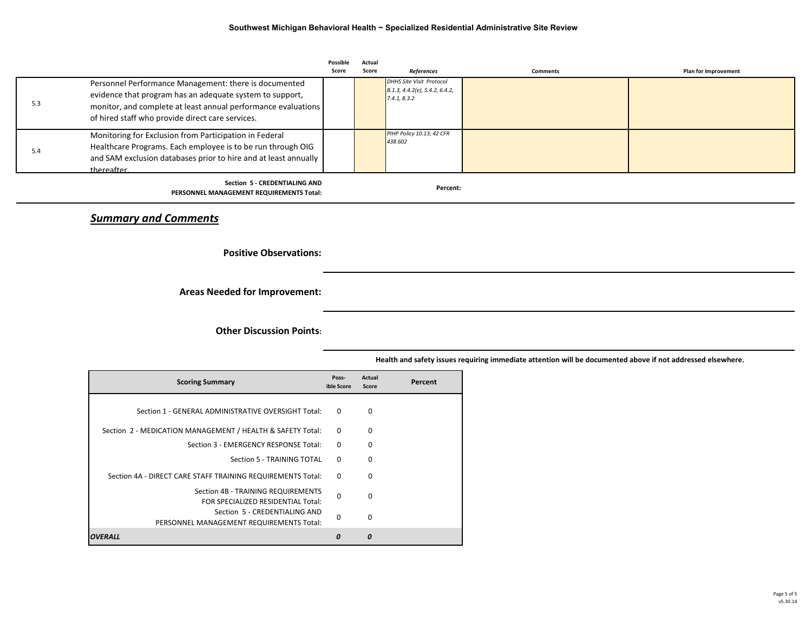|     |                                                                                                                                                                                                                                        | Possible<br>Score | Actual<br>Score | <b>References</b>                                                          | <b>Comments</b> | <b>Plan for Improvement</b> |
|-----|----------------------------------------------------------------------------------------------------------------------------------------------------------------------------------------------------------------------------------------|-------------------|-----------------|----------------------------------------------------------------------------|-----------------|-----------------------------|
| 5.3 | Personnel Performance Management: there is documented<br>evidence that program has an adequate system to support,<br>monitor, and complete at least annual performance evaluations<br>of hired staff who provide direct care services. |                   |                 | DHHS Site Visit Protocol<br>B.1.3, 4.4.2(e), 5.4.2, 6.4.2,<br>7.4.1, 8.3.2 |                 |                             |
| 5.4 | Monitoring for Exclusion from Participation in Federal<br>Healthcare Programs. Each employee is to be run through OIG<br>and SAM exclusion databases prior to hire and at least annually<br>thereafter.                                |                   |                 | PIHP Policy 10.13; 42 CFR<br>438.602                                       |                 |                             |
|     | Section 5 - CREDENTIALING AND<br>PERSONNEL MANAGEMENT REQUIREMENTS Total:                                                                                                                                                              |                   |                 | Percent:                                                                   |                 |                             |

*Summary and Comments*

**Positive Observations:**

**Areas Needed for Improvement:**

**Other Discussion Points:**

| <b>Scoring Summary</b>                                                    | Poss-<br>ible Score | Actual<br>Score | Percent |
|---------------------------------------------------------------------------|---------------------|-----------------|---------|
| Section 1 - GENERAL ADMINISTRATIVE OVERSIGHT Total:                       | $\Omega$            | $\Omega$        |         |
| Section 2 - MEDICATION MANAGEMENT / HEALTH & SAFETY Total:                | $\Omega$            | 0               |         |
| Section 3 - EMERGENCY RESPONSE Total:                                     | $\Omega$            | 0               |         |
| Section 5 - TRAINING TOTAL                                                | $\Omega$            | $\Omega$        |         |
| Section 4A - DIRECT CARE STAFF TRAINING REQUIREMENTS Total:               | $\Omega$            | $\Omega$        |         |
| Section 4B - TRAINING REQUIREMENTS<br>FOR SPECIALIZED RESIDENTIAL Total:  | $\Omega$            | $\Omega$        |         |
| Section 5 - CREDENTIALING AND<br>PERSONNEL MANAGEMENT REQUIREMENTS Total: | $\Omega$            | $\Omega$        |         |
| OVERALL                                                                   | O                   | n               |         |

 **Health and safety issues requiring immediate attention will be documented above if not addressed elsewhere.**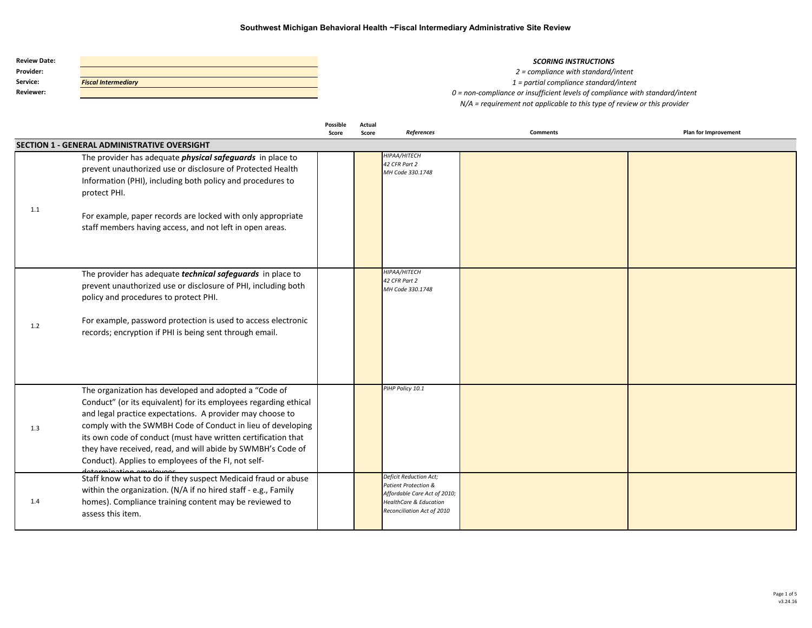| <b>Review Date:</b> |                            |
|---------------------|----------------------------|
| Provider:           |                            |
| Service:            | <b>Fiscal Intermediary</b> |
| <b>Reviewer:</b>    |                            |

#### **SCORING INSTRUCTIONS**

*2 = compliance with standard/intent 1 = partial compliance standard/intent 0 = non-compliance or insufficient levels of compliance with standard/intent N/A = requirement not applicable to this type of review or this provider*

|     |                                                                                                                                                                                                                                                                                                                                                                                                                                              | Possible<br>Score | Actual<br>Score | References                                                                                                                                                          | <b>Comments</b> | <b>Plan for Improvement</b> |
|-----|----------------------------------------------------------------------------------------------------------------------------------------------------------------------------------------------------------------------------------------------------------------------------------------------------------------------------------------------------------------------------------------------------------------------------------------------|-------------------|-----------------|---------------------------------------------------------------------------------------------------------------------------------------------------------------------|-----------------|-----------------------------|
|     | <b>SECTION 1 - GENERAL ADMINISTRATIVE OVERSIGHT</b>                                                                                                                                                                                                                                                                                                                                                                                          |                   |                 |                                                                                                                                                                     |                 |                             |
| 1.1 | The provider has adequate <i>physical safeguards</i> in place to<br>prevent unauthorized use or disclosure of Protected Health<br>Information (PHI), including both policy and procedures to<br>protect PHI.<br>For example, paper records are locked with only appropriate<br>staff members having access, and not left in open areas.                                                                                                      |                   |                 | HIPAA/HITECH<br>42 CFR Part 2<br>MH Code 330.1748                                                                                                                   |                 |                             |
| 1.2 | The provider has adequate <i>technical safeguards</i> in place to<br>prevent unauthorized use or disclosure of PHI, including both<br>policy and procedures to protect PHI.<br>For example, password protection is used to access electronic<br>records; encryption if PHI is being sent through email.                                                                                                                                      |                   |                 | НІРАА/НІТЕСН<br>42 CFR Part 2<br>MH Code 330.1748                                                                                                                   |                 |                             |
| 1.3 | The organization has developed and adopted a "Code of<br>Conduct" (or its equivalent) for its employees regarding ethical<br>and legal practice expectations. A provider may choose to<br>comply with the SWMBH Code of Conduct in lieu of developing<br>its own code of conduct (must have written certification that<br>they have received, read, and will abide by SWMBH's Code of<br>Conduct). Applies to employees of the FI, not self- |                   |                 | PIHP Policy 10.1                                                                                                                                                    |                 |                             |
| 1.4 | Staff know what to do if they suspect Medicaid fraud or abuse<br>within the organization. (N/A if no hired staff - e.g., Family<br>homes). Compliance training content may be reviewed to<br>assess this item.                                                                                                                                                                                                                               |                   |                 | <b>Deficit Reduction Act;</b><br><b>Patient Protection &amp;</b><br>Affordable Care Act of 2010;<br><b>HealthCare &amp; Education</b><br>Reconciliation Act of 2010 |                 |                             |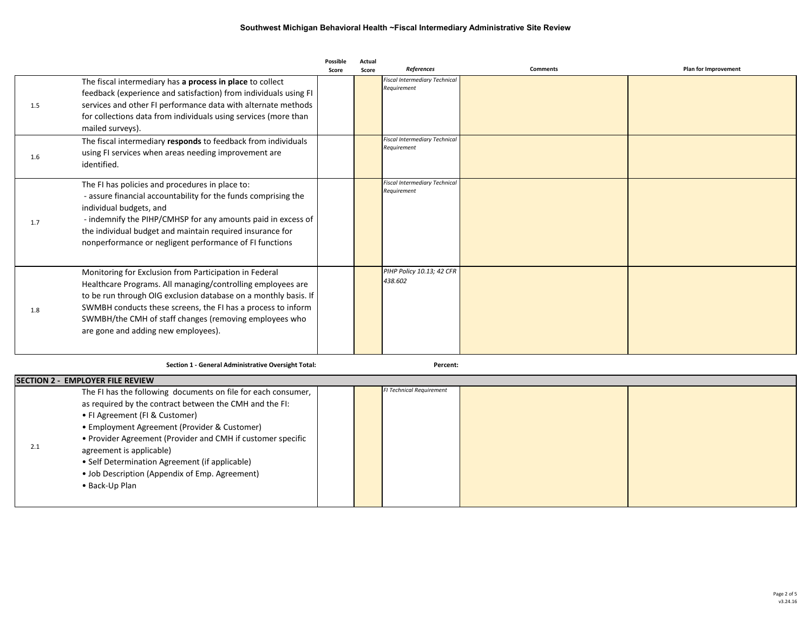|     |                                                                                                                                                                                                                                                                                                                                                           | Possible<br>Score | Actual<br>Score | <b>References</b>                                   | <b>Comments</b> | <b>Plan for Improvement</b> |
|-----|-----------------------------------------------------------------------------------------------------------------------------------------------------------------------------------------------------------------------------------------------------------------------------------------------------------------------------------------------------------|-------------------|-----------------|-----------------------------------------------------|-----------------|-----------------------------|
| 1.5 | The fiscal intermediary has a process in place to collect<br>feedback (experience and satisfaction) from individuals using FI<br>services and other FI performance data with alternate methods<br>for collections data from individuals using services (more than<br>mailed surveys).                                                                     |                   |                 | <b>Fiscal Intermediary Technical</b><br>Requirement |                 |                             |
| 1.6 | The fiscal intermediary responds to feedback from individuals<br>using FI services when areas needing improvement are<br>identified.                                                                                                                                                                                                                      |                   |                 | <b>Fiscal Intermediary Technical</b><br>Requirement |                 |                             |
| 1.7 | The FI has policies and procedures in place to:<br>- assure financial accountability for the funds comprising the<br>individual budgets, and<br>- indemnify the PIHP/CMHSP for any amounts paid in excess of<br>the individual budget and maintain required insurance for<br>nonperformance or negligent performance of FI functions                      |                   |                 | <b>Fiscal Intermediary Technical</b><br>Requirement |                 |                             |
| 1.8 | Monitoring for Exclusion from Participation in Federal<br>Healthcare Programs. All managing/controlling employees are<br>to be run through OIG exclusion database on a monthly basis. If<br>SWMBH conducts these screens, the FI has a process to inform<br>SWMBH/the CMH of staff changes (removing employees who<br>are gone and adding new employees). |                   |                 | PIHP Policy 10.13; 42 CFR<br>438.602                |                 |                             |

**Section 1 - General Administrative Oversight Total: 0 0 Percent:**

|     | <b>SECTION 2 - EMPLOYER FILE REVIEW</b>                       |  |  |                                 |  |  |  |  |  |  |
|-----|---------------------------------------------------------------|--|--|---------------------------------|--|--|--|--|--|--|
|     | The FI has the following documents on file for each consumer, |  |  | <b>FI Technical Requirement</b> |  |  |  |  |  |  |
|     | as required by the contract between the CMH and the FI:       |  |  |                                 |  |  |  |  |  |  |
|     | • FI Agreement (FI & Customer)                                |  |  |                                 |  |  |  |  |  |  |
|     | • Employment Agreement (Provider & Customer)                  |  |  |                                 |  |  |  |  |  |  |
|     | • Provider Agreement (Provider and CMH if customer specific   |  |  |                                 |  |  |  |  |  |  |
| 2.1 | agreement is applicable)                                      |  |  |                                 |  |  |  |  |  |  |
|     | • Self Determination Agreement (if applicable)                |  |  |                                 |  |  |  |  |  |  |
|     | • Job Description (Appendix of Emp. Agreement)                |  |  |                                 |  |  |  |  |  |  |
|     | • Back-Up Plan                                                |  |  |                                 |  |  |  |  |  |  |
|     |                                                               |  |  |                                 |  |  |  |  |  |  |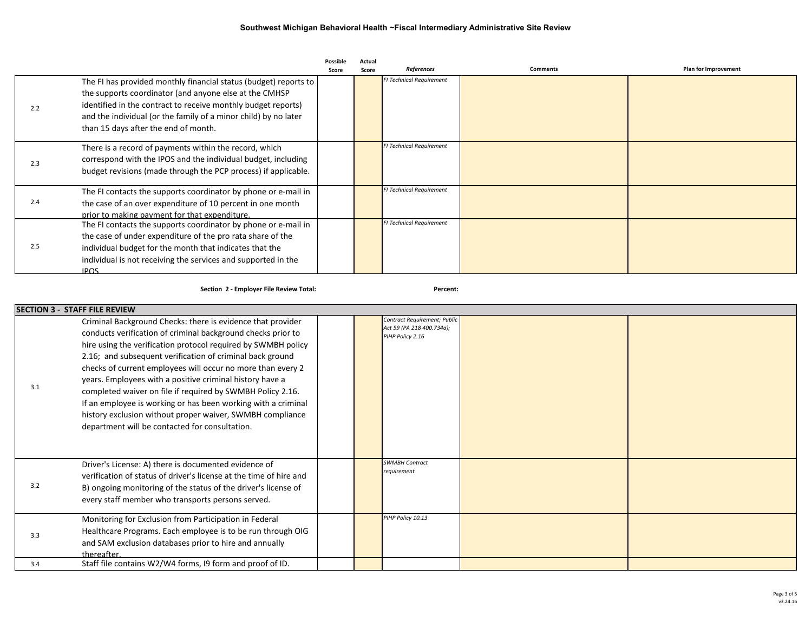|     |                                                                                                                                                                                                                                                                                                        | Possible<br>Score | Actual<br>Score | References                      | <b>Comments</b> | Plan for Improvement |
|-----|--------------------------------------------------------------------------------------------------------------------------------------------------------------------------------------------------------------------------------------------------------------------------------------------------------|-------------------|-----------------|---------------------------------|-----------------|----------------------|
| 2.2 | The FI has provided monthly financial status (budget) reports to<br>the supports coordinator (and anyone else at the CMHSP<br>identified in the contract to receive monthly budget reports)<br>and the individual (or the family of a minor child) by no later<br>than 15 days after the end of month. |                   |                 | <b>FI Technical Requirement</b> |                 |                      |
| 2.3 | There is a record of payments within the record, which<br>correspond with the IPOS and the individual budget, including<br>budget revisions (made through the PCP process) if applicable.                                                                                                              |                   |                 | <b>FI Technical Requirement</b> |                 |                      |
| 2.4 | The FI contacts the supports coordinator by phone or e-mail in<br>the case of an over expenditure of 10 percent in one month<br>prior to making payment for that expenditure.                                                                                                                          |                   |                 | <b>FI Technical Requirement</b> |                 |                      |
| 2.5 | The FI contacts the supports coordinator by phone or e-mail in<br>the case of under expenditure of the pro rata share of the<br>individual budget for the month that indicates that the<br>individual is not receiving the services and supported in the<br><b>IPOS</b>                                |                   |                 | <b>FI Technical Requirement</b> |                 |                      |

**Section 2 - Employer File Review Total: 0 0 Percent:**

|     | <b>SECTION 3 - STAFF FILE REVIEW</b>                                                                                                                                                                                                                                                                                                                                                                                                                                                                                                                                                                                               |                                                                               |  |
|-----|------------------------------------------------------------------------------------------------------------------------------------------------------------------------------------------------------------------------------------------------------------------------------------------------------------------------------------------------------------------------------------------------------------------------------------------------------------------------------------------------------------------------------------------------------------------------------------------------------------------------------------|-------------------------------------------------------------------------------|--|
| 3.1 | Criminal Background Checks: there is evidence that provider<br>conducts verification of criminal background checks prior to<br>hire using the verification protocol required by SWMBH policy<br>2.16; and subsequent verification of criminal back ground<br>checks of current employees will occur no more than every 2<br>years. Employees with a positive criminal history have a<br>completed waiver on file if required by SWMBH Policy 2.16.<br>If an employee is working or has been working with a criminal<br>history exclusion without proper waiver, SWMBH compliance<br>department will be contacted for consultation. | Contract Requirement; Public<br>Act 59 (PA 218 400.734a);<br>PIHP Policy 2.16 |  |
| 3.2 | Driver's License: A) there is documented evidence of<br>verification of status of driver's license at the time of hire and<br>B) ongoing monitoring of the status of the driver's license of<br>every staff member who transports persons served.                                                                                                                                                                                                                                                                                                                                                                                  | <b>SWMBH Contract</b><br>requirement                                          |  |
| 3.3 | Monitoring for Exclusion from Participation in Federal<br>Healthcare Programs. Each employee is to be run through OIG<br>and SAM exclusion databases prior to hire and annually<br>thereafter.                                                                                                                                                                                                                                                                                                                                                                                                                                     | PIHP Policy 10.13                                                             |  |
| 3.4 | Staff file contains W2/W4 forms, I9 form and proof of ID.                                                                                                                                                                                                                                                                                                                                                                                                                                                                                                                                                                          |                                                                               |  |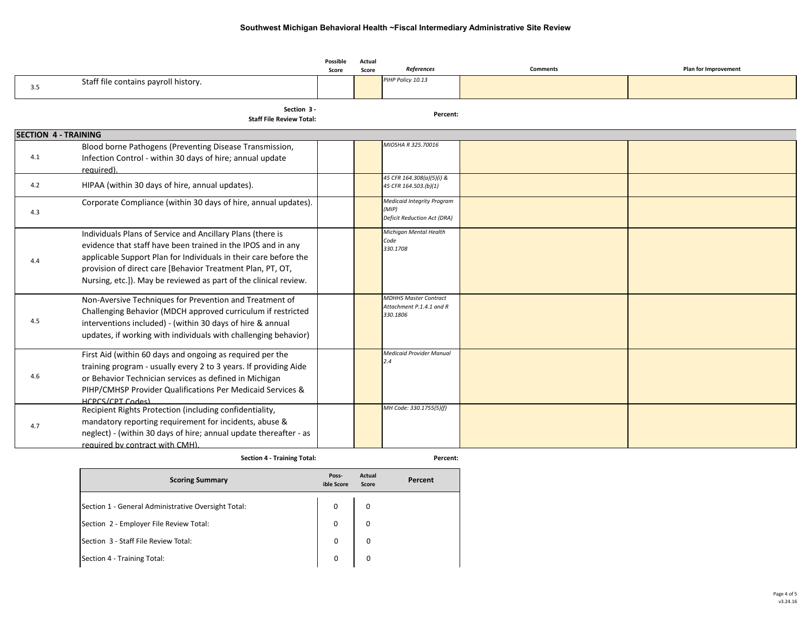|                             |                                                                                                                                                                                                                                                                                                                                  | Possible<br>Score | Actual<br>Score | References                                                                | <b>Comments</b> | Plan for Improvement |
|-----------------------------|----------------------------------------------------------------------------------------------------------------------------------------------------------------------------------------------------------------------------------------------------------------------------------------------------------------------------------|-------------------|-----------------|---------------------------------------------------------------------------|-----------------|----------------------|
| 3.5                         | Staff file contains payroll history.                                                                                                                                                                                                                                                                                             |                   |                 | PIHP Policy 10.13                                                         |                 |                      |
|                             | Section 3 -<br><b>Staff File Review Total:</b>                                                                                                                                                                                                                                                                                   |                   |                 | Percent:                                                                  |                 |                      |
| <b>SECTION 4 - TRAINING</b> |                                                                                                                                                                                                                                                                                                                                  |                   |                 |                                                                           |                 |                      |
| 4.1                         | Blood borne Pathogens (Preventing Disease Transmission,<br>Infection Control - within 30 days of hire; annual update<br>required).                                                                                                                                                                                               |                   |                 | MIOSHA R 325.70016                                                        |                 |                      |
| 4.2                         | HIPAA (within 30 days of hire, annual updates).                                                                                                                                                                                                                                                                                  |                   |                 | 45 CFR 164.308(a)(5)(i) &<br>45 CFR 164.503.(b)(1)                        |                 |                      |
| 4.3                         | Corporate Compliance (within 30 days of hire, annual updates).                                                                                                                                                                                                                                                                   |                   |                 | <b>Medicaid Integrity Program</b><br>(MIP)<br>Deficit Reduction Act (DRA) |                 |                      |
| 4.4                         | Individuals Plans of Service and Ancillary Plans (there is<br>evidence that staff have been trained in the IPOS and in any<br>applicable Support Plan for Individuals in their care before the<br>provision of direct care [Behavior Treatment Plan, PT, OT,<br>Nursing, etc.]). May be reviewed as part of the clinical review. |                   |                 | Michigan Mental Health<br>Code<br>330.1708                                |                 |                      |
| 4.5                         | Non-Aversive Techniques for Prevention and Treatment of<br>Challenging Behavior (MDCH approved curriculum if restricted<br>interventions included) - (within 30 days of hire & annual<br>updates, if working with individuals with challenging behavior)                                                                         |                   |                 | <b>MDHHS Master Contract</b><br>Attachment P.1.4.1 and R<br>330.1806      |                 |                      |
| 4.6                         | First Aid (within 60 days and ongoing as required per the<br>training program - usually every 2 to 3 years. If providing Aide<br>or Behavior Technician services as defined in Michigan<br>PIHP/CMHSP Provider Qualifications Per Medicaid Services &<br>HCPCS/CPT Codes)                                                        |                   |                 | <b>Medicaid Provider Manual</b><br>2.4                                    |                 |                      |
| 4.7                         | Recipient Rights Protection (including confidentiality,<br>mandatory reporting requirement for incidents, abuse &<br>neglect) - (within 30 days of hire; annual update thereafter - as<br>required by contract with CMH).                                                                                                        |                   |                 | MH Code: 330.1755(5)(f)                                                   |                 |                      |
|                             | <b>Section 4 - Training Total:</b>                                                                                                                                                                                                                                                                                               |                   |                 | Percent:                                                                  |                 |                      |

| <b>Scoring Summary</b>                              | Poss-<br>ible Score | Actual<br>Score | Percent |
|-----------------------------------------------------|---------------------|-----------------|---------|
| Section 1 - General Administrative Oversight Total: | 0                   | 0               |         |
| Section 2 - Employer File Review Total:             | 0                   | 0               |         |
| Section 3 - Staff File Review Total:                | 0                   | 0               |         |
| Section 4 - Training Total:                         | $\mathbf 0$         | 0               |         |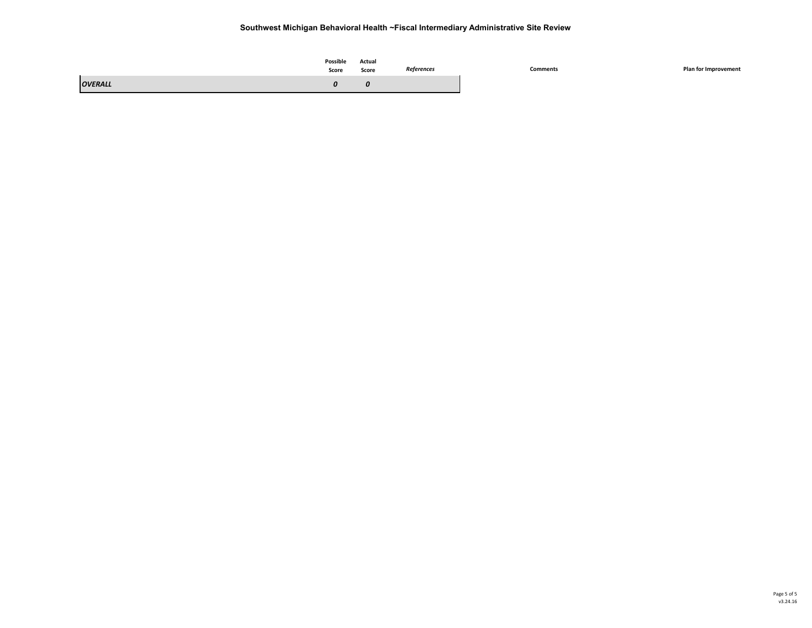|                | Possible<br>Score | Actual<br>.<br>Score | References | Comments | Plan for Improvement |
|----------------|-------------------|----------------------|------------|----------|----------------------|
| <b>OVERALL</b> |                   | U                    |            |          |                      |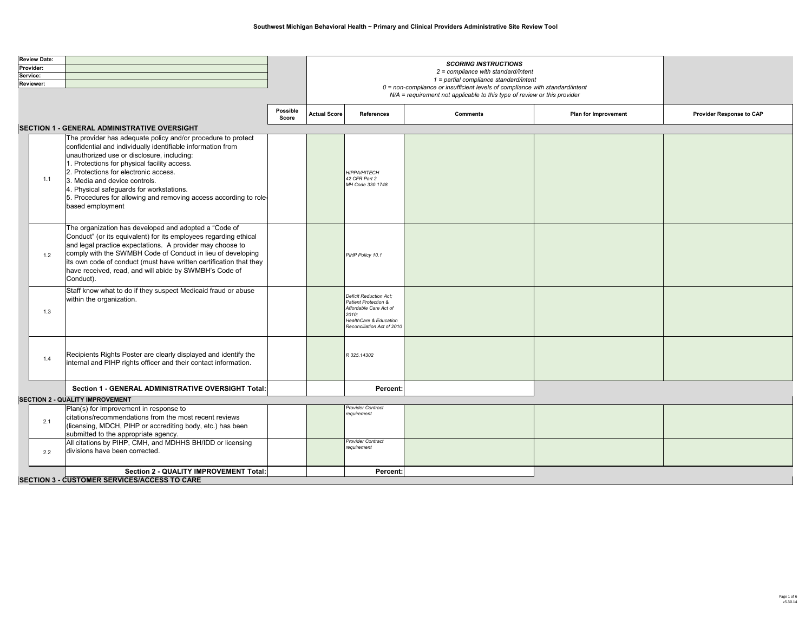| <b>Review Date:</b> |                                        |                                                                    |          |                                                                                 |                                                                 |                                                                              |                      |                          |  |  |
|---------------------|----------------------------------------|--------------------------------------------------------------------|----------|---------------------------------------------------------------------------------|-----------------------------------------------------------------|------------------------------------------------------------------------------|----------------------|--------------------------|--|--|
| Provider:           |                                        |                                                                    |          | <b>SCORING INSTRUCTIONS</b>                                                     |                                                                 |                                                                              |                      |                          |  |  |
| Service:            |                                        |                                                                    |          | $2$ = compliance with standard/intent<br>1 = partial compliance standard/intent |                                                                 |                                                                              |                      |                          |  |  |
| Reviewer:           |                                        |                                                                    |          |                                                                                 |                                                                 | 0 = non-compliance or insufficient levels of compliance with standard/intent |                      |                          |  |  |
|                     |                                        |                                                                    |          |                                                                                 |                                                                 | N/A = requirement not applicable to this type of review or this provider     |                      |                          |  |  |
|                     |                                        |                                                                    |          |                                                                                 |                                                                 |                                                                              |                      |                          |  |  |
|                     |                                        |                                                                    | Possible | <b>Actual Score</b>                                                             | <b>References</b>                                               | <b>Comments</b>                                                              | Plan for Improvement | Provider Response to CAP |  |  |
|                     |                                        |                                                                    | Score    |                                                                                 |                                                                 |                                                                              |                      |                          |  |  |
|                     |                                        | SECTION 1 - GENERAL ADMINISTRATIVE OVERSIGHT                       |          |                                                                                 |                                                                 |                                                                              |                      |                          |  |  |
|                     |                                        | The provider has adequate policy and/or procedure to protect       |          |                                                                                 |                                                                 |                                                                              |                      |                          |  |  |
|                     |                                        | confidential and individually identifiable information from        |          |                                                                                 |                                                                 |                                                                              |                      |                          |  |  |
|                     |                                        | unauthorized use or disclosure, including:                         |          |                                                                                 |                                                                 |                                                                              |                      |                          |  |  |
|                     |                                        | 1. Protections for physical facility access.                       |          |                                                                                 |                                                                 |                                                                              |                      |                          |  |  |
|                     |                                        | 2. Protections for electronic access.                              |          |                                                                                 | <b>HIPPA/HITECH</b>                                             |                                                                              |                      |                          |  |  |
|                     | 1.1                                    | 3. Media and device controls.                                      |          |                                                                                 | 42 CFR Part 2<br>MH Code 330.1748                               |                                                                              |                      |                          |  |  |
|                     |                                        | 4. Physical safeguards for workstations.                           |          |                                                                                 |                                                                 |                                                                              |                      |                          |  |  |
|                     |                                        | 5. Procedures for allowing and removing access according to role-  |          |                                                                                 |                                                                 |                                                                              |                      |                          |  |  |
|                     |                                        | based employment                                                   |          |                                                                                 |                                                                 |                                                                              |                      |                          |  |  |
|                     |                                        |                                                                    |          |                                                                                 |                                                                 |                                                                              |                      |                          |  |  |
|                     |                                        | The organization has developed and adopted a "Code of              |          |                                                                                 |                                                                 |                                                                              |                      |                          |  |  |
|                     |                                        | Conduct" (or its equivalent) for its employees regarding ethical   |          |                                                                                 |                                                                 |                                                                              |                      |                          |  |  |
|                     |                                        | and legal practice expectations. A provider may choose to          |          |                                                                                 |                                                                 |                                                                              |                      |                          |  |  |
|                     | 1.2                                    | comply with the SWMBH Code of Conduct in lieu of developing        |          |                                                                                 | PIHP Policy 10.1                                                |                                                                              |                      |                          |  |  |
|                     |                                        | its own code of conduct (must have written certification that they |          |                                                                                 |                                                                 |                                                                              |                      |                          |  |  |
|                     |                                        | have received, read, and will abide by SWMBH's Code of             |          |                                                                                 |                                                                 |                                                                              |                      |                          |  |  |
|                     |                                        | Conduct).                                                          |          |                                                                                 |                                                                 |                                                                              |                      |                          |  |  |
|                     |                                        | Staff know what to do if they suspect Medicaid fraud or abuse      |          |                                                                                 |                                                                 |                                                                              |                      |                          |  |  |
|                     |                                        | within the organization.                                           |          |                                                                                 | <b>Deficit Reduction Act:</b>                                   |                                                                              |                      |                          |  |  |
|                     |                                        |                                                                    |          |                                                                                 | Patient Protection &<br>Affordable Care Act of                  |                                                                              |                      |                          |  |  |
|                     | 1.3                                    |                                                                    |          |                                                                                 | 2010:                                                           |                                                                              |                      |                          |  |  |
|                     |                                        |                                                                    |          |                                                                                 | <b>HealthCare &amp; Education</b><br>Reconciliation Act of 2010 |                                                                              |                      |                          |  |  |
|                     |                                        |                                                                    |          |                                                                                 |                                                                 |                                                                              |                      |                          |  |  |
|                     |                                        |                                                                    |          |                                                                                 |                                                                 |                                                                              |                      |                          |  |  |
|                     |                                        | Recipients Rights Poster are clearly displayed and identify the    |          |                                                                                 | R 325,14302                                                     |                                                                              |                      |                          |  |  |
|                     | 1.4                                    | internal and PIHP rights officer and their contact information.    |          |                                                                                 |                                                                 |                                                                              |                      |                          |  |  |
|                     |                                        |                                                                    |          |                                                                                 |                                                                 |                                                                              |                      |                          |  |  |
|                     |                                        |                                                                    |          |                                                                                 |                                                                 |                                                                              |                      |                          |  |  |
|                     |                                        | Section 1 - GENERAL ADMINISTRATIVE OVERSIGHT Total:                |          |                                                                                 | Percent:                                                        |                                                                              |                      |                          |  |  |
|                     | <b>SECTION 2 - QUALITY IMPROVEMENT</b> |                                                                    |          |                                                                                 |                                                                 |                                                                              |                      |                          |  |  |
|                     |                                        | Plan(s) for Improvement in response to                             |          |                                                                                 | Provider Contract                                               |                                                                              |                      |                          |  |  |
| 2.1                 |                                        | citations/recommendations from the most recent reviews             |          |                                                                                 | requirement                                                     |                                                                              |                      |                          |  |  |
|                     |                                        | (licensing, MDCH, PIHP or accrediting body, etc.) has been         |          |                                                                                 |                                                                 |                                                                              |                      |                          |  |  |
|                     |                                        | submitted to the appropriate agency.                               |          |                                                                                 |                                                                 |                                                                              |                      |                          |  |  |
|                     |                                        | All citations by PIHP, CMH, and MDHHS BH/IDD or licensing          |          |                                                                                 | <b>Provider Contract</b>                                        |                                                                              |                      |                          |  |  |
|                     | 2.2                                    | divisions have been corrected.                                     |          |                                                                                 | requirement                                                     |                                                                              |                      |                          |  |  |
|                     |                                        |                                                                    |          |                                                                                 |                                                                 |                                                                              |                      |                          |  |  |
|                     |                                        | Section 2 - QUALITY IMPROVEMENT Total:                             |          |                                                                                 | Percent:                                                        |                                                                              |                      |                          |  |  |
|                     |                                        | SECTION 3 - CUSTOMER SERVICES/ACCESS TO CARE                       |          |                                                                                 |                                                                 |                                                                              |                      |                          |  |  |

**SECTION 3 - CUSTOMER SERVICES/ACCE**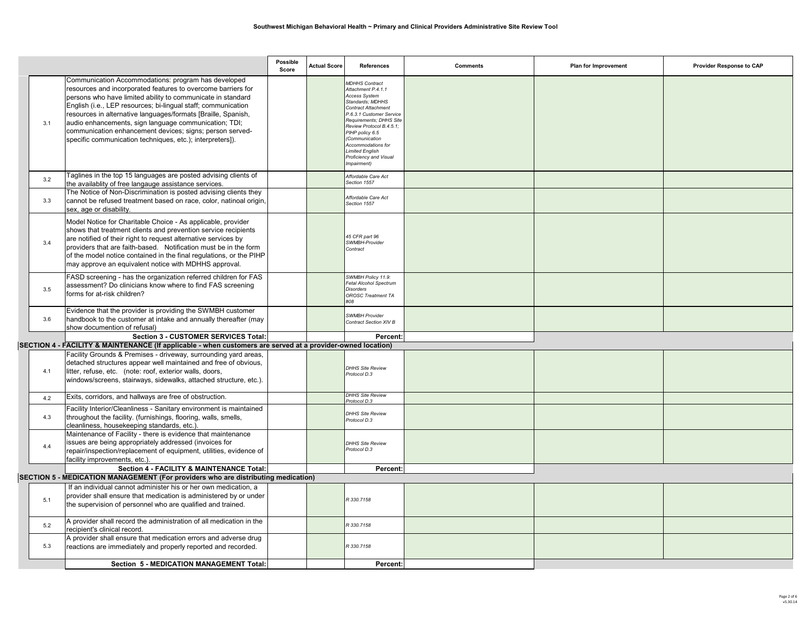|     |                                                                                                                                                                                                                                                                                                                                                                                                                                                                                                        | Possible<br>Score | <b>Actual Score</b> | References                                                                                                                                                                                                                                                                                                                      | <b>Comments</b> | Plan for Improvement | <b>Provider Response to CAP</b> |  |  |  |
|-----|--------------------------------------------------------------------------------------------------------------------------------------------------------------------------------------------------------------------------------------------------------------------------------------------------------------------------------------------------------------------------------------------------------------------------------------------------------------------------------------------------------|-------------------|---------------------|---------------------------------------------------------------------------------------------------------------------------------------------------------------------------------------------------------------------------------------------------------------------------------------------------------------------------------|-----------------|----------------------|---------------------------------|--|--|--|
| 3.1 | Communication Accommodations: program has developed<br>resources and incorporated features to overcome barriers for<br>persons who have limited ability to communicate in standard<br>English (i.e., LEP resources; bi-lingual staff; communication<br>resources in alternative languages/formats [Braille, Spanish,<br>audio enhancements, sign language communication; TDI;<br>communication enhancement devices; signs; person served-<br>specific communication techniques, etc.); interpreters]). |                   |                     | <b>MDHHS Contract</b><br>Attachment P.4.1.1<br>Access System<br>Standards; MDHHS<br><b>Contract Attachment</b><br>P.6.3.1 Customer Service<br>Requirements; DHHS Site<br>Review Protocol B.4.5.1;<br>PIHP policy 6.5<br>(Communication<br>Accommodations for<br><b>Limited English</b><br>Proficiency and Visual<br>Impairment) |                 |                      |                                 |  |  |  |
| 3.2 | Taglines in the top 15 languages are posted advising clients of<br>the availablity of free langauge assistance services.                                                                                                                                                                                                                                                                                                                                                                               |                   |                     | Affordable Care Act<br>Section 1557                                                                                                                                                                                                                                                                                             |                 |                      |                                 |  |  |  |
| 3.3 | The Notice of Non-Discrimination is posted advising clients they<br>cannot be refused treatment based on race, color, natinoal origin,<br>sex, age or disability.                                                                                                                                                                                                                                                                                                                                      |                   |                     | Affordable Care Act<br>Section 1557                                                                                                                                                                                                                                                                                             |                 |                      |                                 |  |  |  |
| 3.4 | Model Notice for Charitable Choice - As applicable, provider<br>shows that treatment clients and prevention service recipients<br>are notified of their right to request alternative services by<br>providers that are faith-based. Notification must be in the form<br>of the model notice contained in the final regulations, or the PIHP<br>may approve an equivalent notice with MDHHS approval.                                                                                                   |                   |                     | 45 CFR part 96<br>SWMBH-Provider<br>Contract                                                                                                                                                                                                                                                                                    |                 |                      |                                 |  |  |  |
| 3.5 | FASD screening - has the organization referred children for FAS<br>assessment? Do clinicians know where to find FAS screening<br>forms for at-risk children?                                                                                                                                                                                                                                                                                                                                           |                   |                     | SWMBH Policy 11.9:<br>Fetal Alcohol Spectrum<br><b>Disorders</b><br>OROSC Treatment TA<br>#08                                                                                                                                                                                                                                   |                 |                      |                                 |  |  |  |
| 3.6 | Evidence that the provider is providing the SWMBH customer<br>handbook to the customer at intake and annually thereafter (may<br>show documention of refusal)                                                                                                                                                                                                                                                                                                                                          |                   |                     | SWMBH Provider<br>Contract Section XIV B                                                                                                                                                                                                                                                                                        |                 |                      |                                 |  |  |  |
|     | Section 3 - CUSTOMER SERVICES Total:                                                                                                                                                                                                                                                                                                                                                                                                                                                                   |                   |                     | Percent:                                                                                                                                                                                                                                                                                                                        |                 |                      |                                 |  |  |  |
|     | SECTION 4 - FACILITY & MAINTENANCE (If applicable - when customers are served at a provider-owned location)<br>Facility Grounds & Premises - driveway, surrounding yard areas,                                                                                                                                                                                                                                                                                                                         |                   |                     |                                                                                                                                                                                                                                                                                                                                 |                 |                      |                                 |  |  |  |
| 4.1 | detached structures appear well maintained and free of obvious,<br>litter, refuse, etc. (note: roof, exterior walls, doors,<br>windows/screens, stairways, sidewalks, attached structure, etc.).                                                                                                                                                                                                                                                                                                       |                   |                     | <b>DHHS Site Review</b><br>Protocol D.3                                                                                                                                                                                                                                                                                         |                 |                      |                                 |  |  |  |
| 4.2 | Exits, corridors, and hallways are free of obstruction.                                                                                                                                                                                                                                                                                                                                                                                                                                                |                   |                     | <b>DHHS Site Review</b><br>Protocol D.3                                                                                                                                                                                                                                                                                         |                 |                      |                                 |  |  |  |
| 4.3 | Facility Interior/Cleanliness - Sanitary environment is maintained<br>throughout the facility. (furnishings, flooring, walls, smells,<br>cleanliness, housekeeping standards, etc.).                                                                                                                                                                                                                                                                                                                   |                   |                     | <b>DHHS Site Review</b><br>Protocol D.3                                                                                                                                                                                                                                                                                         |                 |                      |                                 |  |  |  |
| 4.4 | Maintenance of Facility - there is evidence that maintenance<br>issues are being appropriately addressed (invoices for<br>repair/inspection/replacement of equipment, utilities, evidence of<br>facility improvements, etc.).                                                                                                                                                                                                                                                                          |                   |                     | <b>DHHS Site Review</b><br>Protocol D.3                                                                                                                                                                                                                                                                                         |                 |                      |                                 |  |  |  |
|     | Section 4 - FACILITY & MAINTENANCE Total:<br>Percent:<br>SECTION 5 - MEDICATION MANAGEMENT (For providers who are distributing medication)                                                                                                                                                                                                                                                                                                                                                             |                   |                     |                                                                                                                                                                                                                                                                                                                                 |                 |                      |                                 |  |  |  |
|     | If an individual cannot administer his or her own medication, a                                                                                                                                                                                                                                                                                                                                                                                                                                        |                   |                     |                                                                                                                                                                                                                                                                                                                                 |                 |                      |                                 |  |  |  |
| 5.1 | provider shall ensure that medication is administered by or under<br>the supervision of personnel who are qualified and trained.                                                                                                                                                                                                                                                                                                                                                                       |                   |                     | R 330.7158                                                                                                                                                                                                                                                                                                                      |                 |                      |                                 |  |  |  |
| 5.2 | A provider shall record the administration of all medication in the<br>recipient's clinical record.                                                                                                                                                                                                                                                                                                                                                                                                    |                   |                     | R 330.7158                                                                                                                                                                                                                                                                                                                      |                 |                      |                                 |  |  |  |
| 5.3 | A provider shall ensure that medication errors and adverse drug<br>reactions are immediately and properly reported and recorded.                                                                                                                                                                                                                                                                                                                                                                       |                   |                     | R 330.7158                                                                                                                                                                                                                                                                                                                      |                 |                      |                                 |  |  |  |
|     | Section 5 - MEDICATION MANAGEMENT Total:                                                                                                                                                                                                                                                                                                                                                                                                                                                               |                   |                     | Percent:                                                                                                                                                                                                                                                                                                                        |                 |                      |                                 |  |  |  |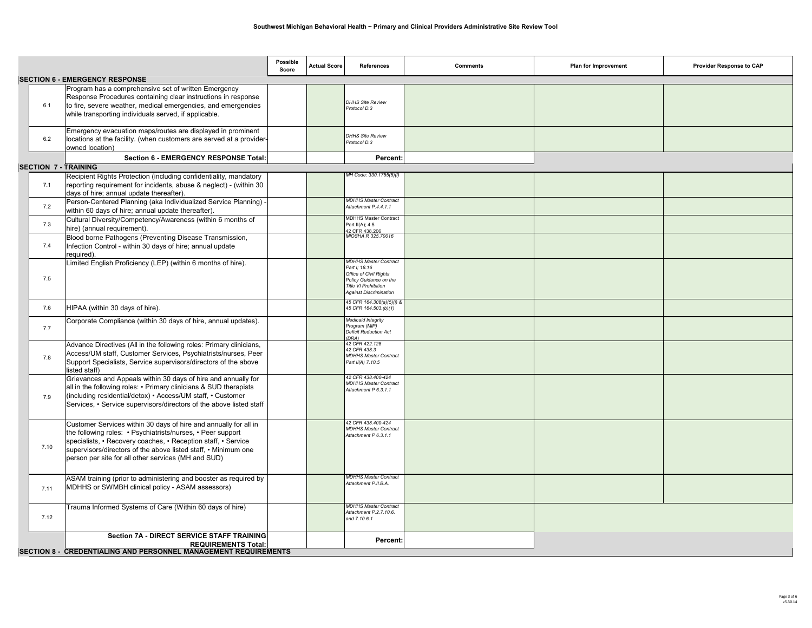|                             |                                                                                                                                                                                                                                                                                                                           | Possible<br>Score | <b>Actual Score</b> | References                                                                                                                                                 | <b>Comments</b> | Plan for Improvement | Provider Response to CAP |
|-----------------------------|---------------------------------------------------------------------------------------------------------------------------------------------------------------------------------------------------------------------------------------------------------------------------------------------------------------------------|-------------------|---------------------|------------------------------------------------------------------------------------------------------------------------------------------------------------|-----------------|----------------------|--------------------------|
|                             | <b>SECTION 6 - EMERGENCY RESPONSE</b>                                                                                                                                                                                                                                                                                     |                   |                     |                                                                                                                                                            |                 |                      |                          |
| 6.1                         | Program has a comprehensive set of written Emergency<br>Response Procedures containing clear instructions in response<br>to fire, severe weather, medical emergencies, and emergencies<br>while transporting individuals served, if applicable.                                                                           |                   |                     | <b>DHHS Site Review</b><br>Protocol D.3                                                                                                                    |                 |                      |                          |
| 6.2                         | Emergency evacuation maps/routes are displayed in prominent<br>locations at the facility. (when customers are served at a provider-<br>owned location)                                                                                                                                                                    |                   |                     | <b>DHHS Site Review</b><br>Protocol D.3                                                                                                                    |                 |                      |                          |
|                             | Section 6 - EMERGENCY RESPONSE Total:                                                                                                                                                                                                                                                                                     |                   |                     | Percent                                                                                                                                                    |                 |                      |                          |
| <b>SECTION 7 - TRAINING</b> |                                                                                                                                                                                                                                                                                                                           |                   |                     |                                                                                                                                                            |                 |                      |                          |
| 7.1                         | Recipient Rights Protection (including confidentiality, mandatory<br>reporting requirement for incidents, abuse & neglect) - (within 30<br>days of hire; annual update thereafter).                                                                                                                                       |                   |                     | MH Code: 330.1755(5)(f)                                                                                                                                    |                 |                      |                          |
| 7.2                         | Person-Centered Planning (aka Individualized Service Planning) -<br>within 60 days of hire; annual update thereafter).                                                                                                                                                                                                    |                   |                     | <b>MDHHS Master Contract</b><br>Attachment P.4.4.1.1                                                                                                       |                 |                      |                          |
| 7.3                         | Cultural Diversity/Competency/Awareness (within 6 months of<br>hire) (annual requirement).                                                                                                                                                                                                                                |                   |                     | <b>MDHHS Master Contract</b><br>Part II(A); 4.5<br>2 CFR 438 206                                                                                           |                 |                      |                          |
| 7.4                         | Blood borne Pathogens (Preventing Disease Transmission,<br>Infection Control - within 30 days of hire; annual update<br>required).                                                                                                                                                                                        |                   |                     | MIOSHA R 325.70016                                                                                                                                         |                 |                      |                          |
| 7.5                         | Limited English Proficiency (LEP) (within 6 months of hire).                                                                                                                                                                                                                                                              |                   |                     | <b>MDHHS Master Contract</b><br>Part I; 18.16<br>Office of Civil Rights<br>Policy Guidance on the<br>Title VI Prohibition<br><b>Against Discrimination</b> |                 |                      |                          |
| 7.6                         | HIPAA (within 30 days of hire).                                                                                                                                                                                                                                                                                           |                   |                     | 45 CFR 164.308(a)(5)(i) &<br>45 CFR 164.503.(b)(1)                                                                                                         |                 |                      |                          |
| 7.7                         | Corporate Compliance (within 30 days of hire, annual updates).                                                                                                                                                                                                                                                            |                   |                     | Medicaid Integrity<br>Program (MIP)<br>Deficit Reduction Act<br>DRA)                                                                                       |                 |                      |                          |
| 7.8                         | Advance Directives (All in the following roles: Primary clinicians,<br>Access/UM staff, Customer Services, Psychiatrists/nurses, Peer<br>Support Specialists, Service supervisors/directors of the above<br>listed staff)                                                                                                 |                   |                     | 42 CFR 422.128<br>42 CFR 438.3<br><b>MDHHS Master Contract</b><br>Part II(A) 7.10.5                                                                        |                 |                      |                          |
| 7.9                         | Grievances and Appeals within 30 days of hire and annually for<br>all in the following roles: • Primary clinicians & SUD therapists<br>(including residential/detox) • Access/UM staff, • Customer<br>Services, • Service supervisors/directors of the above listed staff                                                 |                   |                     | 42 CFR 438.400-424<br><b>MDHHS Master Contract</b><br>Attachment P 6.3.1.1                                                                                 |                 |                      |                          |
| 7.10                        | Customer Services within 30 days of hire and annually for all in<br>the following roles: • Psychiatrists/nurses, • Peer support<br>specialists, • Recovery coaches, • Reception staff, • Service<br>supervisors/directors of the above listed staff, • Minimum one<br>person per site for all other services (MH and SUD) |                   |                     | 42 CFR 438,400-424<br><b>MDHHS Master Contract</b><br>Attachment P 6.3.1.1                                                                                 |                 |                      |                          |
| 7.11                        | ASAM training (prior to administering and booster as required by<br>MDHHS or SWMBH clinical policy - ASAM assessors)                                                                                                                                                                                                      |                   |                     | <b>MDHHS Master Contract</b><br>Attachment P.II.B.A.                                                                                                       |                 |                      |                          |
| 7.12                        | Trauma Informed Systems of Care (Within 60 days of hire)                                                                                                                                                                                                                                                                  |                   |                     | <b>MDHHS Master Contract</b><br>Attachment P.2.7.10.6.<br>and 7.10.6.1                                                                                     |                 |                      |                          |
|                             | <b>Section 7A - DIRECT SERVICE STAFF TRAINING</b><br><b>REQUIREMENTS Total:</b><br><b>SECTION 8 - CREDENTIALING AND PERSONNEL MANAGEMENT REQUIREMENTS</b>                                                                                                                                                                 |                   |                     | Percent                                                                                                                                                    |                 |                      |                          |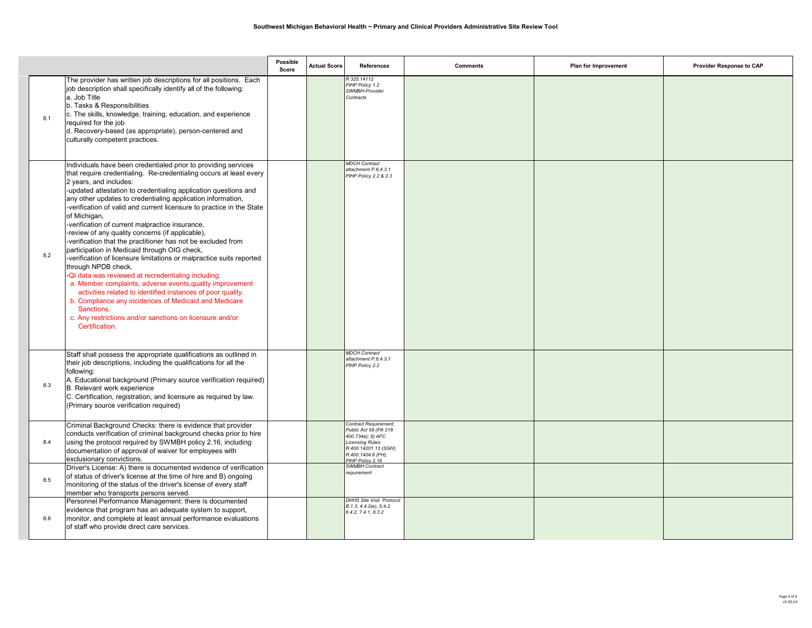|     |                                                                                                                                                                                                                                                                                                                                                                                                                                                                                                                                                                                                                                                                                                                                                                                                                                                                                                                                                                                                                                                         | Possible<br>Score | <b>Actual Score</b> | <b>References</b>                                                                                                                                          | <b>Comments</b> | Plan for Improvement | Provider Response to CAP |
|-----|---------------------------------------------------------------------------------------------------------------------------------------------------------------------------------------------------------------------------------------------------------------------------------------------------------------------------------------------------------------------------------------------------------------------------------------------------------------------------------------------------------------------------------------------------------------------------------------------------------------------------------------------------------------------------------------------------------------------------------------------------------------------------------------------------------------------------------------------------------------------------------------------------------------------------------------------------------------------------------------------------------------------------------------------------------|-------------------|---------------------|------------------------------------------------------------------------------------------------------------------------------------------------------------|-----------------|----------------------|--------------------------|
| 8.1 | The provider has written job descriptions for all positions. Each<br>job description shall specifically identify all of the following:<br>a. Job Title<br>b. Tasks & Responsibilities<br>c. The skills, knowledge, training, education, and experience<br>required for the job<br>d. Recovery-based (as appropriate), person-centered and<br>culturally competent practices.                                                                                                                                                                                                                                                                                                                                                                                                                                                                                                                                                                                                                                                                            |                   |                     | R 325.14112<br>PIHP Policy 1.2<br>SWMBH-Provider<br>Contracts                                                                                              |                 |                      |                          |
| 8.2 | Individuals have been credentialed prior to providing services<br>that require credentialing. Re-credentialing occurs at least every<br>2 years, and includes:<br>-updated attestation to credentialing application questions and<br>any other updates to credentialing application information,<br>-verification of valid and current licensure to practice in the State<br>of Michigan,<br>-verification of current malpractice insurance,<br>-review of any quality concerns (if applicable),<br>-verification that the practitioner has not be excluded from<br>participation in Medicaid through OIG check,<br>-verification of licensure limitations or malpractice suits reported<br>through NPDB check.<br>-QI data was reviewed at recredentialing including:<br>a. Member complaints, adverse events, quality improvement<br>activities related to identified instances of poor quality.<br>b. Compliance any incidences of Medicaid and Medicare<br>Sanctions.<br>c. Any restrictions and/or sanctions on licensure and/or<br>Certification. |                   |                     | <b>MDCH</b> Contract<br>attachment P.6.4.3.1<br>PIHP Policy 2.2 & 2.3                                                                                      |                 |                      |                          |
| 8.3 | Staff shall possess the appropriate qualifications as outlined in<br>their job descriptions, including the qualifications for all the<br>following:<br>A. Educational background (Primary source verification required)<br>B. Relevant work experience<br>C. Certification, registration, and licensure as required by law.<br>(Primary source verification required)                                                                                                                                                                                                                                                                                                                                                                                                                                                                                                                                                                                                                                                                                   |                   |                     | <b>MDCH Contract</b><br>attachment P.6.4.3.1<br>PIHP Policy 2.2                                                                                            |                 |                      |                          |
| 8.4 | Criminal Background Checks: there is evidence that provider<br>conducts verification of criminal background checks prior to hire<br>using the protocol required by SWMBH policy 2.16, including<br>documentation of approval of waiver for employees with<br>exclusionary convictions.                                                                                                                                                                                                                                                                                                                                                                                                                                                                                                                                                                                                                                                                                                                                                                  |                   |                     | Contract Requirement;<br>Public Act 59 (PA 218<br>400.734a); 5) AFC<br>Licensing Rules:<br>R.400.14201.13 (SGH);<br>R.400.1404.6 (FH);<br>PIHP Policy 2.16 |                 |                      |                          |
| 8.5 | Driver's License: A) there is documented evidence of verification<br>of status of driver's license at the time of hire and B) ongoing<br>monitoring of the status of the driver's license of every staff<br>member who transports persons served.                                                                                                                                                                                                                                                                                                                                                                                                                                                                                                                                                                                                                                                                                                                                                                                                       |                   |                     | <b>SWMBH Contract</b><br>requirement                                                                                                                       |                 |                      |                          |
| 8.6 | Personnel Performance Management: there is documented<br>evidence that program has an adequate system to support,<br>monitor, and complete at least annual performance evaluations<br>of staff who provide direct care services.                                                                                                                                                                                                                                                                                                                                                                                                                                                                                                                                                                                                                                                                                                                                                                                                                        |                   |                     | <b>DHHS Site Visit Protocol</b><br>B.1.3, 4.4.2(e), 5.4.2,<br>6.4.2, 7.4.1, 8.3.2                                                                          |                 |                      |                          |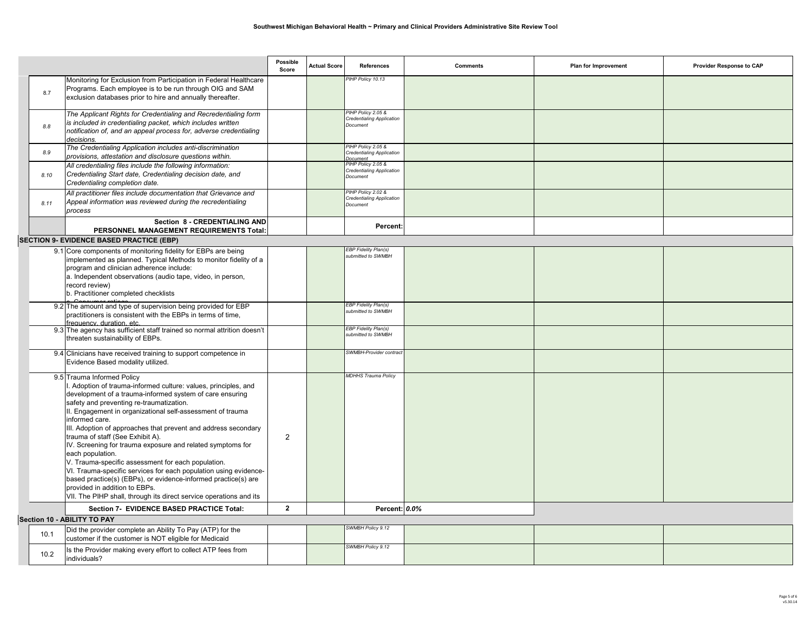|      |                                                                                                                                                                                                                                                                                                                                                                                                                                                                                                                                                                                                                                                                                                                                                                                                                            | Possible<br>Score                | <b>Actual Score</b> | <b>References</b>                                                         | <b>Comments</b> | Plan for Improvement | Provider Response to CAP |
|------|----------------------------------------------------------------------------------------------------------------------------------------------------------------------------------------------------------------------------------------------------------------------------------------------------------------------------------------------------------------------------------------------------------------------------------------------------------------------------------------------------------------------------------------------------------------------------------------------------------------------------------------------------------------------------------------------------------------------------------------------------------------------------------------------------------------------------|----------------------------------|---------------------|---------------------------------------------------------------------------|-----------------|----------------------|--------------------------|
| 8.7  | Monitoring for Exclusion from Participation in Federal Healthcare<br>Programs. Each employee is to be run through OIG and SAM<br>exclusion databases prior to hire and annually thereafter.                                                                                                                                                                                                                                                                                                                                                                                                                                                                                                                                                                                                                                |                                  |                     | PIHP Policy 10.13                                                         |                 |                      |                          |
| 8.8  | The Applicant Rights for Credentialing and Recredentialing form<br>is included in credentialing packet, which includes written<br>notification of, and an appeal process for, adverse credentialing<br>decisions.                                                                                                                                                                                                                                                                                                                                                                                                                                                                                                                                                                                                          |                                  |                     | PIHP Policy 2.05 &<br><b>Credentialing Application</b><br>Document        |                 |                      |                          |
| 8.9  | The Credentialing Application includes anti-discrimination<br>provisions, attestation and disclosure questions within.                                                                                                                                                                                                                                                                                                                                                                                                                                                                                                                                                                                                                                                                                                     |                                  |                     | PIHP Policy 2.05 &<br><b>Credentialing Application</b><br><b>Document</b> |                 |                      |                          |
| 8.10 | All credentialing files include the following information:<br>Credentialing Start date, Credentialing decision date, and<br>Credentialing completion date.                                                                                                                                                                                                                                                                                                                                                                                                                                                                                                                                                                                                                                                                 |                                  |                     | HP Policy 2.05 &<br><b>Credentialing Application</b><br>Document          |                 |                      |                          |
| 8.11 | All practitioner files include documentation that Grievance and<br>Appeal information was reviewed during the recredentialing<br>process                                                                                                                                                                                                                                                                                                                                                                                                                                                                                                                                                                                                                                                                                   |                                  |                     | PIHP Policy 2.02 &<br><b>Credentialing Application</b><br>Document        |                 |                      |                          |
|      | Section 8 - CREDENTIALING AND<br>PERSONNEL MANAGEMENT REQUIREMENTS Total:                                                                                                                                                                                                                                                                                                                                                                                                                                                                                                                                                                                                                                                                                                                                                  |                                  |                     | Percent:                                                                  |                 |                      |                          |
|      | <b>SECTION 9- EVIDENCE BASED PRACTICE (EBP)</b>                                                                                                                                                                                                                                                                                                                                                                                                                                                                                                                                                                                                                                                                                                                                                                            |                                  |                     |                                                                           |                 |                      |                          |
|      | 9.1 Core components of monitoring fidelity for EBPs are being<br>mplemented as planned. Typical Methods to monitor fidelity of a<br>program and clinician adherence include:<br>a. Independent observations (audio tape, video, in person,<br>record review)<br>b. Practitioner completed checklists                                                                                                                                                                                                                                                                                                                                                                                                                                                                                                                       |                                  |                     | EBP Fidelity Plan(s)<br>ubmitted to SWMBH                                 |                 |                      |                          |
|      | 9.2 The amount and type of supervision being provided for EBP<br>practitioners is consistent with the EBPs in terms of time.<br>frequency duration etc.                                                                                                                                                                                                                                                                                                                                                                                                                                                                                                                                                                                                                                                                    |                                  |                     | <b>EBP Fidelity Plan(s)</b><br>submitted to SWMBH                         |                 |                      |                          |
|      | 9.3 The agency has sufficient staff trained so normal attrition doesn't<br>threaten sustainability of EBPs.                                                                                                                                                                                                                                                                                                                                                                                                                                                                                                                                                                                                                                                                                                                |                                  |                     | <b>EBP Fidelity Plan(s)</b><br>submitted to SWMBH                         |                 |                      |                          |
|      | 9.4 Clinicians have received training to support competence in<br>Evidence Based modality utilized.                                                                                                                                                                                                                                                                                                                                                                                                                                                                                                                                                                                                                                                                                                                        |                                  |                     | SWMBH-Provider contrac                                                    |                 |                      |                          |
|      | 9.5 Trauma Informed Policy<br>Adoption of trauma-informed culture: values, principles, and<br>development of a trauma-informed system of care ensuring<br>safety and preventing re-traumatization.<br>II. Engagement in organizational self-assessment of trauma<br>informed care.<br>III. Adoption of approaches that prevent and address secondary<br>trauma of staff (See Exhibit A).<br>IV. Screening for trauma exposure and related symptoms for<br>each population.<br>V. Trauma-specific assessment for each population.<br>VI. Trauma-specific services for each population using evidence-<br>based practice(s) (EBPs), or evidence-informed practice(s) are<br>provided in addition to EBPs.<br>VII. The PIHP shall, through its direct service operations and its<br>Section 7- EVIDENCE BASED PRACTICE Total: | $\overline{2}$<br>$\overline{2}$ |                     | <b>MDHHS Trauma Policy</b><br>Percent: 0.0%                               |                 |                      |                          |
|      | Section 10 - ABILITY TO PAY                                                                                                                                                                                                                                                                                                                                                                                                                                                                                                                                                                                                                                                                                                                                                                                                |                                  |                     |                                                                           |                 |                      |                          |
| 10.1 | Did the provider complete an Ability To Pay (ATP) for the<br>customer if the customer is NOT eligible for Medicaid                                                                                                                                                                                                                                                                                                                                                                                                                                                                                                                                                                                                                                                                                                         |                                  |                     | SWMBH Policy 9.12                                                         |                 |                      |                          |
| 10.2 | Is the Provider making every effort to collect ATP fees from<br>individuals?                                                                                                                                                                                                                                                                                                                                                                                                                                                                                                                                                                                                                                                                                                                                               |                                  |                     | SWMBH Policy 9.12                                                         |                 |                      |                          |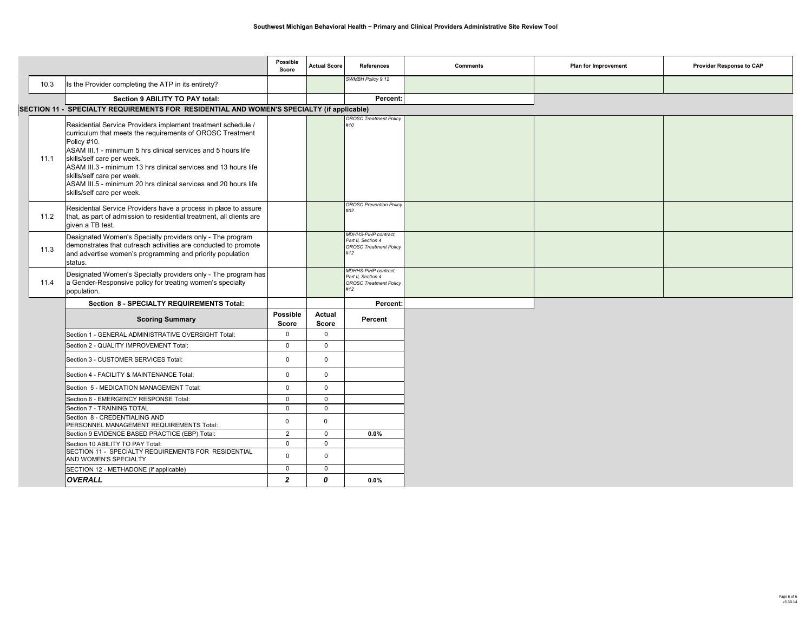|      |                                                                                                                                                                                                                                                                                                                                                                                                                                           | Possible<br>Score          | <b>Actual Score</b>           | <b>References</b>                                                                  | <b>Comments</b> | Plan for Improvement | Provider Response to CAP |
|------|-------------------------------------------------------------------------------------------------------------------------------------------------------------------------------------------------------------------------------------------------------------------------------------------------------------------------------------------------------------------------------------------------------------------------------------------|----------------------------|-------------------------------|------------------------------------------------------------------------------------|-----------------|----------------------|--------------------------|
| 10.3 | Is the Provider completing the ATP in its entirety?                                                                                                                                                                                                                                                                                                                                                                                       |                            |                               | SWMBH Policy 9.12                                                                  |                 |                      |                          |
|      | Section 9 ABILITY TO PAY total:                                                                                                                                                                                                                                                                                                                                                                                                           |                            |                               | Percent:                                                                           |                 |                      |                          |
|      | SECTION 11 - SPECIALTY REQUIREMENTS FOR RESIDENTIAL AND WOMEN'S SPECIALTY (if applicable)                                                                                                                                                                                                                                                                                                                                                 |                            |                               |                                                                                    |                 |                      |                          |
| 11.1 | Residential Service Providers implement treatment schedule /<br>curriculum that meets the requirements of OROSC Treatment<br>Policy #10.<br>ASAM III.1 - minimum 5 hrs clinical services and 5 hours life<br>skills/self care per week.<br>ASAM III.3 - minimum 13 hrs clinical services and 13 hours life<br>skills/self care per week.<br>ASAM III.5 - minimum 20 hrs clinical services and 20 hours life<br>skills/self care per week. |                            |                               | <b>OROSC Treatment Policy</b><br>#10                                               |                 |                      |                          |
| 11.2 | Residential Service Providers have a process in place to assure<br>that, as part of admission to residential treatment, all clients are<br>given a TB test.                                                                                                                                                                                                                                                                               |                            |                               | <b>OROSC Prevention Policy</b><br>#02                                              |                 |                      |                          |
| 11.3 | Designated Women's Specialty providers only - The program<br>demonstrates that outreach activities are conducted to promote<br>and advertise women's programming and priority population<br>status.                                                                                                                                                                                                                                       |                            |                               | MDHHS-PIHP contract,<br>Part II, Section 4<br><b>OROSC Treatment Policy</b><br>#12 |                 |                      |                          |
| 11.4 | Designated Women's Specialty providers only - The program has<br>a Gender-Responsive policy for treating women's specialty<br>population.                                                                                                                                                                                                                                                                                                 |                            |                               | MDHHS-PIHP contract,<br>Part II, Section 4<br><b>OROSC Treatment Policy</b><br>#12 |                 |                      |                          |
|      | Section 8 - SPECIALTY REQUIREMENTS Total:                                                                                                                                                                                                                                                                                                                                                                                                 |                            |                               | Percent:                                                                           |                 |                      |                          |
|      | <b>Scoring Summary</b>                                                                                                                                                                                                                                                                                                                                                                                                                    | Possible<br><b>Score</b>   | <b>Actual</b><br><b>Score</b> | Percent                                                                            |                 |                      |                          |
|      | Section 1 - GENERAL ADMINISTRATIVE OVERSIGHT Total:                                                                                                                                                                                                                                                                                                                                                                                       | $\mathbf 0$                | $\mathbf{0}$                  |                                                                                    |                 |                      |                          |
|      | Section 2 - QUALITY IMPROVEMENT Total:                                                                                                                                                                                                                                                                                                                                                                                                    | $\Omega$                   | $\Omega$                      |                                                                                    |                 |                      |                          |
|      | Section 3 - CUSTOMER SERVICES Total:                                                                                                                                                                                                                                                                                                                                                                                                      | $\Omega$                   | $\Omega$                      |                                                                                    |                 |                      |                          |
|      | Section 4 - FACILITY & MAINTENANCE Total:                                                                                                                                                                                                                                                                                                                                                                                                 | $\mathbf 0$                | $\mathbf 0$                   |                                                                                    |                 |                      |                          |
|      | Section 5 - MEDICATION MANAGEMENT Total:                                                                                                                                                                                                                                                                                                                                                                                                  | $\mathbf 0$                | $\mathbf 0$                   |                                                                                    |                 |                      |                          |
|      | Section 6 - EMERGENCY RESPONSE Total:                                                                                                                                                                                                                                                                                                                                                                                                     | $\mathbf{0}$               | $\mathbf 0$                   |                                                                                    |                 |                      |                          |
|      | Section 7 - TRAINING TOTAL                                                                                                                                                                                                                                                                                                                                                                                                                | $\Omega$                   | $\Omega$                      |                                                                                    |                 |                      |                          |
|      | Section 8 - CREDENTIALING AND<br>PERSONNEL MANAGEMENT REQUIREMENTS Total:                                                                                                                                                                                                                                                                                                                                                                 | $\mathbf 0$                | $\mathbf 0$                   |                                                                                    |                 |                      |                          |
|      | Section 9 EVIDENCE BASED PRACTICE (EBP) Total:                                                                                                                                                                                                                                                                                                                                                                                            | $\overline{2}$             | $\mathbf 0$                   | $0.0\%$                                                                            |                 |                      |                          |
|      | Section 10 ABILITY TO PAY Total:<br>SECTION 11 - SPECIALTY REQUIREMENTS FOR RESIDENTIAL<br>AND WOMEN'S SPECIALTY                                                                                                                                                                                                                                                                                                                          | $\mathbf 0$<br>$\mathbf 0$ | $\Omega$<br>$\Omega$          |                                                                                    |                 |                      |                          |
|      | SECTION 12 - METHADONE (if applicable)                                                                                                                                                                                                                                                                                                                                                                                                    | $\Omega$                   | $\Omega$                      |                                                                                    |                 |                      |                          |
|      | <b>OVERALL</b>                                                                                                                                                                                                                                                                                                                                                                                                                            | $\overline{2}$             | 0                             | 0.0%                                                                               |                 |                      |                          |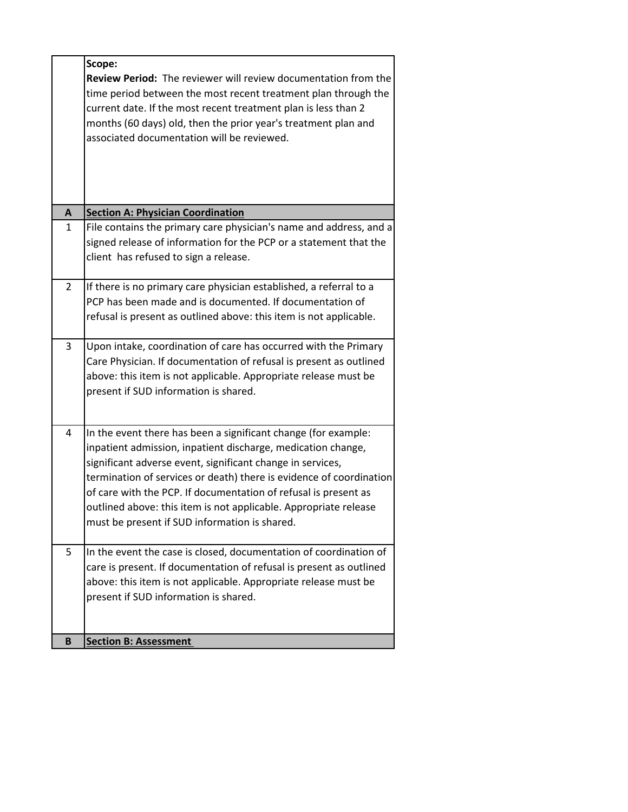|                | Scope:                                                                                                                                                                                                                                                                                                                                                                                                                                                      |
|----------------|-------------------------------------------------------------------------------------------------------------------------------------------------------------------------------------------------------------------------------------------------------------------------------------------------------------------------------------------------------------------------------------------------------------------------------------------------------------|
|                | Review Period: The reviewer will review documentation from the<br>time period between the most recent treatment plan through the<br>current date. If the most recent treatment plan is less than 2<br>months (60 days) old, then the prior year's treatment plan and<br>associated documentation will be reviewed.                                                                                                                                          |
| A              | <b>Section A: Physician Coordination</b>                                                                                                                                                                                                                                                                                                                                                                                                                    |
| $\mathbf{1}$   | File contains the primary care physician's name and address, and a<br>signed release of information for the PCP or a statement that the<br>client has refused to sign a release.                                                                                                                                                                                                                                                                            |
| $\overline{2}$ | If there is no primary care physician established, a referral to a<br>PCP has been made and is documented. If documentation of<br>refusal is present as outlined above: this item is not applicable.                                                                                                                                                                                                                                                        |
| 3              | Upon intake, coordination of care has occurred with the Primary<br>Care Physician. If documentation of refusal is present as outlined<br>above: this item is not applicable. Appropriate release must be<br>present if SUD information is shared.                                                                                                                                                                                                           |
| 4              | In the event there has been a significant change (for example:<br>inpatient admission, inpatient discharge, medication change,<br>significant adverse event, significant change in services,<br>termination of services or death) there is evidence of coordination<br>of care with the PCP. If documentation of refusal is present as<br>outlined above: this item is not applicable. Appropriate release<br>must be present if SUD information is shared. |
| 5              | In the event the case is closed, documentation of coordination of<br>care is present. If documentation of refusal is present as outlined<br>above: this item is not applicable. Appropriate release must be<br>present if SUD information is shared.                                                                                                                                                                                                        |
| B              | <b>Section B: Assessment</b>                                                                                                                                                                                                                                                                                                                                                                                                                                |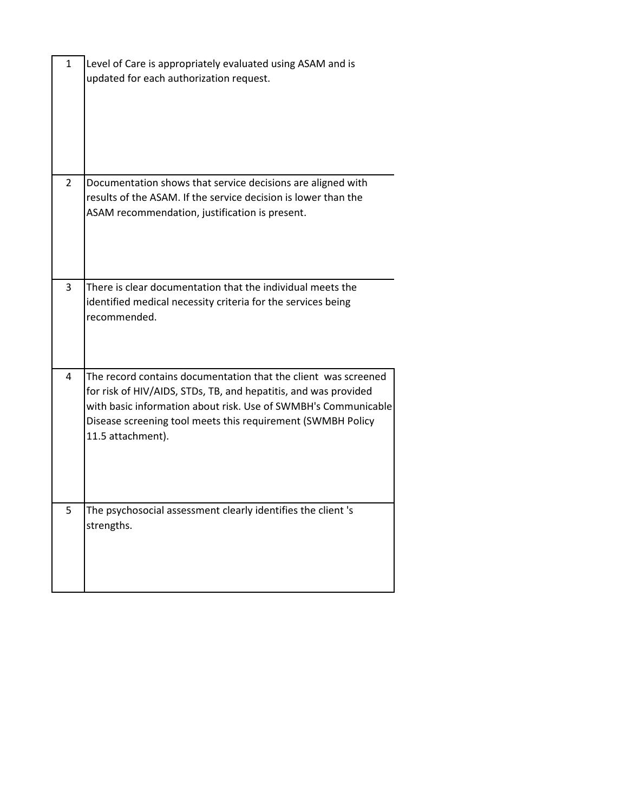| $\mathbf{1}$   | Level of Care is appropriately evaluated using ASAM and is<br>updated for each authorization request.                                                                                                                                                                                   |
|----------------|-----------------------------------------------------------------------------------------------------------------------------------------------------------------------------------------------------------------------------------------------------------------------------------------|
| $\overline{2}$ | Documentation shows that service decisions are aligned with<br>results of the ASAM. If the service decision is lower than the<br>ASAM recommendation, justification is present.                                                                                                         |
| 3              | There is clear documentation that the individual meets the<br>identified medical necessity criteria for the services being<br>recommended.                                                                                                                                              |
| 4              | The record contains documentation that the client was screened<br>for risk of HIV/AIDS, STDs, TB, and hepatitis, and was provided<br>with basic information about risk. Use of SWMBH's Communicable<br>Disease screening tool meets this requirement (SWMBH Policy<br>11.5 attachment). |
| 5              | The psychosocial assessment clearly identifies the client 's<br>strengths.                                                                                                                                                                                                              |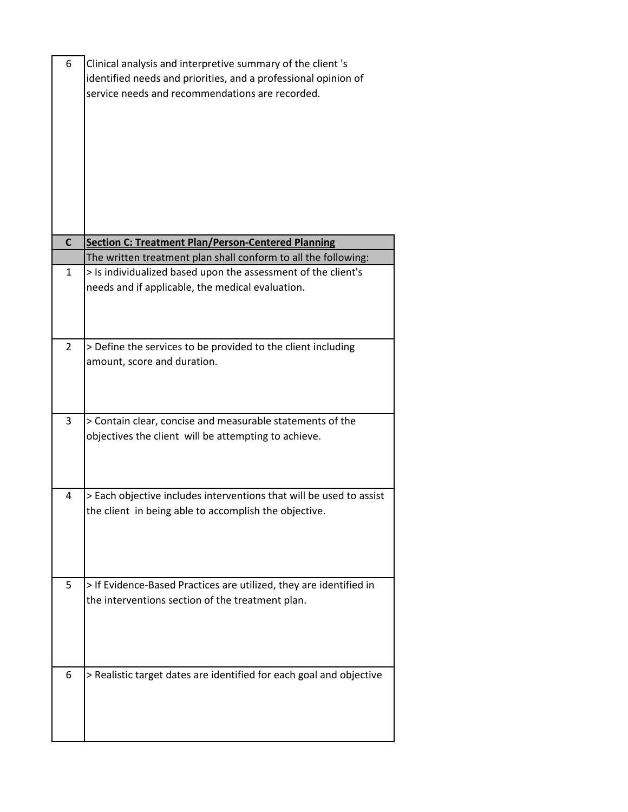| 6            | Clinical analysis and interpretive summary of the client 's<br>identified needs and priorities, and a professional opinion of<br>service needs and recommendations are recorded. |
|--------------|----------------------------------------------------------------------------------------------------------------------------------------------------------------------------------|
| $\mathsf{C}$ | <b>Section C: Treatment Plan/Person-Centered Planning</b>                                                                                                                        |
|              | The written treatment plan shall conform to all the following:                                                                                                                   |
| $\mathbf{1}$ | > Is individualized based upon the assessment of the client's<br>needs and if applicable, the medical evaluation.                                                                |
| 2            | > Define the services to be provided to the client including<br>amount, score and duration.                                                                                      |
| 3            | > Contain clear, concise and measurable statements of the<br>objectives the client will be attempting to achieve.                                                                |
| 4            | > Each objective includes interventions that will be used to assist<br>the client in being able to accomplish the objective.                                                     |
| 5            | > If Evidence-Based Practices are utilized, they are identified in<br>the interventions section of the treatment plan.                                                           |
| 6            | > Realistic target dates are identified for each goal and objective                                                                                                              |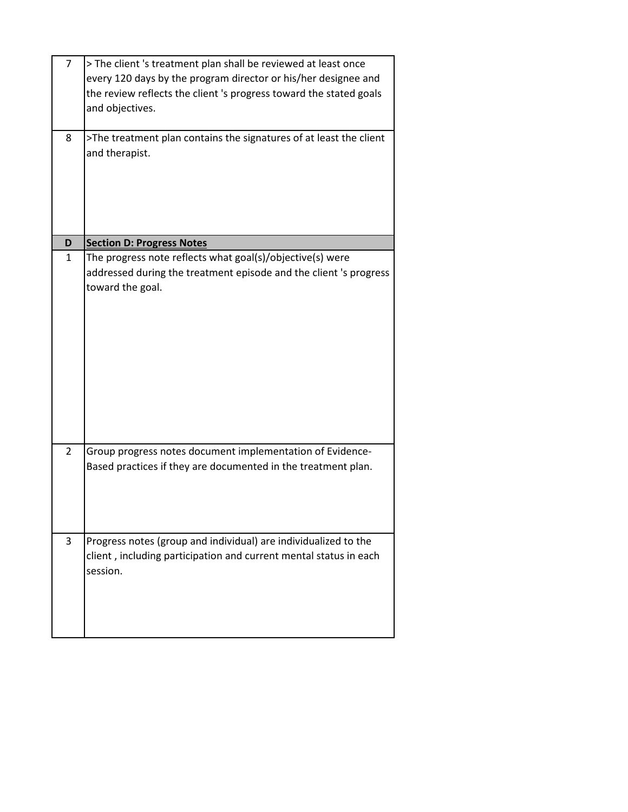| $\overline{7}$ | > The client 's treatment plan shall be reviewed at least once<br>every 120 days by the program director or his/her designee and<br>the review reflects the client 's progress toward the stated goals<br>and objectives. |
|----------------|---------------------------------------------------------------------------------------------------------------------------------------------------------------------------------------------------------------------------|
| 8              | >The treatment plan contains the signatures of at least the client<br>and therapist.                                                                                                                                      |
| D              | <b>Section D: Progress Notes</b>                                                                                                                                                                                          |
| 1              | The progress note reflects what goal(s)/objective(s) were<br>addressed during the treatment episode and the client 's progress<br>toward the goal.                                                                        |
| $\overline{2}$ | Group progress notes document implementation of Evidence-<br>Based practices if they are documented in the treatment plan.                                                                                                |
| 3              | Progress notes (group and individual) are individualized to the<br>client, including participation and current mental status in each<br>session.                                                                          |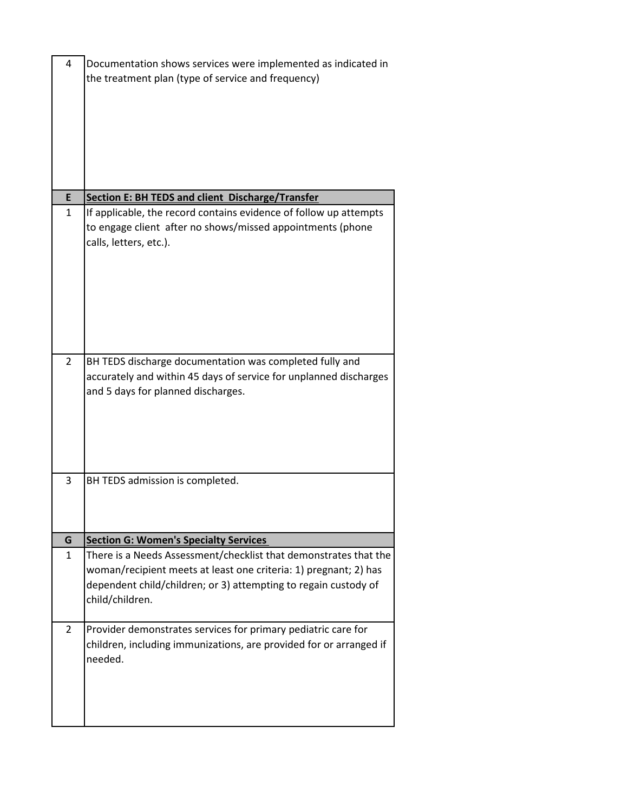| $\overline{4}$ | Documentation shows services were implemented as indicated in<br>the treatment plan (type of service and frequency)                                                                                                        |
|----------------|----------------------------------------------------------------------------------------------------------------------------------------------------------------------------------------------------------------------------|
|                |                                                                                                                                                                                                                            |
| E              | Section E: BH TEDS and client Discharge/Transfer                                                                                                                                                                           |
| $\mathbf{1}$   | If applicable, the record contains evidence of follow up attempts<br>to engage client after no shows/missed appointments (phone<br>calls, letters, etc.).                                                                  |
| $\overline{2}$ | BH TEDS discharge documentation was completed fully and<br>accurately and within 45 days of service for unplanned discharges<br>and 5 days for planned discharges.                                                         |
| 3              | BH TEDS admission is completed.                                                                                                                                                                                            |
| G              | <b>Section G: Women's Specialty Services</b>                                                                                                                                                                               |
| 1              | There is a Needs Assessment/checklist that demonstrates that the<br>woman/recipient meets at least one criteria: 1) pregnant; 2) has<br>dependent child/children; or 3) attempting to regain custody of<br>child/children. |
| $\overline{2}$ | Provider demonstrates services for primary pediatric care for<br>children, including immunizations, are provided for or arranged if<br>needed.                                                                             |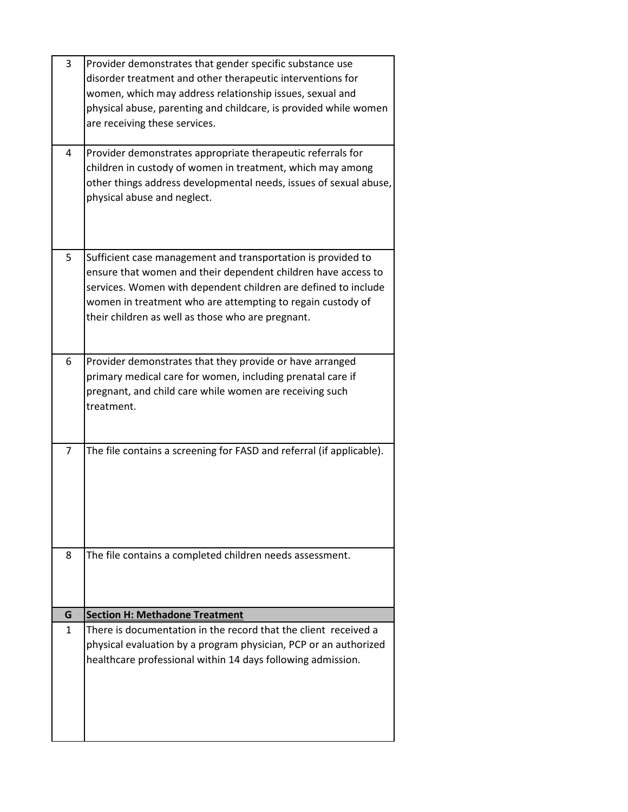| 3      | Provider demonstrates that gender specific substance use                                                 |
|--------|----------------------------------------------------------------------------------------------------------|
|        | disorder treatment and other therapeutic interventions for                                               |
|        | women, which may address relationship issues, sexual and                                                 |
|        | physical abuse, parenting and childcare, is provided while women                                         |
|        | are receiving these services.                                                                            |
|        |                                                                                                          |
| 4      | Provider demonstrates appropriate therapeutic referrals for                                              |
|        | children in custody of women in treatment, which may among                                               |
|        | other things address developmental needs, issues of sexual abuse,                                        |
|        | physical abuse and neglect.                                                                              |
|        |                                                                                                          |
|        |                                                                                                          |
|        |                                                                                                          |
| 5      | Sufficient case management and transportation is provided to                                             |
|        | ensure that women and their dependent children have access to                                            |
|        | services. Women with dependent children are defined to include                                           |
|        | women in treatment who are attempting to regain custody of                                               |
|        | their children as well as those who are pregnant.                                                        |
|        |                                                                                                          |
| 6      |                                                                                                          |
|        | Provider demonstrates that they provide or have arranged                                                 |
|        | primary medical care for women, including prenatal care if                                               |
|        | pregnant, and child care while women are receiving such                                                  |
|        | treatment.                                                                                               |
|        |                                                                                                          |
| 7      | The file contains a screening for FASD and referral (if applicable).                                     |
|        |                                                                                                          |
|        |                                                                                                          |
|        |                                                                                                          |
|        |                                                                                                          |
|        |                                                                                                          |
|        |                                                                                                          |
| 8      | The file contains a completed children needs assessment.                                                 |
|        |                                                                                                          |
|        |                                                                                                          |
|        |                                                                                                          |
| G<br>1 | <b>Section H: Methadone Treatment</b><br>There is documentation in the record that the client received a |
|        | physical evaluation by a program physician, PCP or an authorized                                         |
|        |                                                                                                          |
|        | healthcare professional within 14 days following admission.                                              |
|        |                                                                                                          |
|        |                                                                                                          |
|        |                                                                                                          |
|        |                                                                                                          |
|        |                                                                                                          |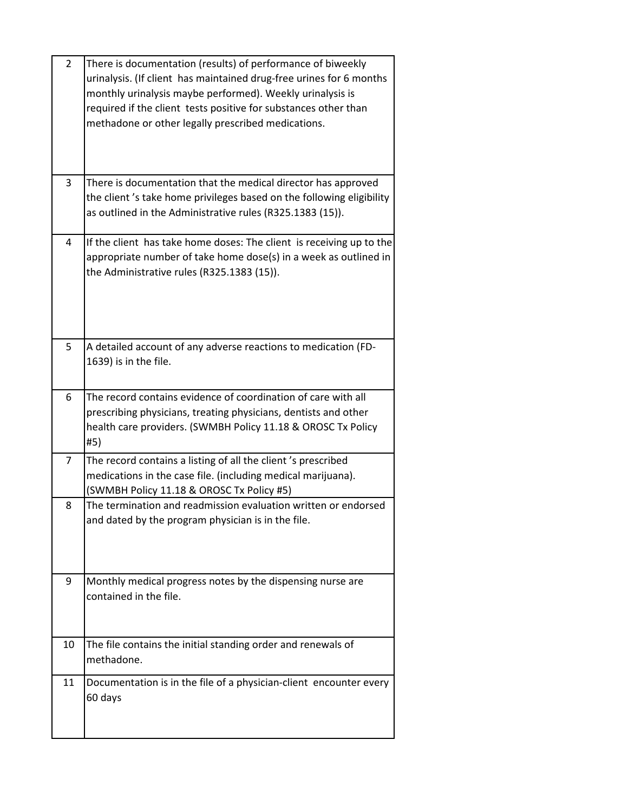| $\overline{2}$ | There is documentation (results) of performance of biweekly<br>urinalysis. (If client has maintained drug-free urines for 6 months<br>monthly urinalysis maybe performed). Weekly urinalysis is<br>required if the client tests positive for substances other than<br>methadone or other legally prescribed medications. |
|----------------|--------------------------------------------------------------------------------------------------------------------------------------------------------------------------------------------------------------------------------------------------------------------------------------------------------------------------|
| 3              | There is documentation that the medical director has approved<br>the client's take home privileges based on the following eligibility<br>as outlined in the Administrative rules (R325.1383 (15)).                                                                                                                       |
| 4              | If the client has take home doses: The client is receiving up to the<br>appropriate number of take home dose(s) in a week as outlined in<br>the Administrative rules (R325.1383 (15)).                                                                                                                                   |
| 5              | A detailed account of any adverse reactions to medication (FD-<br>1639) is in the file.                                                                                                                                                                                                                                  |
| 6              | The record contains evidence of coordination of care with all<br>prescribing physicians, treating physicians, dentists and other<br>health care providers. (SWMBH Policy 11.18 & OROSC Tx Policy<br>#5)                                                                                                                  |
| 7              | The record contains a listing of all the client's prescribed<br>medications in the case file. (including medical marijuana).<br>(SWMBH Policy 11.18 & OROSC Tx Policy #5)                                                                                                                                                |
| 8              | The termination and readmission evaluation written or endorsed<br>and dated by the program physician is in the file.                                                                                                                                                                                                     |
| 9              | Monthly medical progress notes by the dispensing nurse are<br>contained in the file.                                                                                                                                                                                                                                     |
| 10             | The file contains the initial standing order and renewals of<br>methadone.                                                                                                                                                                                                                                               |
| 11             | Documentation is in the file of a physician-client encounter every<br>60 days                                                                                                                                                                                                                                            |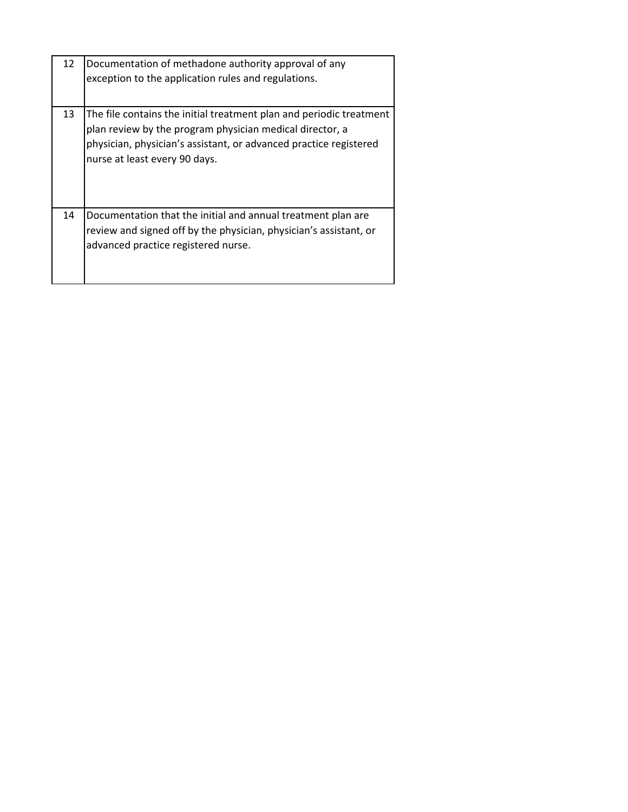| 12 | Documentation of methadone authority approval of any<br>exception to the application rules and regulations.                                                                                                                           |
|----|---------------------------------------------------------------------------------------------------------------------------------------------------------------------------------------------------------------------------------------|
| 13 | The file contains the initial treatment plan and periodic treatment<br>plan review by the program physician medical director, a<br>physician, physician's assistant, or advanced practice registered<br>nurse at least every 90 days. |
| 14 | Documentation that the initial and annual treatment plan are<br>review and signed off by the physician, physician's assistant, or<br>advanced practice registered nurse.                                                              |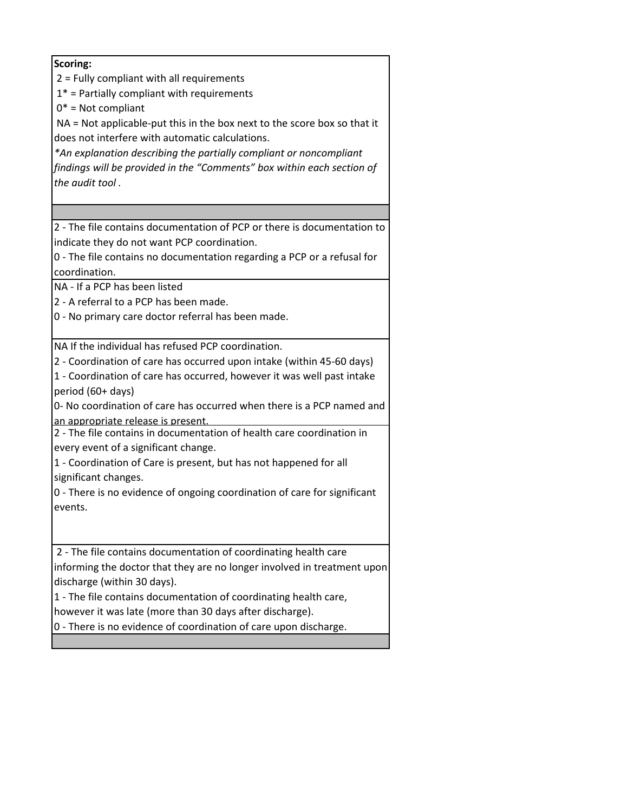| Scoring:                                                                 |
|--------------------------------------------------------------------------|
| 2 = Fully compliant with all requirements                                |
| $1*$ = Partially compliant with requirements                             |
| $0^*$ = Not compliant                                                    |
| NA = Not applicable-put this in the box next to the score box so that it |
|                                                                          |
| does not interfere with automatic calculations.                          |
| *An explanation describing the partially compliant or noncompliant       |
| findings will be provided in the "Comments" box within each section of   |
| the audit tool.                                                          |
|                                                                          |
|                                                                          |
| 2 - The file contains documentation of PCP or there is documentation to  |
| indicate they do not want PCP coordination.                              |
| 0 - The file contains no documentation regarding a PCP or a refusal for  |
| coordination.                                                            |
| NA - If a PCP has been listed                                            |
| 2 - A referral to a PCP has been made.                                   |
| 0 - No primary care doctor referral has been made.                       |
|                                                                          |
| NA If the individual has refused PCP coordination.                       |
| 2 - Coordination of care has occurred upon intake (within 45-60 days)    |
| 1 - Coordination of care has occurred, however it was well past intake   |
| period (60+ days)                                                        |
| 0- No coordination of care has occurred when there is a PCP named and    |
| an appropriate release is present.                                       |
| 2 - The file contains in documentation of health care coordination in    |
| every event of a significant change.                                     |
| 1 - Coordination of Care is present, but has not happened for all        |
| significant changes.                                                     |
| 0 - There is no evidence of ongoing coordination of care for significant |
|                                                                          |
| events.                                                                  |
|                                                                          |
| 2 - The file contains documentation of coordinating health care          |
| informing the doctor that they are no longer involved in treatment upon  |
| discharge (within 30 days).                                              |
| 1 - The file contains documentation of coordinating health care,         |
|                                                                          |
| however it was late (more than 30 days after discharge).                 |
| 0 - There is no evidence of coordination of care upon discharge.         |
|                                                                          |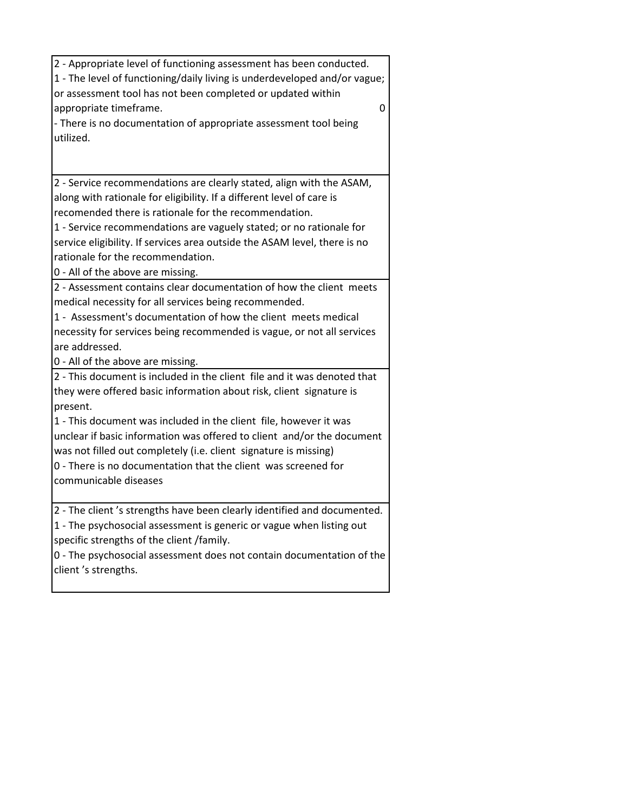| 2 - Appropriate level of functioning assessment has been conducted.                                                                      |
|------------------------------------------------------------------------------------------------------------------------------------------|
| 1 - The level of functioning/daily living is underdeveloped and/or vague;<br>or assessment tool has not been completed or updated within |
| appropriate timeframe.<br>0                                                                                                              |
| - There is no documentation of appropriate assessment tool being                                                                         |
| utilized.                                                                                                                                |
|                                                                                                                                          |
|                                                                                                                                          |
| 2 - Service recommendations are clearly stated, align with the ASAM,                                                                     |
| along with rationale for eligibility. If a different level of care is                                                                    |
| recomended there is rationale for the recommendation.                                                                                    |
| 1 - Service recommendations are vaguely stated; or no rationale for                                                                      |
| service eligibility. If services area outside the ASAM level, there is no                                                                |
| rationale for the recommendation.                                                                                                        |
| 0 - All of the above are missing.                                                                                                        |
| 2 - Assessment contains clear documentation of how the client meets                                                                      |
| medical necessity for all services being recommended.                                                                                    |
| 1 - Assessment's documentation of how the client meets medical                                                                           |
| necessity for services being recommended is vague, or not all services                                                                   |
| are addressed.                                                                                                                           |
| 0 - All of the above are missing.                                                                                                        |
| 2 - This document is included in the client file and it was denoted that                                                                 |
| they were offered basic information about risk, client signature is                                                                      |
| present.                                                                                                                                 |
| 1 - This document was included in the client file, however it was                                                                        |
| unclear if basic information was offered to client and/or the document                                                                   |
| was not filled out completely (i.e. client signature is missing)                                                                         |
| 0 - There is no documentation that the client was screened for                                                                           |
| communicable diseases                                                                                                                    |
| 2 - The client 's strengths have been clearly identified and documented.                                                                 |
| 1 - The psychosocial assessment is generic or vague when listing out                                                                     |
| specific strengths of the client /family.                                                                                                |
| 0 - The psychosocial assessment does not contain documentation of the                                                                    |
| client's strengths.                                                                                                                      |
|                                                                                                                                          |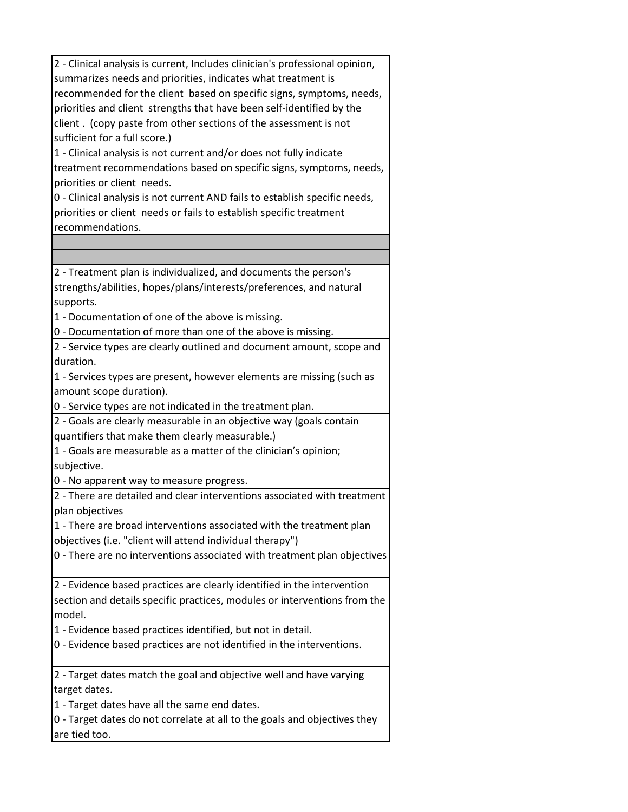| 2 - Clinical analysis is current, Includes clinician's professional opinion, |
|------------------------------------------------------------------------------|
| summarizes needs and priorities, indicates what treatment is                 |
| recommended for the client based on specific signs, symptoms, needs,         |
| priorities and client strengths that have been self-identified by the        |
|                                                                              |
| client. (copy paste from other sections of the assessment is not             |
| sufficient for a full score.)                                                |
| 1 - Clinical analysis is not current and/or does not fully indicate          |
| treatment recommendations based on specific signs, symptoms, needs,          |
| priorities or client needs.                                                  |
| 0 - Clinical analysis is not current AND fails to establish specific needs,  |
| priorities or client needs or fails to establish specific treatment          |
| recommendations.                                                             |
|                                                                              |
|                                                                              |
| 2 - Treatment plan is individualized, and documents the person's             |
| strengths/abilities, hopes/plans/interests/preferences, and natural          |
| supports.                                                                    |
| 1 - Documentation of one of the above is missing.                            |
| 0 - Documentation of more than one of the above is missing.                  |
| 2 - Service types are clearly outlined and document amount, scope and        |
| duration.                                                                    |
| 1 - Services types are present, however elements are missing (such as        |
| amount scope duration).                                                      |
| 0 - Service types are not indicated in the treatment plan.                   |
| 2 - Goals are clearly measurable in an objective way (goals contain          |
| quantifiers that make them clearly measurable.)                              |
| 1 - Goals are measurable as a matter of the clinician's opinion;             |
|                                                                              |
| subjective.                                                                  |
| 0 - No apparent way to measure progress.                                     |
| 2 - There are detailed and clear interventions associated with treatment     |
| plan objectives                                                              |
| 1 - There are broad interventions associated with the treatment plan         |
| objectives (i.e. "client will attend individual therapy")                    |
| 0 - There are no interventions associated with treatment plan objectives     |
|                                                                              |
| 2 - Evidence based practices are clearly identified in the intervention      |
| section and details specific practices, modules or interventions from the    |
| model.                                                                       |
| 1 - Evidence based practices identified, but not in detail.                  |
| 0 - Evidence based practices are not identified in the interventions.        |
| 2 - Target dates match the goal and objective well and have varying          |
| target dates.                                                                |
| 1 - Target dates have all the same end dates.                                |
| 0 - Target dates do not correlate at all to the goals and objectives they    |
| are tied too.                                                                |
|                                                                              |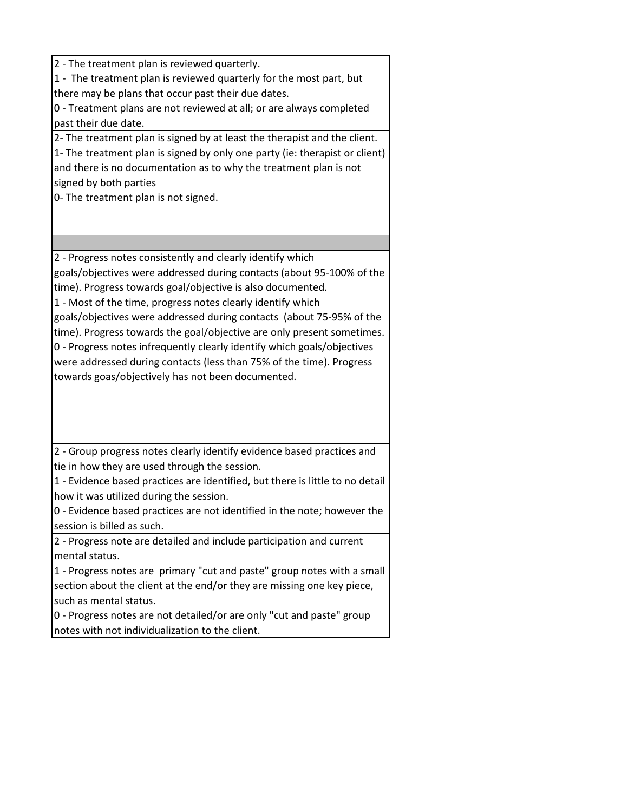2 - The treatment plan is reviewed quarterly. 1 - The treatment plan is reviewed quarterly for the most part, but there may be plans that occur past their due dates. 0 - Treatment plans are not reviewed at all; or are always completed past their due date. 2- The treatment plan is signed by at least the therapist and the client. 1- The treatment plan is signed by only one party (ie: therapist or client) and there is no documentation as to why the treatment plan is not signed by both parties 0- The treatment plan is not signed. 2 - Progress notes consistently and clearly identify which goals/objectives were addressed during contacts (about 95-100% of the time). Progress towards goal/objective is also documented. 1 - Most of the time, progress notes clearly identify which goals/objectives were addressed during contacts (about 75-95% of the time). Progress towards the goal/objective are only present sometimes. 0 - Progress notes infrequently clearly identify which goals/objectives were addressed during contacts (less than 75% of the time). Progress towards goas/objectively has not been documented. 2 - Group progress notes clearly identify evidence based practices and tie in how they are used through the session. 1 - Evidence based practices are identified, but there is little to no detail how it was utilized during the session. 0 - Evidence based practices are not identified in the note; however the session is billed as such.

2 - Progress note are detailed and include participation and current mental status.

1 - Progress notes are primary "cut and paste" group notes with a small section about the client at the end/or they are missing one key piece, such as mental status.

0 - Progress notes are not detailed/or are only "cut and paste" group notes with not individualization to the client.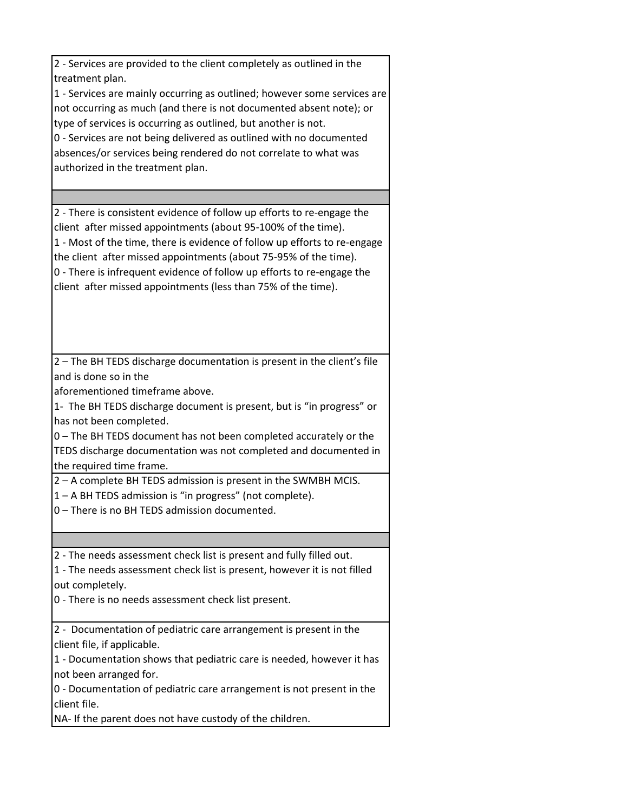| 2 - Services are provided to the client completely as outlined in the<br>treatment plan.<br>1 - Services are mainly occurring as outlined; however some services are<br>not occurring as much (and there is not documented absent note); or<br>type of services is occurring as outlined, but another is not.<br>0 - Services are not being delivered as outlined with no documented<br>absences/or services being rendered do not correlate to what was<br>authorized in the treatment plan. |
|-----------------------------------------------------------------------------------------------------------------------------------------------------------------------------------------------------------------------------------------------------------------------------------------------------------------------------------------------------------------------------------------------------------------------------------------------------------------------------------------------|
|                                                                                                                                                                                                                                                                                                                                                                                                                                                                                               |
| 2 - There is consistent evidence of follow up efforts to re-engage the<br>client after missed appointments (about 95-100% of the time).<br>1 - Most of the time, there is evidence of follow up efforts to re-engage<br>the client after missed appointments (about 75-95% of the time).<br>0 - There is infrequent evidence of follow up efforts to re-engage the<br>client after missed appointments (less than 75% of the time).                                                           |
| 2 - The BH TEDS discharge documentation is present in the client's file                                                                                                                                                                                                                                                                                                                                                                                                                       |
| and is done so in the                                                                                                                                                                                                                                                                                                                                                                                                                                                                         |
| aforementioned timeframe above.                                                                                                                                                                                                                                                                                                                                                                                                                                                               |
| 1- The BH TEDS discharge document is present, but is "in progress" or<br>has not been completed.                                                                                                                                                                                                                                                                                                                                                                                              |
| 0 - The BH TEDS document has not been completed accurately or the<br>TEDS discharge documentation was not completed and documented in<br>the required time frame.                                                                                                                                                                                                                                                                                                                             |
| 2 - A complete BH TEDS admission is present in the SWMBH MCIS.                                                                                                                                                                                                                                                                                                                                                                                                                                |
| 1 - A BH TEDS admission is "in progress" (not complete).<br>0 - There is no BH TEDS admission documented.                                                                                                                                                                                                                                                                                                                                                                                     |
|                                                                                                                                                                                                                                                                                                                                                                                                                                                                                               |
|                                                                                                                                                                                                                                                                                                                                                                                                                                                                                               |
| 2 - The needs assessment check list is present and fully filled out.                                                                                                                                                                                                                                                                                                                                                                                                                          |
| 1 - The needs assessment check list is present, however it is not filled<br>out completely.                                                                                                                                                                                                                                                                                                                                                                                                   |
| 0 - There is no needs assessment check list present.                                                                                                                                                                                                                                                                                                                                                                                                                                          |
| 2 - Documentation of pediatric care arrangement is present in the                                                                                                                                                                                                                                                                                                                                                                                                                             |
| client file, if applicable.                                                                                                                                                                                                                                                                                                                                                                                                                                                                   |
| 1 - Documentation shows that pediatric care is needed, however it has                                                                                                                                                                                                                                                                                                                                                                                                                         |
| not been arranged for.                                                                                                                                                                                                                                                                                                                                                                                                                                                                        |
| 0 - Documentation of pediatric care arrangement is not present in the<br>client file.                                                                                                                                                                                                                                                                                                                                                                                                         |
| NA- If the parent does not have custody of the children.                                                                                                                                                                                                                                                                                                                                                                                                                                      |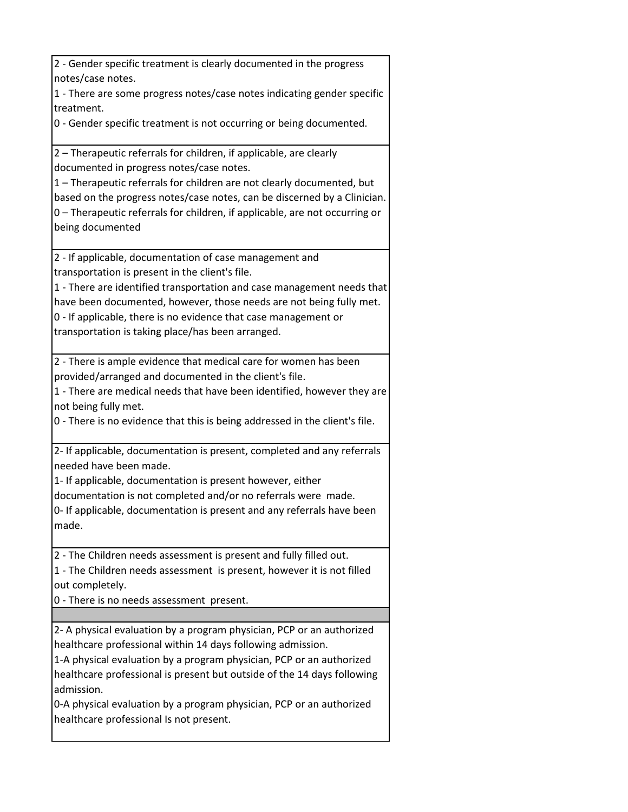| 2 - Gender specific treatment is clearly documented in the progress                                                                                |
|----------------------------------------------------------------------------------------------------------------------------------------------------|
| notes/case notes.<br>1 - There are some progress notes/case notes indicating gender specific                                                       |
| treatment.                                                                                                                                         |
| 0 - Gender specific treatment is not occurring or being documented.                                                                                |
| 2 - Therapeutic referrals for children, if applicable, are clearly                                                                                 |
| documented in progress notes/case notes.                                                                                                           |
| 1 - Therapeutic referrals for children are not clearly documented, but<br>based on the progress notes/case notes, can be discerned by a Clinician. |
| 0 - Therapeutic referrals for children, if applicable, are not occurring or                                                                        |
| being documented                                                                                                                                   |
| 2 - If applicable, documentation of case management and                                                                                            |
| transportation is present in the client's file.                                                                                                    |
| 1 - There are identified transportation and case management needs that                                                                             |
| have been documented, however, those needs are not being fully met.                                                                                |
| 0 - If applicable, there is no evidence that case management or                                                                                    |
| transportation is taking place/has been arranged.                                                                                                  |
| 2 - There is ample evidence that medical care for women has been                                                                                   |
| provided/arranged and documented in the client's file.                                                                                             |
| 1 - There are medical needs that have been identified, however they are                                                                            |
| not being fully met.                                                                                                                               |
| 0 - There is no evidence that this is being addressed in the client's file.                                                                        |
| 2- If applicable, documentation is present, completed and any referrals<br>needed have been made.                                                  |
| 1- If applicable, documentation is present however, either                                                                                         |
| documentation is not completed and/or no referrals were made.                                                                                      |
| 0- If applicable, documentation is present and any referrals have been                                                                             |
| made.                                                                                                                                              |
| 2 - The Children needs assessment is present and fully filled out.                                                                                 |
| 1 - The Children needs assessment is present, however it is not filled                                                                             |
| out completely.                                                                                                                                    |
| 0 - There is no needs assessment present.                                                                                                          |
| 2- A physical evaluation by a program physician, PCP or an authorized                                                                              |
| healthcare professional within 14 days following admission.                                                                                        |
| 1-A physical evaluation by a program physician, PCP or an authorized                                                                               |
| healthcare professional is present but outside of the 14 days following                                                                            |
| admission.                                                                                                                                         |
| 0-A physical evaluation by a program physician, PCP or an authorized                                                                               |
| healthcare professional Is not present.                                                                                                            |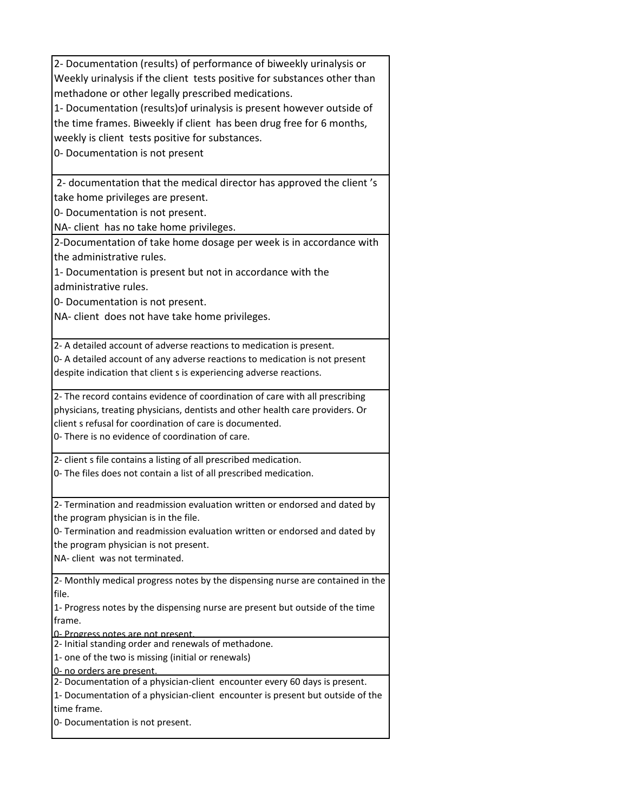| 2- Documentation (results) of performance of biweekly urinalysis or                                                 |
|---------------------------------------------------------------------------------------------------------------------|
| Weekly urinalysis if the client tests positive for substances other than                                            |
| methadone or other legally prescribed medications.                                                                  |
| 1- Documentation (results) of urinalysis is present however outside of                                              |
| the time frames. Biweekly if client has been drug free for 6 months,                                                |
| weekly is client tests positive for substances.                                                                     |
| 0- Documentation is not present                                                                                     |
|                                                                                                                     |
| 2- documentation that the medical director has approved the client's                                                |
| take home privileges are present.                                                                                   |
| 0- Documentation is not present.                                                                                    |
| NA- client has no take home privileges.                                                                             |
| 2-Documentation of take home dosage per week is in accordance with                                                  |
| the administrative rules.                                                                                           |
| 1- Documentation is present but not in accordance with the                                                          |
| administrative rules.                                                                                               |
| 0- Documentation is not present.                                                                                    |
| NA- client does not have take home privileges.                                                                      |
|                                                                                                                     |
| 2- A detailed account of adverse reactions to medication is present.                                                |
| 0- A detailed account of any adverse reactions to medication is not present                                         |
| despite indication that client s is experiencing adverse reactions.                                                 |
| 2- The record contains evidence of coordination of care with all prescribing                                        |
| physicians, treating physicians, dentists and other health care providers. Or                                       |
| client s refusal for coordination of care is documented.                                                            |
| 0- There is no evidence of coordination of care.                                                                    |
| 2- client s file contains a listing of all prescribed medication.                                                   |
| 0- The files does not contain a list of all prescribed medication.                                                  |
|                                                                                                                     |
| 2- Termination and readmission evaluation written or endorsed and dated by<br>the program physician is in the file. |
| 0- Termination and readmission evaluation written or endorsed and dated by                                          |
| the program physician is not present.                                                                               |
| NA- client was not terminated.                                                                                      |
|                                                                                                                     |
| 2- Monthly medical progress notes by the dispensing nurse are contained in the<br>file.                             |
| 1- Progress notes by the dispensing nurse are present but outside of the time                                       |
| frame.                                                                                                              |
| 0- Progress notes are not present                                                                                   |
| 2- Initial standing order and renewals of methadone.                                                                |
| 1- one of the two is missing (initial or renewals)                                                                  |
| 0- no orders are present.                                                                                           |
| 2- Documentation of a physician-client encounter every 60 days is present.                                          |
| 1- Documentation of a physician-client encounter is present but outside of the<br>time frame.                       |
| 0- Documentation is not present.                                                                                    |
|                                                                                                                     |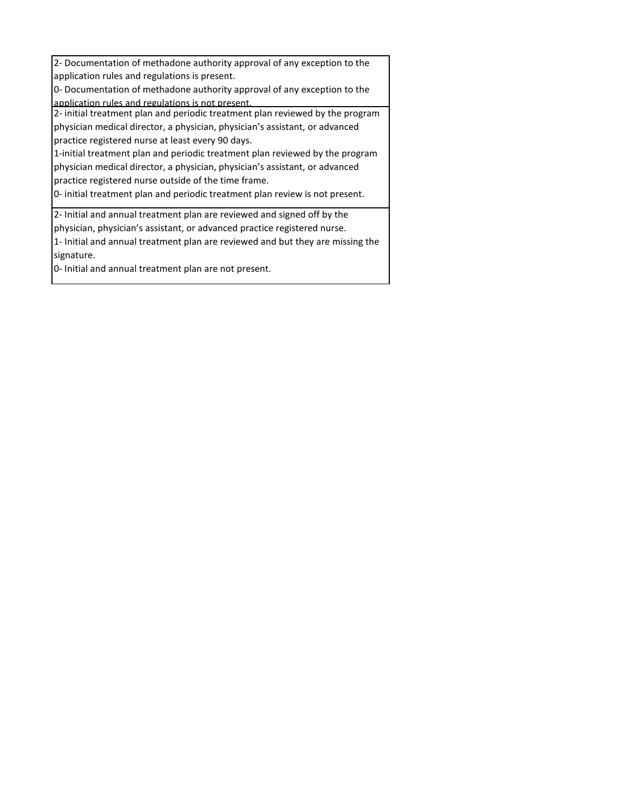2- Documentation of methadone authority approval of any exception to the application rules and regulations is present. 0- Documentation of methadone authority approval of any exception to the application rules and regulations is not present. 2- initial treatment plan and periodic treatment plan reviewed by the program physician medical director, a physician, physician's assistant, or advanced practice registered nurse at least every 90 days. 1-initial treatment plan and periodic treatment plan reviewed by the program physician medical director, a physician, physician's assistant, or advanced practice registered nurse outside of the time frame. 0- initial treatment plan and periodic treatment plan review is not present. 2- Initial and annual treatment plan are reviewed and signed off by the physician, physician's assistant, or advanced practice registered nurse.

1- Initial and annual treatment plan are reviewed and but they are missing the signature.

0- Initial and annual treatment plan are not present.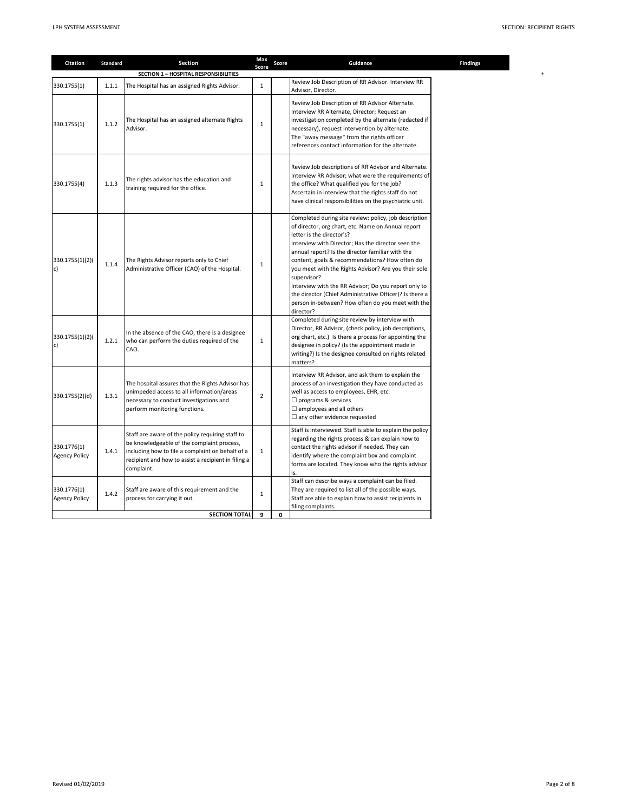| Citation                            | <b>Standard</b> | Section                                                                                                                                                                                                                 | Max<br>Score   | Score | Guidance                                                                                                                                                                                                                                                                                                                                                                                                                                                                                                                                                         | <b>Findings</b> |
|-------------------------------------|-----------------|-------------------------------------------------------------------------------------------------------------------------------------------------------------------------------------------------------------------------|----------------|-------|------------------------------------------------------------------------------------------------------------------------------------------------------------------------------------------------------------------------------------------------------------------------------------------------------------------------------------------------------------------------------------------------------------------------------------------------------------------------------------------------------------------------------------------------------------------|-----------------|
|                                     |                 | SECTION 1 - HOSPITAL RESPONSIBILITIES                                                                                                                                                                                   |                |       |                                                                                                                                                                                                                                                                                                                                                                                                                                                                                                                                                                  |                 |
| 330.1755(1)                         | 1.1.1           | The Hospital has an assigned Rights Advisor.                                                                                                                                                                            | $\mathbf{1}$   |       | Review Job Description of RR Advisor. Interview RR<br>Advisor, Director.                                                                                                                                                                                                                                                                                                                                                                                                                                                                                         |                 |
| 330.1755(1)                         | 1.1.2           | The Hospital has an assigned alternate Rights<br>Advisor.                                                                                                                                                               | $\mathbf{1}$   |       | Review Job Description of RR Advisor Alternate.<br>Interview RR Alternate, Director; Request an<br>investigation completed by the alternate (redacted if<br>necessary), request intervention by alternate.<br>The "away message" from the rights officer<br>references contact information for the alternate.                                                                                                                                                                                                                                                    |                 |
| 330.1755(4)                         | 1.1.3           | The rights advisor has the education and<br>training required for the office.                                                                                                                                           | $\mathbf{1}$   |       | Review Job descriptions of RR Advisor and Alternate.<br>Interview RR Advisor; what were the requirements of<br>the office? What qualified you for the job?<br>Ascertain in interview that the rights staff do not<br>have clinical responsibilities on the psychiatric unit.                                                                                                                                                                                                                                                                                     |                 |
| 330.1755(1)(2)(<br>c)               | 1.1.4           | The Rights Advisor reports only to Chief<br>Administrative Officer (CAO) of the Hospital.                                                                                                                               | 1              |       | Completed during site review: policy, job description<br>of director, org chart, etc. Name on Annual report<br>letter is the director's?<br>Interview with Director; Has the director seen the<br>annual report? Is the director familiar with the<br>content, goals & recommendations? How often do<br>you meet with the Rights Advisor? Are you their sole<br>supervisor?<br>Interview with the RR Advisor; Do you report only to<br>the director (Chief Administrative Officer)? Is there a<br>person in-between? How often do you meet with the<br>director? |                 |
| 330.1755(1)(2)(<br>c)               | 1.2.1           | In the absence of the CAO, there is a designee<br>who can perform the duties required of the<br>CAO.                                                                                                                    | $\mathbf{1}$   |       | Completed during site review by interview with<br>Director, RR Advisor, (check policy, job descriptions,<br>org chart, etc.) Is there a process for appointing the<br>designee in policy? (Is the appointment made in<br>writing?) Is the designee consulted on rights related<br>matters?                                                                                                                                                                                                                                                                       |                 |
| 330.1755(2)(d)                      | 1.3.1           | The hospital assures that the Rights Advisor has<br>unimpeded access to all information/areas<br>necessary to conduct investigations and<br>perform monitoring functions.                                               | $\overline{2}$ |       | Interview RR Advisor, and ask them to explain the<br>process of an investigation they have conducted as<br>well as access to employees, EHR, etc.<br>$\Box$ programs & services<br>$\Box$ employees and all others<br>$\Box$ any other evidence requested                                                                                                                                                                                                                                                                                                        |                 |
| 330.1776(1)<br><b>Agency Policy</b> | 1.4.1           | Staff are aware of the policy requiring staff to<br>be knowledgeable of the complaint process,<br>including how to file a complaint on behalf of a<br>recipient and how to assist a recipient in filing a<br>complaint. | $\mathbf{1}$   |       | Staff is interviewed. Staff is able to explain the policy<br>regarding the rights process & can explain how to<br>contact the rights advisor if needed. They can<br>identify where the complaint box and complaint<br>forms are located. They know who the rights advisor<br>is.                                                                                                                                                                                                                                                                                 |                 |
| 330.1776(1)<br><b>Agency Policy</b> | 1.4.2           | Staff are aware of this requirement and the<br>process for carrying it out.                                                                                                                                             | $\mathbf{1}$   |       | Staff can describe ways a complaint can be filed.<br>They are required to list all of the possible ways.<br>Staff are able to explain how to assist recipients in<br>filing complaints.                                                                                                                                                                                                                                                                                                                                                                          |                 |
|                                     |                 | <b>SECTION TOTAL</b>                                                                                                                                                                                                    | 9              | 0     |                                                                                                                                                                                                                                                                                                                                                                                                                                                                                                                                                                  |                 |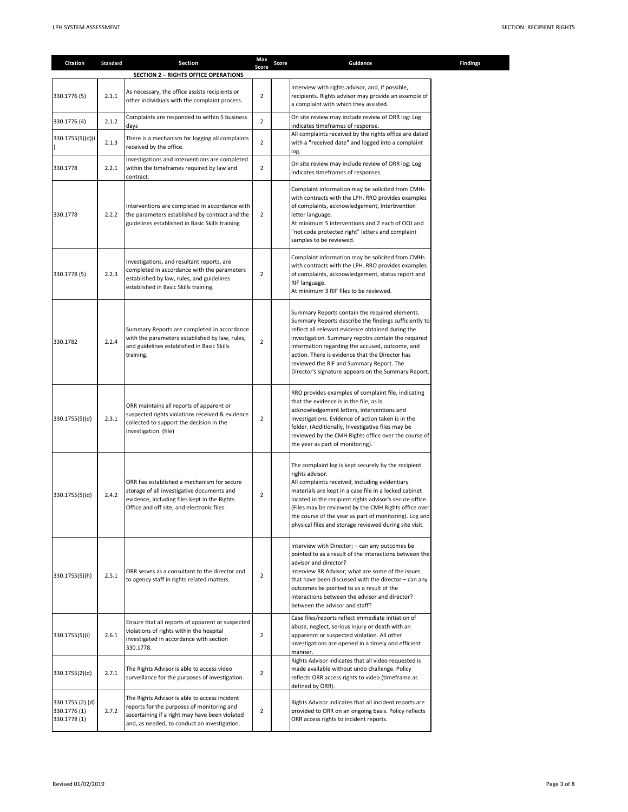| Citation                                         | <b>Standard</b> | Section                                                                                                                                                                                       | Max<br>Score   | Score | Guidance                                                                                                                                                                                                                                                                                                                                                                                                                     | <b>Findings</b> |
|--------------------------------------------------|-----------------|-----------------------------------------------------------------------------------------------------------------------------------------------------------------------------------------------|----------------|-------|------------------------------------------------------------------------------------------------------------------------------------------------------------------------------------------------------------------------------------------------------------------------------------------------------------------------------------------------------------------------------------------------------------------------------|-----------------|
|                                                  |                 | <b>SECTION 2 - RIGHTS OFFICE OPERATIONS</b>                                                                                                                                                   |                |       |                                                                                                                                                                                                                                                                                                                                                                                                                              |                 |
| 330.1776 (5)                                     | 2.1.1           | As necessary, the office assists recipients or<br>other individuals with the complaint process.                                                                                               | $\overline{2}$ |       | Interview with rights advisor, and, if possible,<br>recipients. Rights advisor may provide an example of<br>a complaint with which they assisted.                                                                                                                                                                                                                                                                            |                 |
| 330.1776 (4)                                     | 2.1.2           | Complaints are responded to within 5 business<br>days                                                                                                                                         | $\overline{2}$ |       | On site review may include review of ORR log: Log<br>indicates timeframes of response.                                                                                                                                                                                                                                                                                                                                       |                 |
| 330.1755(5)(d)(i                                 | 2.1.3           | There is a mechanism for logging all complaints<br>received by the office.                                                                                                                    | $\overline{2}$ |       | All complaints received by the rights office are dated<br>with a "received date" and logged into a complaint<br>log.                                                                                                                                                                                                                                                                                                         |                 |
| 330.1778                                         | 2.2.1           | Investigations and interventions are completed<br>within the timeframes required by law and<br>contract.                                                                                      | $\overline{2}$ |       | On site review may include review of ORR log: Log<br>indicates timeframes of responses.                                                                                                                                                                                                                                                                                                                                      |                 |
| 330.1778                                         | 2.2.2           | Interventions are completed in accordance with<br>the parameters established by contract and the<br>guidelines established in Basic Skills training                                           | $\overline{2}$ |       | Complaint information may be solicited from CMHs<br>with contracts with the LPH. RRO provides examples<br>of complaints, acknowledgement, Interbvention<br>letter language.<br>At minimum 5 interventions and 2 each of OOJ and<br>"not code protected right" letters and complaint<br>samples to be reviewed.                                                                                                               |                 |
| 330.1778 (5)                                     | 2.2.3           | Investigations, and resultant reports, are<br>completed in accordance with the parameters<br>established by law, rules, and guidelines<br>established in Basic Skills training.               | $\overline{2}$ |       | Complaint information may be solicited from CMHs<br>with contracts with the LPH. RRO provides examples<br>of complaints, acknowledgement, status report and<br>RIF language.<br>At minimum 3 RIF files to be reviewed.                                                                                                                                                                                                       |                 |
| 330.1782                                         | 2.2.4           | Summary Reports are completed in accordance<br>with the parameters established by law, rules,<br>and guidelines established in Basic Skills<br>training.                                      | $\overline{2}$ |       | Summary Reports contain the required elements.<br>Summary Reports describe the findings sufficiently to<br>reflect all relevant evidence obtained during the<br>investigation. Summary repotrs contain the required<br>information regarding the accused, outcome, and<br>action. There is evidence that the Director has<br>reviewed the RIF and Summary Report. The<br>Director's signature appears on the Summary Report. |                 |
| 330.1755(5)(d)                                   | 2.3.1           | ORR maintains all reports of apparent or<br>suspected rights violations received & evidence<br>collected to support the decision in the<br>investigation. (file)                              | $\overline{2}$ |       | RRO provides examples of complaint file, indicating<br>that the evidence is in the file, as is<br>acknowledgement letters, interventions and<br>investigations. Evidence of action taken is in the<br>folder. (Additionally, Investigative files may be<br>reviewed by the CMH Rights office over the course of<br>the year as part of monitoring).                                                                          |                 |
| 330.1755(5)(d)                                   | 2.4.2           | ORR has established a mechanism for secure<br>storage of all investigative documents and<br>evidence, including files kept in the Rights<br>Office and off site, and electronic files.        | $\overline{2}$ |       | The complaint log is kept securely by the recipient<br>rights advisor.<br>All complaints received, including evidentiary<br>materials are kept in a case file in a locked cabinet<br>located in the recipient rights advisor's secure office.<br>(Files may be reviewed by the CMH Rights office over<br>the course of the year as part of monitoring). Log and<br>physical files and storage reviewed during site visit.    |                 |
| 330.1755(5)(h)                                   | 2.5.1           | ORR serves as a consultant to the director and<br>to agency staff in rights related matters.                                                                                                  | $\overline{2}$ |       | Interview with Director; - can any outcomes be<br>pointed to as a result of the interactions between the<br>advisor and director?<br>Interview RR Advisor; what are some of the issues<br>that have been discussed with the director - can any<br>outcomes be pointed to as a result of the<br>interactions between the advisor and director?<br>between the advisor and staff?                                              |                 |
| 330.1755(5)(i)                                   | 2.6.1           | Ensure that all reports of apparent or suspected<br>violations of rights within the hospital<br>investigated in accordance with section<br>330.1778.                                          | $\overline{2}$ |       | Case files/reports reflect immediate initiation of<br>abuse, neglect, serious injury or death with an<br>apparennt or suspected violation. All other<br>investigations are opened in a timely and efficient<br>manner.                                                                                                                                                                                                       |                 |
| 330.1755(2)(d)                                   | 2.7.1           | The Rights Advisor is able to access video<br>surveillance for the purposes of investigation.                                                                                                 | $\overline{2}$ |       | Rights Advisor indicates that all video requested is<br>made available without undo challenge. Policy<br>reflects ORR access rights to video (timeframe as<br>defined by ORR).                                                                                                                                                                                                                                               |                 |
| 330.1755 (2) (d)<br>330.1776 (1)<br>330.1778 (1) | 2.7.2           | The Rights Advisor is able to access incident<br>reports for the purposes of monitoring and<br>ascertaining if a right may have been violated<br>and, as needed, to conduct an investigation. | $\overline{2}$ |       | Rights Advisor indicates that all incident reports are<br>provided to ORR on an ongoing basis. Policy reflects<br>ORR access rights to incident reports.                                                                                                                                                                                                                                                                     |                 |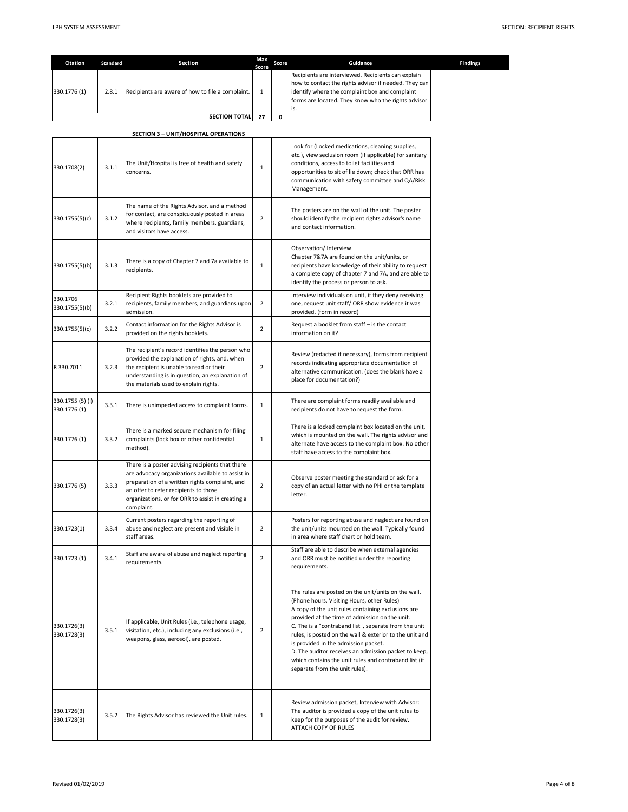| Citation                         | <b>Standard</b> | <b>Section</b>                                                                                                                                                                                                                                                      | Max                   | Score | Guidance                                                                                                                                                                                                                                                                                                                                                                                                                                                                                                                 | Findings |
|----------------------------------|-----------------|---------------------------------------------------------------------------------------------------------------------------------------------------------------------------------------------------------------------------------------------------------------------|-----------------------|-------|--------------------------------------------------------------------------------------------------------------------------------------------------------------------------------------------------------------------------------------------------------------------------------------------------------------------------------------------------------------------------------------------------------------------------------------------------------------------------------------------------------------------------|----------|
| 330.1776 (1)                     | 2.8.1           | Recipients are aware of how to file a complaint.                                                                                                                                                                                                                    | Score<br>$\mathbf{1}$ |       | Recipients are interviewed. Recipients can explain<br>how to contact the rights advisor if needed. They can<br>identify where the complaint box and complaint<br>forms are located. They know who the rights advisor<br>is.                                                                                                                                                                                                                                                                                              |          |
|                                  |                 | <b>SECTION TOTAL</b>                                                                                                                                                                                                                                                | 27                    | 0     |                                                                                                                                                                                                                                                                                                                                                                                                                                                                                                                          |          |
|                                  |                 | SECTION 3 - UNIT/HOSPITAL OPERATIONS                                                                                                                                                                                                                                |                       |       |                                                                                                                                                                                                                                                                                                                                                                                                                                                                                                                          |          |
| 330.1708(2)                      | 3.1.1           | The Unit/Hospital is free of health and safety<br>concerns.                                                                                                                                                                                                         | $\mathbf{1}$          |       | Look for (Locked medications, cleaning supplies,<br>etc.), view seclusion room (if applicable) for sanitary<br>conditions, access to toilet facilities and<br>opportunities to sit of lie down; check that ORR has<br>communication with safety committee and QA/Risk<br>Management.                                                                                                                                                                                                                                     |          |
| 330.1755(5)(c)                   | 3.1.2           | The name of the Rights Advisor, and a method<br>for contact, are conspicuously posted in areas<br>where recipients, family members, guardians,<br>and visitors have access.                                                                                         | $\overline{2}$        |       | The posters are on the wall of the unit. The poster<br>should identify the recipient rights advisor's name<br>and contact information.                                                                                                                                                                                                                                                                                                                                                                                   |          |
| 330.1755(5)(b)                   | 3.1.3           | There is a copy of Chapter 7 and 7a available to<br>recipients.                                                                                                                                                                                                     | $\mathbf 1$           |       | Observation/ Interview<br>Chapter 7&7A are found on the unit/units, or<br>recipients have knowledge of their ability to request<br>a complete copy of chapter 7 and 7A, and are able to<br>identify the process or person to ask.                                                                                                                                                                                                                                                                                        |          |
| 330.1706<br>330.1755(5)(b)       | 3.2.1           | Recipient Rights booklets are provided to<br>recipients, family members, and guardians upon<br>admission.                                                                                                                                                           | $\overline{2}$        |       | Interview individuals on unit, if they deny receiving<br>one, request unit staff/ ORR show evidence it was<br>provided. (form in record)                                                                                                                                                                                                                                                                                                                                                                                 |          |
| 330.1755(5)(c)                   | 3.2.2           | Contact information for the Rights Advisor is<br>provided on the rights booklets.                                                                                                                                                                                   | $\overline{2}$        |       | Request a booklet from staff - is the contact<br>information on it?                                                                                                                                                                                                                                                                                                                                                                                                                                                      |          |
| R 330.7011                       | 3.2.3           | The recipient's record identifies the person who<br>provided the explanation of rights, and, when<br>the recipient is unable to read or their<br>understanding is in question, an explanation of<br>the materials used to explain rights.                           | $\overline{2}$        |       | Review (redacted if necessary), forms from recipient<br>records indicating appropriate documentation of<br>alternative communication. (does the blank have a<br>place for documentation?)                                                                                                                                                                                                                                                                                                                                |          |
| 330.1755 (5) (i)<br>330.1776 (1) | 3.3.1           | There is unimpeded access to complaint forms.                                                                                                                                                                                                                       | $\mathbf{1}$          |       | There are complaint forms readily available and<br>recipients do not have to request the form.                                                                                                                                                                                                                                                                                                                                                                                                                           |          |
| 330.1776 (1)                     | 3.3.2           | There is a marked secure mechanism for filing<br>complaints (lock box or other confidential<br>method).                                                                                                                                                             | 1                     |       | There is a locked complaint box located on the unit,<br>which is mounted on the wall. The rights advisor and<br>alternate have access to the complaint box. No other<br>staff have access to the complaint box.                                                                                                                                                                                                                                                                                                          |          |
| 330.1776 (5)                     | 3.3.3           | There is a poster advising recipients that there<br>are advocacy organizations available to assist in<br>preparation of a written rights complaint, and<br>an offer to refer recipients to those<br>organizations, or for ORR to assist in creating a<br>complaint. | $\overline{2}$        |       | Observe poster meeting the standard or ask for a<br>copy of an actual letter with no PHI or the template<br>letter.                                                                                                                                                                                                                                                                                                                                                                                                      |          |
| 330.1723(1)                      | 3.3.4           | Current posters regarding the reporting of<br>abuse and neglect are present and visible in<br>staff areas.                                                                                                                                                          | $\overline{2}$        |       | Posters for reporting abuse and neglect are found on<br>the unit/units mounted on the wall. Typically found<br>in area where staff chart or hold team.                                                                                                                                                                                                                                                                                                                                                                   |          |
| 330.1723 (1)                     | 3.4.1           | Staff are aware of abuse and neglect reporting<br>requirements.                                                                                                                                                                                                     | $\overline{2}$        |       | Staff are able to describe when external agencies<br>and ORR must be notified under the reporting<br>requirements.                                                                                                                                                                                                                                                                                                                                                                                                       |          |
| 330.1726(3)<br>330.1728(3)       | 3.5.1           | If applicable, Unit Rules (i.e., telephone usage,<br>visitation, etc.), including any exclusions (i.e.,<br>weapons, glass, aerosol), are posted.                                                                                                                    | $\overline{2}$        |       | The rules are posted on the unit/units on the wall.<br>(Phone hours, Visiting Hours, other Rules)<br>A copy of the unit rules containing exclusions are<br>provided at the time of admission on the unit.<br>C. The is a "contraband list", separate from the unit<br>rules, is posted on the wall & exterior to the unit and<br>is provided in the admission packet.<br>D. The auditor receives an admission packet to keep,<br>which contains the unit rules and contraband list (if<br>separate from the unit rules). |          |
| 330.1726(3)<br>330.1728(3)       | 3.5.2           | The Rights Advisor has reviewed the Unit rules.                                                                                                                                                                                                                     | $\mathbf{1}$          |       | Review admission packet, Interview with Advisor:<br>The auditor is provided a copy of the unit rules to<br>keep for the purposes of the audit for review.<br>ATTACH COPY OF RULES                                                                                                                                                                                                                                                                                                                                        |          |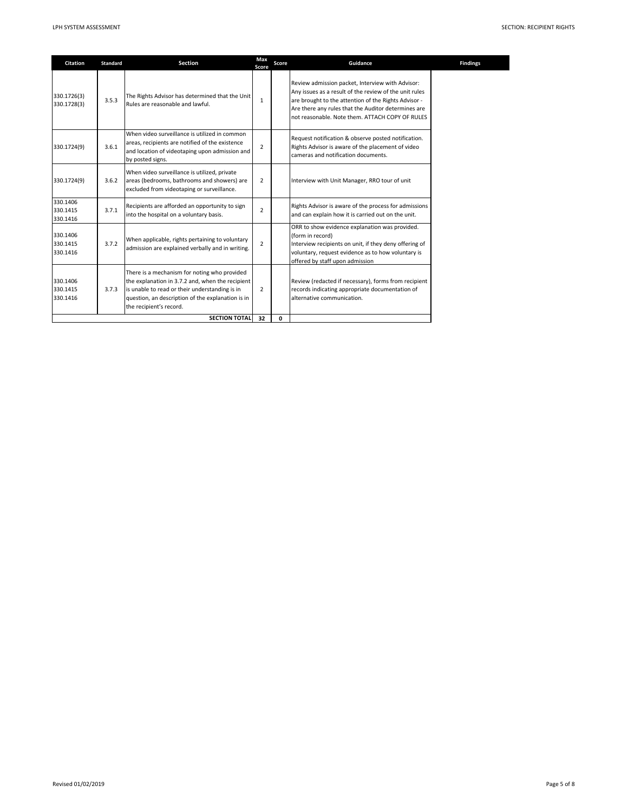| <b>Citation</b>                  | <b>Standard</b> | <b>Section</b>                                                                                                                                                                                                                     | Max<br>Score   | Score | Guidance                                                                                                                                                                                                                                                                     | Findings |
|----------------------------------|-----------------|------------------------------------------------------------------------------------------------------------------------------------------------------------------------------------------------------------------------------------|----------------|-------|------------------------------------------------------------------------------------------------------------------------------------------------------------------------------------------------------------------------------------------------------------------------------|----------|
| 330.1726(3)<br>330.1728(3)       | 3.5.3           | The Rights Advisor has determined that the Unit<br>Rules are reasonable and lawful.                                                                                                                                                | $\mathbf{1}$   |       | Review admission packet, Interview with Advisor:<br>Any issues as a result of the review of the unit rules<br>are brought to the attention of the Rights Advisor -<br>Are there any rules that the Auditor determines are<br>not reasonable. Note them. ATTACH COPY OF RULES |          |
| 330.1724(9)                      | 3.6.1           | When video surveillance is utilized in common<br>areas, recipients are notified of the existence<br>and location of videotaping upon admission and<br>by posted signs.                                                             | $\overline{2}$ |       | Request notification & observe posted notification.<br>Rights Advisor is aware of the placement of video<br>cameras and notification documents.                                                                                                                              |          |
| 330.1724(9)                      | 3.6.2           | When video surveillance is utilized, private<br>areas (bedrooms, bathrooms and showers) are<br>excluded from videotaping or surveillance.                                                                                          | $\overline{2}$ |       | Interview with Unit Manager, RRO tour of unit                                                                                                                                                                                                                                |          |
| 330.1406<br>330.1415<br>330.1416 | 3.7.1           | Recipients are afforded an opportunity to sign<br>into the hospital on a voluntary basis.                                                                                                                                          | $\overline{2}$ |       | Rights Advisor is aware of the process for admissions<br>and can explain how it is carried out on the unit.                                                                                                                                                                  |          |
| 330.1406<br>330.1415<br>330.1416 | 3.7.2           | When applicable, rights pertaining to voluntary<br>admission are explained verbally and in writing.                                                                                                                                | $\overline{2}$ |       | ORR to show evidence explanation was provided.<br>(form in record)<br>Interview recipients on unit, if they deny offering of<br>voluntary, request evidence as to how voluntary is<br>offered by staff upon admission                                                        |          |
| 330.1406<br>330.1415<br>330.1416 | 3.7.3           | There is a mechanism for noting who provided<br>the explanation in 3.7.2 and, when the recipient<br>is unable to read or their understanding is in<br>question, an description of the explanation is in<br>the recipient's record. | $\overline{2}$ |       | Review (redacted if necessary), forms from recipient<br>records indicating appropriate documentation of<br>alternative communication.                                                                                                                                        |          |
|                                  |                 | <b>SECTION TOTAL</b>                                                                                                                                                                                                               | 32             | 0     |                                                                                                                                                                                                                                                                              |          |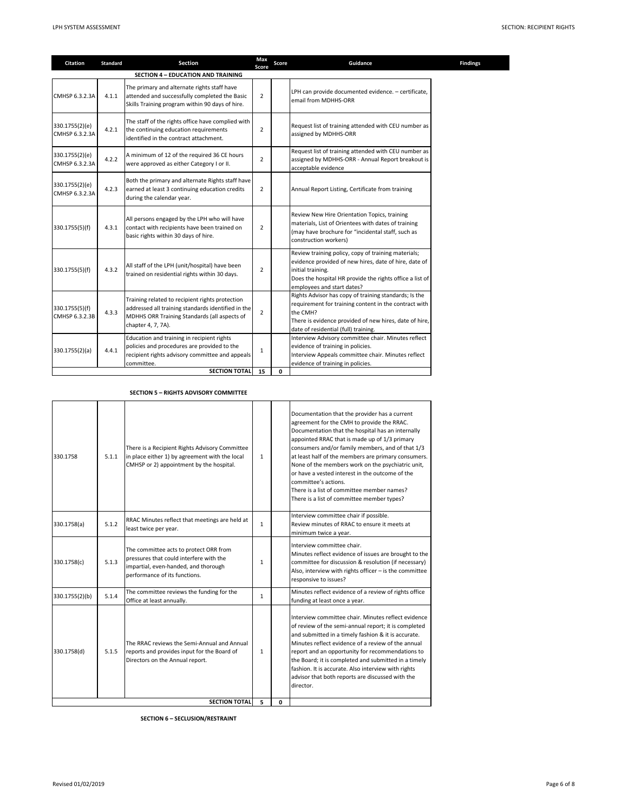| Citation                         | <b>Standard</b> | Section                                                                                                                                                                     | Max<br>Score   | Score | Guidance                                                                                                                                                                                                                     | Findings |
|----------------------------------|-----------------|-----------------------------------------------------------------------------------------------------------------------------------------------------------------------------|----------------|-------|------------------------------------------------------------------------------------------------------------------------------------------------------------------------------------------------------------------------------|----------|
|                                  |                 | <b>SECTION 4 - EDUCATION AND TRAINING</b>                                                                                                                                   |                |       |                                                                                                                                                                                                                              |          |
| CMHSP 6.3.2.3A                   | 4.1.1           | The primary and alternate rights staff have<br>attended and successfully completed the Basic<br>Skills Training program within 90 days of hire.                             | $\overline{2}$ |       | LPH can provide documented evidence. - certificate,<br>email from MDHHS-ORR                                                                                                                                                  |          |
| 330.1755(2)(e)<br>CMHSP 6.3.2.3A | 4.2.1           | The staff of the rights office have complied with<br>the continuing education requirements<br>identified in the contract attachment.                                        | $\overline{2}$ |       | Request list of training attended with CEU number as<br>assigned by MDHHS-ORR                                                                                                                                                |          |
| 330.1755(2)(e)<br>CMHSP 6.3.2.3A | 4.2.2           | A minimum of 12 of the required 36 CE hours<br>were approved as either Category I or II.                                                                                    | $\overline{2}$ |       | Request list of training attended with CEU number as<br>assigned by MDHHS-ORR - Annual Report breakout is<br>acceptable evidence                                                                                             |          |
| 330.1755(2)(e)<br>CMHSP 6.3.2.3A | 4.2.3           | Both the primary and alternate Rights staff have<br>earned at least 3 continuing education credits<br>during the calendar year.                                             | $\overline{2}$ |       | Annual Report Listing, Certificate from training                                                                                                                                                                             |          |
| 330.1755(5)(f)                   | 4.3.1           | All persons engaged by the LPH who will have<br>contact with recipients have been trained on<br>basic rights within 30 days of hire.                                        | $\overline{2}$ |       | Review New Hire Orientation Topics, training<br>materials, List of Orientees with dates of training<br>(may have brochure for "incidental staff, such as<br>construction workers)                                            |          |
| 330.1755(5)(f)                   | 4.3.2           | All staff of the LPH (unit/hospital) have been<br>trained on residential rights within 30 days.                                                                             | $\overline{2}$ |       | Review training policy, copy of training materials;<br>evidence provided of new hires, date of hire, date of<br>initial training.<br>Does the hospital HR provide the rights office a list of<br>employees and start dates?  |          |
| 330.1755(5)(f)<br>CMHSP 6.3.2.3B | 4.3.3           | Training related to recipient rights protection<br>addressed all training standards identified in the<br>MDHHS ORR Training Standards (all aspects of<br>chapter 4, 7, 7A). | $\overline{2}$ |       | Rights Advisor has copy of training standards; Is the<br>requirement for training content in the contract with<br>the CMH?<br>There is evidence provided of new hires, date of hire,<br>date of residential (full) training. |          |
| 330.1755(2)(a)                   | 4.4.1           | Education and training in recipient rights<br>policies and procedures are provided to the<br>recipient rights advisory committee and appeals<br>committee.                  | $\mathbf{1}$   |       | Interview Advisory committee chair. Minutes reflect<br>evidence of training in policies.<br>Interview Appeals committee chair. Minutes reflect<br>evidence of training in policies.                                          |          |
|                                  |                 | <b>SECTION TOTAL</b>                                                                                                                                                        | 15             | 0     |                                                                                                                                                                                                                              |          |

**SECTION 5 – RIGHTS ADVISORY COMMITTEE**

| 330.1758       | 5.1.1 | There is a Recipient Rights Advisory Committee<br>in place either 1) by agreement with the local<br>CMHSP or 2) appointment by the hospital.               | $\mathbf{1}$ |   | Documentation that the provider has a current<br>agreement for the CMH to provide the RRAC.<br>Documentation that the hospital has an internally<br>appointed RRAC that is made up of 1/3 primary<br>consumers and/or family members, and of that 1/3<br>at least half of the members are primary consumers.<br>None of the members work on the psychiatric unit,<br>or have a vested interest in the outcome of the<br>committee's actions.<br>There is a list of committee member names?<br>There is a list of committee member types? |
|----------------|-------|------------------------------------------------------------------------------------------------------------------------------------------------------------|--------------|---|------------------------------------------------------------------------------------------------------------------------------------------------------------------------------------------------------------------------------------------------------------------------------------------------------------------------------------------------------------------------------------------------------------------------------------------------------------------------------------------------------------------------------------------|
| 330.1758(a)    | 5.1.2 | RRAC Minutes reflect that meetings are held at<br>least twice per year.                                                                                    | $\mathbf{1}$ |   | Interview committee chair if possible.<br>Review minutes of RRAC to ensure it meets at<br>minimum twice a year.                                                                                                                                                                                                                                                                                                                                                                                                                          |
| 330.1758(c)    | 5.1.3 | The committee acts to protect ORR from<br>pressures that could interfere with the<br>impartial, even-handed, and thorough<br>performance of its functions. | $\mathbf{1}$ |   | Interview committee chair.<br>Minutes reflect evidence of issues are brought to the<br>committee for discussion & resolution (if necessary)<br>Also, interview with rights officer - is the committee<br>responsive to issues?                                                                                                                                                                                                                                                                                                           |
| 330.1755(2)(b) | 5.1.4 | The committee reviews the funding for the<br>Office at least annually.                                                                                     | $\mathbf{1}$ |   | Minutes reflect evidence of a review of rights office<br>funding at least once a year.                                                                                                                                                                                                                                                                                                                                                                                                                                                   |
| 330.1758(d)    | 5.1.5 | The RRAC reviews the Semi-Annual and Annual<br>reports and provides input for the Board of<br>Directors on the Annual report.                              | $\mathbf{1}$ |   | Interview committee chair. Minutes reflect evidence<br>of review of the semi-annual report; it is completed<br>and submitted in a timely fashion & it is accurate.<br>Minutes reflect evidence of a review of the annual<br>report and an opportunity for recommendations to<br>the Board; it is completed and submitted in a timely<br>fashion. It is accurate. Also interview with rights<br>advisor that both reports are discussed with the<br>director.                                                                             |
|                |       | <b>SECTION TOTAL</b>                                                                                                                                       | 5            | 0 |                                                                                                                                                                                                                                                                                                                                                                                                                                                                                                                                          |

**SECTION 6 – SECLUSION/RESTRAINT**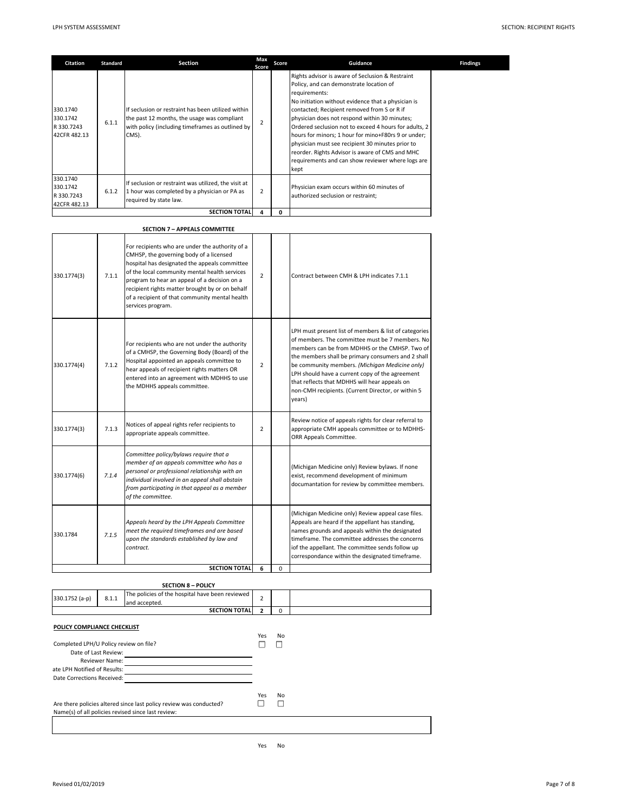| Citation                                           | Standard | <b>Section</b>                                                                                                                                                 | Max<br>Score   | Score | Guidance                                                                                                                                                                                                                                                                                                                                                                                                                                                                                                                                               | <b>Findings</b> |
|----------------------------------------------------|----------|----------------------------------------------------------------------------------------------------------------------------------------------------------------|----------------|-------|--------------------------------------------------------------------------------------------------------------------------------------------------------------------------------------------------------------------------------------------------------------------------------------------------------------------------------------------------------------------------------------------------------------------------------------------------------------------------------------------------------------------------------------------------------|-----------------|
| 330.1740<br>330.1742<br>R 330.7243<br>42CFR 482.13 | 6.1.1    | If seclusion or restraint has been utilized within<br>the past 12 months, the usage was compliant<br>with policy (including timeframes as outlined by<br>CMS). | 2              |       | Rights advisor is aware of Seclusion & Restraint<br>Policy, and can demonstrate location of<br>requirements:<br>No initiation without evidence that a physician is<br>contacted; Recipient removed from S or R if<br>physician does not respond within 30 minutes;<br>Ordered seclusion not to exceed 4 hours for adults, 2<br>hours for minors; 1 hour for mino+F80rs 9 or under;<br>physician must see recipient 30 minutes prior to<br>reorder. Rights Advisor is aware of CMS and MHC<br>requirements and can show reviewer where logs are<br>kept |                 |
| 330.1740<br>330.1742<br>R 330.7243<br>42CFR 482.13 | 6.1.2    | If seclusion or restraint was utilized, the visit at<br>1 hour was completed by a physician or PA as<br>required by state law.                                 | $\overline{2}$ |       | Physician exam occurs within 60 minutes of<br>authorized seclusion or restraint;                                                                                                                                                                                                                                                                                                                                                                                                                                                                       |                 |
|                                                    |          | <b>SECTION TOTAL</b>                                                                                                                                           | 4              | 0     |                                                                                                                                                                                                                                                                                                                                                                                                                                                                                                                                                        |                 |

|             |       | <b>SECTION 7 - APPEALS COMMITTEE</b>                                                                                                                                                                                                                                                                                                                                   |                |   |                                                                                                                                                                                                                                                                                                                                                                                                                                        |
|-------------|-------|------------------------------------------------------------------------------------------------------------------------------------------------------------------------------------------------------------------------------------------------------------------------------------------------------------------------------------------------------------------------|----------------|---|----------------------------------------------------------------------------------------------------------------------------------------------------------------------------------------------------------------------------------------------------------------------------------------------------------------------------------------------------------------------------------------------------------------------------------------|
| 330.1774(3) | 7.1.1 | For recipients who are under the authority of a<br>CMHSP, the governing body of a licensed<br>hospital has designated the appeals committee<br>of the local community mental health services<br>program to hear an appeal of a decision on a<br>recipient rights matter brought by or on behalf<br>of a recipient of that community mental health<br>services program. | $\overline{2}$ |   | Contract between CMH & LPH indicates 7.1.1                                                                                                                                                                                                                                                                                                                                                                                             |
| 330.1774(4) | 7.1.2 | For recipients who are not under the authority<br>of a CMHSP, the Governing Body (Board) of the<br>Hospital appointed an appeals committee to<br>hear appeals of recipient rights matters OR<br>entered into an agreement with MDHHS to use<br>the MDHHS appeals committee.                                                                                            | $\overline{2}$ |   | LPH must present list of members & list of categories<br>of members. The committee must be 7 members. No<br>members can be from MDHHS or the CMHSP. Two of<br>the members shall be primary consumers and 2 shall<br>be community members. (Michigan Medicine only)<br>LPH should have a current copy of the agreement<br>that reflects that MDHHS will hear appeals on<br>non-CMH recipients. (Current Director, or within 5<br>years) |
| 330.1774(3) | 7.1.3 | Notices of appeal rights refer recipients to<br>appropriate appeals committee.                                                                                                                                                                                                                                                                                         | $\overline{2}$ |   | Review notice of appeals rights for clear referral to<br>appropriate CMH appeals committee or to MDHHS-<br>ORR Appeals Committee.                                                                                                                                                                                                                                                                                                      |
| 330.1774(6) | 7.1.4 | Committee policy/bylaws require that a<br>member of an appeals committee who has a<br>personal or professional relationship with an<br>individual involved in an appeal shall abstain<br>from participating in that appeal as a member<br>of the committee.                                                                                                            |                |   | (Michigan Medicine only) Review bylaws. If none<br>exist, recommend development of minimum<br>documantation for review by committee members.                                                                                                                                                                                                                                                                                           |
| 330.1784    | 7.1.5 | Appeals heard by the LPH Appeals Committee<br>meet the required timeframes and are based<br>upon the standards established by law and<br>contract.                                                                                                                                                                                                                     |                |   | (Michigan Medicine only) Review appeal case files.<br>Appeals are heard if the appellant has standing,<br>names grounds and appeals within the designated<br>timeframe. The committee addresses the concerns<br>iof the appellant. The committee sends follow up<br>correspondance within the designated timeframe.                                                                                                                    |
|             |       | <b>SECTION TOTAL</b>                                                                                                                                                                                                                                                                                                                                                   | 6              | 0 |                                                                                                                                                                                                                                                                                                                                                                                                                                        |

# **SECTION 8 – POLICY** 330.1752 (a-p)  $\begin{array}{|l|l|}\n 8.1.1 & \text{The policies of the hospital have been reviewed} \end{array}$  2 **2** 0 **SECTION TOTAL POLICY COMPLIANCE CHECKLIST** Yes No Yes No  $\Box$ Are there policies altered since last policy review was conducted? Name(s) of all policies revised since last review: Completed LPH/U Policy review on file? Date of Last Review: Reviewer Name: ate LPH Notified of Results: Date Corrections Received:

Yes No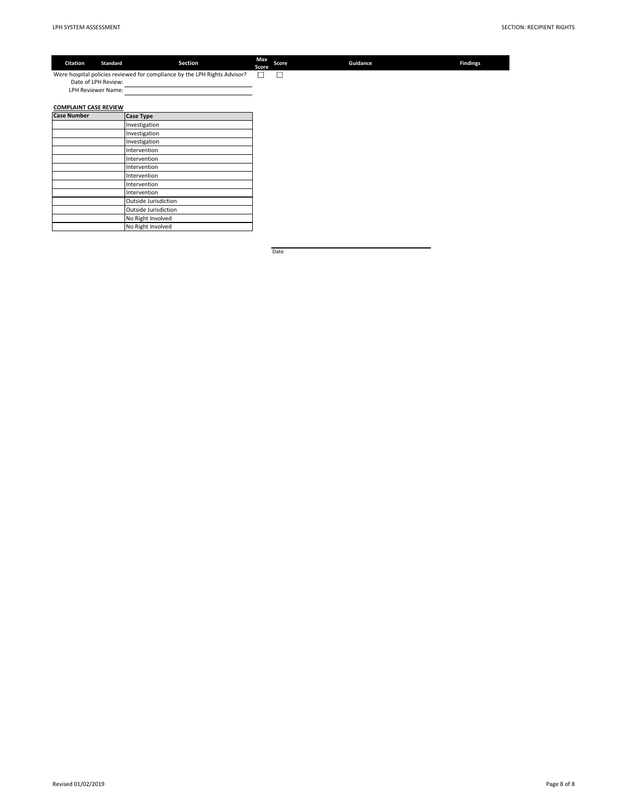| Citation                     | <b>Standard</b> | Section                                                                   | Max<br>Score | Score | Guidance | <b>Findings</b> |
|------------------------------|-----------------|---------------------------------------------------------------------------|--------------|-------|----------|-----------------|
|                              |                 | Were hospital policies reviewed for compliance by the LPH Rights Advisor? |              |       |          |                 |
| Date of LPH Review:          |                 |                                                                           |              |       |          |                 |
| LPH Reviewer Name:           |                 |                                                                           |              |       |          |                 |
|                              |                 |                                                                           |              |       |          |                 |
| <b>COMPLAINT CASE REVIEW</b> |                 |                                                                           |              |       |          |                 |
| <b>Case Number</b>           |                 | <b>Case Type</b>                                                          |              |       |          |                 |
|                              |                 | Investigation                                                             |              |       |          |                 |
|                              |                 | Investigation                                                             |              |       |          |                 |
|                              |                 | Investigation                                                             |              |       |          |                 |
|                              |                 | Intervention                                                              |              |       |          |                 |
|                              |                 | Intervention                                                              |              |       |          |                 |
|                              |                 | Intervention                                                              |              |       |          |                 |
|                              |                 | Intervention                                                              |              |       |          |                 |
|                              |                 | Intervention                                                              |              |       |          |                 |
|                              |                 | Intervention                                                              |              |       |          |                 |
|                              |                 | Outside Jurisdiction                                                      |              |       |          |                 |
|                              |                 | Outside Jurisdiction                                                      |              |       |          |                 |
|                              |                 | No Right Involved                                                         |              |       |          |                 |
|                              |                 | No Right Involved                                                         |              |       |          |                 |

Date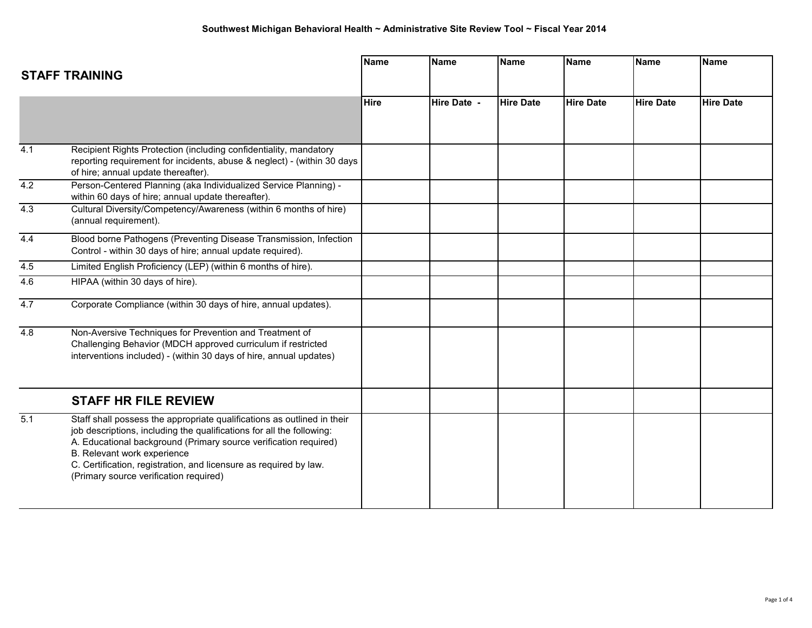|                  |                                                                                                                                                                                                                                                                                                                                                                    | <b>Name</b> | <b>Name</b> | <b>Name</b>      | <b>Name</b>      | <b>Name</b>      | <b>Name</b>      |
|------------------|--------------------------------------------------------------------------------------------------------------------------------------------------------------------------------------------------------------------------------------------------------------------------------------------------------------------------------------------------------------------|-------------|-------------|------------------|------------------|------------------|------------------|
|                  | <b>STAFF TRAINING</b>                                                                                                                                                                                                                                                                                                                                              |             |             |                  |                  |                  |                  |
|                  |                                                                                                                                                                                                                                                                                                                                                                    | <b>Hire</b> | Hire Date - | <b>Hire Date</b> | <b>Hire Date</b> | <b>Hire Date</b> | <b>Hire Date</b> |
|                  |                                                                                                                                                                                                                                                                                                                                                                    |             |             |                  |                  |                  |                  |
| $\overline{4.1}$ | Recipient Rights Protection (including confidentiality, mandatory<br>reporting requirement for incidents, abuse & neglect) - (within 30 days<br>of hire; annual update thereafter).                                                                                                                                                                                |             |             |                  |                  |                  |                  |
| 4.2              | Person-Centered Planning (aka Individualized Service Planning) -<br>within 60 days of hire; annual update thereafter).                                                                                                                                                                                                                                             |             |             |                  |                  |                  |                  |
| 4.3              | Cultural Diversity/Competency/Awareness (within 6 months of hire)<br>(annual requirement).                                                                                                                                                                                                                                                                         |             |             |                  |                  |                  |                  |
| 4.4              | Blood borne Pathogens (Preventing Disease Transmission, Infection<br>Control - within 30 days of hire; annual update required).                                                                                                                                                                                                                                    |             |             |                  |                  |                  |                  |
| 4.5              | Limited English Proficiency (LEP) (within 6 months of hire).                                                                                                                                                                                                                                                                                                       |             |             |                  |                  |                  |                  |
| 4.6              | HIPAA (within 30 days of hire).                                                                                                                                                                                                                                                                                                                                    |             |             |                  |                  |                  |                  |
| 4.7              | Corporate Compliance (within 30 days of hire, annual updates).                                                                                                                                                                                                                                                                                                     |             |             |                  |                  |                  |                  |
| 4.8              | Non-Aversive Techniques for Prevention and Treatment of<br>Challenging Behavior (MDCH approved curriculum if restricted<br>interventions included) - (within 30 days of hire, annual updates)                                                                                                                                                                      |             |             |                  |                  |                  |                  |
|                  | <b>STAFF HR FILE REVIEW</b>                                                                                                                                                                                                                                                                                                                                        |             |             |                  |                  |                  |                  |
| 5.1              | Staff shall possess the appropriate qualifications as outlined in their<br>job descriptions, including the qualifications for all the following:<br>A. Educational background (Primary source verification required)<br>B. Relevant work experience<br>C. Certification, registration, and licensure as required by law.<br>(Primary source verification required) |             |             |                  |                  |                  |                  |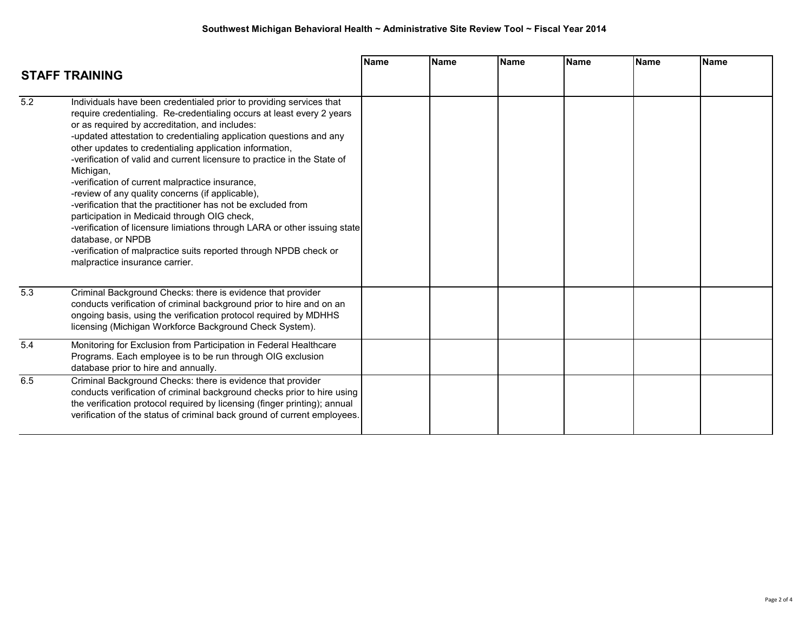|                  | <b>STAFF TRAINING</b>                                                                                                                                                                                                                                                                                                                                                                                                                                                                                                                                                                                                                                                                                                                                                                                                                                     | <b>Name</b> | <b>Name</b> | <b>Name</b> | <b>Name</b> | <b>Name</b> | Name |
|------------------|-----------------------------------------------------------------------------------------------------------------------------------------------------------------------------------------------------------------------------------------------------------------------------------------------------------------------------------------------------------------------------------------------------------------------------------------------------------------------------------------------------------------------------------------------------------------------------------------------------------------------------------------------------------------------------------------------------------------------------------------------------------------------------------------------------------------------------------------------------------|-------------|-------------|-------------|-------------|-------------|------|
| $\overline{5.2}$ | Individuals have been credentialed prior to providing services that<br>require credentialing. Re-credentialing occurs at least every 2 years<br>or as required by accreditation, and includes:<br>-updated attestation to credentialing application questions and any<br>other updates to credentialing application information,<br>-verification of valid and current licensure to practice in the State of<br>Michigan,<br>-verification of current malpractice insurance,<br>-review of any quality concerns (if applicable),<br>-verification that the practitioner has not be excluded from<br>participation in Medicaid through OIG check,<br>-verification of licensure limiations through LARA or other issuing state<br>database, or NPDB<br>-verification of malpractice suits reported through NPDB check or<br>malpractice insurance carrier. |             |             |             |             |             |      |
| $\overline{5.3}$ | Criminal Background Checks: there is evidence that provider<br>conducts verification of criminal background prior to hire and on an<br>ongoing basis, using the verification protocol required by MDHHS<br>licensing (Michigan Workforce Background Check System).                                                                                                                                                                                                                                                                                                                                                                                                                                                                                                                                                                                        |             |             |             |             |             |      |
| 5.4              | Monitoring for Exclusion from Participation in Federal Healthcare<br>Programs. Each employee is to be run through OIG exclusion<br>database prior to hire and annually.                                                                                                                                                                                                                                                                                                                                                                                                                                                                                                                                                                                                                                                                                   |             |             |             |             |             |      |
| 6.5              | Criminal Background Checks: there is evidence that provider<br>conducts verification of criminal background checks prior to hire using<br>the verification protocol required by licensing (finger printing); annual<br>verification of the status of criminal back ground of current employees.                                                                                                                                                                                                                                                                                                                                                                                                                                                                                                                                                           |             |             |             |             |             |      |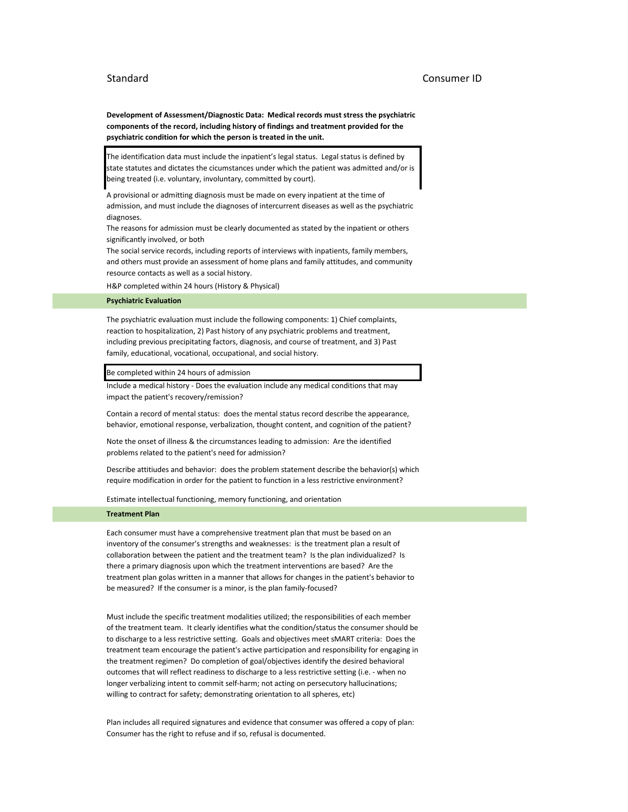## Standard Consumer ID

**Development of Assessment/Diagnostic Data: Medical records must stress the psychiatric components of the record, including history of findings and treatment provided for the psychiatric condition for which the person is treated in the unit.**

The identification data must include the inpatient's legal status. Legal status is defined by state statutes and dictates the cicumstances under which the patient was admitted and/or is being treated (i.e. voluntary, involuntary, committed by court).

A provisional or admitting diagnosis must be made on every inpatient at the time of admission, and must include the diagnoses of intercurrent diseases as well as the psychiatric diagnoses.

The reasons for admission must be clearly documented as stated by the inpatient or others significantly involved, or both

The social service records, including reports of interviews with inpatients, family members, and others must provide an assessment of home plans and family attitudes, and community resource contacts as well as a social history.

H&P completed within 24 hours (History & Physical)

### **Psychiatric Evaluation**

The psychiatric evaluation must include the following components: 1) Chief complaints, reaction to hospitalization, 2) Past history of any psychiatric problems and treatment, including previous precipitating factors, diagnosis, and course of treatment, and 3) Past family, educational, vocational, occupational, and social history.

Be completed within 24 hours of admission

Include a medical history - Does the evaluation include any medical conditions that may impact the patient's recovery/remission?

Contain a record of mental status: does the mental status record describe the appearance, behavior, emotional response, verbalization, thought content, and cognition of the patient?

Note the onset of illness & the circumstances leading to admission: Are the identified problems related to the patient's need for admission?

Describe attitiudes and behavior: does the problem statement describe the behavior(s) which require modification in order for the patient to function in a less restrictive environment?

Estimate intellectual functioning, memory functioning, and orientation

#### **Treatment Plan**

Each consumer must have a comprehensive treatment plan that must be based on an inventory of the consumer's strengths and weaknesses: is the treatment plan a result of collaboration between the patient and the treatment team? Is the plan individualized? Is there a primary diagnosis upon which the treatment interventions are based? Are the treatment plan golas written in a manner that allows for changes in the patient's behavior to be measured? If the consumer is a minor, is the plan family-focused?

Must include the specific treatment modalities utilized; the responsibilities of each member of the treatment team. It clearly identifies what the condition/status the consumer should be to discharge to a less restrictive setting. Goals and objectives meet sMART criteria: Does the treatment team encourage the patient's active participation and responsibility for engaging in the treatment regimen? Do completion of goal/objectives identify the desired behavioral outcomes that will reflect readiness to discharge to a less restrictive setting (i.e. - when no longer verbalizing intent to commit self-harm; not acting on persecutory hallucinations; willing to contract for safety; demonstrating orientation to all spheres, etc)

Plan includes all required signatures and evidence that consumer was offered a copy of plan: Consumer has the right to refuse and if so, refusal is documented.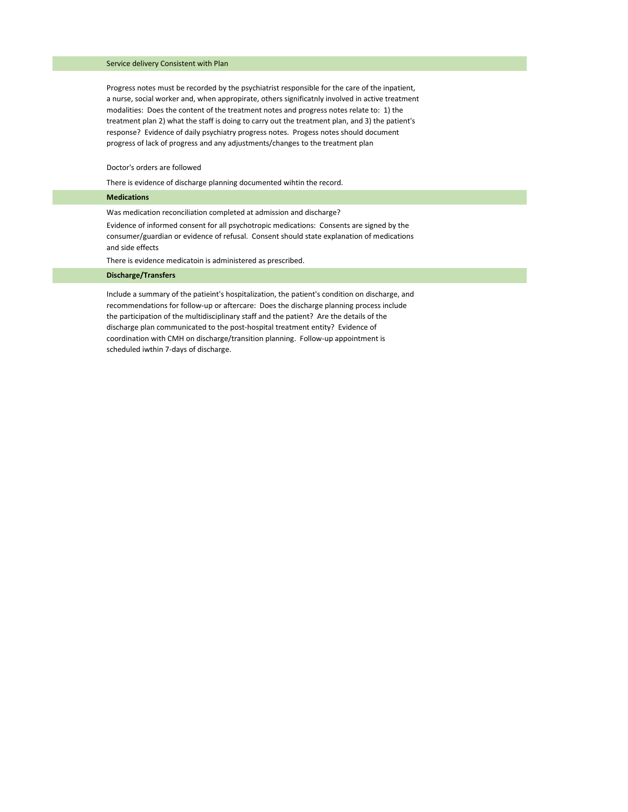## Service delivery Consistent with Plan

Progress notes must be recorded by the psychiatrist responsible for the care of the inpatient, a nurse, social worker and, when appropirate, others significatnly involved in active treatment modalities: Does the content of the treatment notes and progress notes relate to: 1) the treatment plan 2) what the staff is doing to carry out the treatment plan, and 3) the patient's response? Evidence of daily psychiatry progress notes. Progess notes should document progress of lack of progress and any adjustments/changes to the treatment plan

Doctor's orders are followed

There is evidence of discharge planning documented wihtin the record.

| <b>Medications</b>                                                                                                                                                                                         |
|------------------------------------------------------------------------------------------------------------------------------------------------------------------------------------------------------------|
| Was medication reconciliation completed at admission and discharge?                                                                                                                                        |
| Evidence of informed consent for all psychotropic medications: Consents are signed by the<br>consumer/guardian or evidence of refusal. Consent should state explanation of medications<br>and side effects |
| There is evidence medicatoin is administered as prescribed.                                                                                                                                                |
| <b>Discharge/Transfers</b>                                                                                                                                                                                 |
| Include a summary of the patie int's hospitalization, the patient's condition on discharge, and<br>recommendations for follow-up or aftercare: Does the discharge planning process include                 |

recommendations for follow-up or aftercare: Does the discharge planning process include the participation of the multidisciplinary staff and the patient? Are the details of the discharge plan communicated to the post-hospital treatment entity? Evidence of coordination with CMH on discharge/transition planning. Follow-up appointment is scheduled iwthin 7-days of discharge.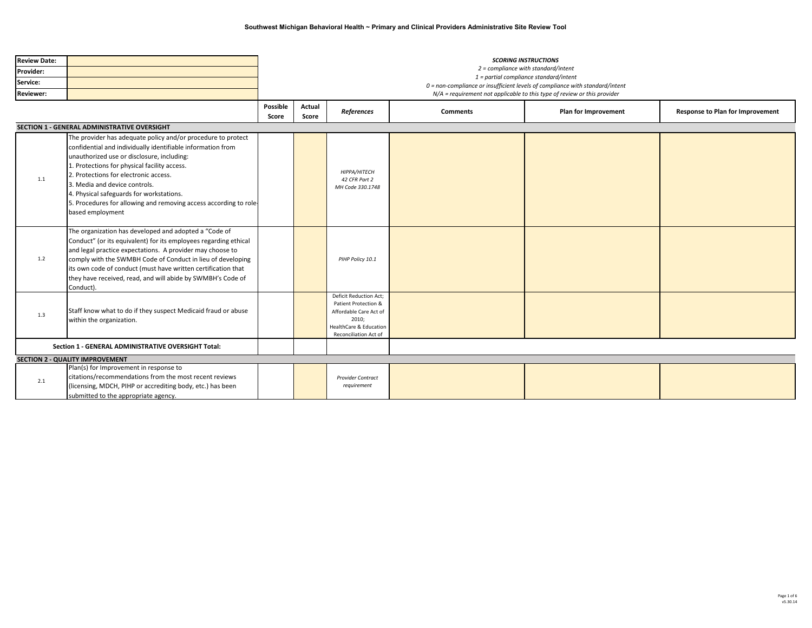| <b>Review Date:</b> |                                                                                                                                                                                                                                                                                                                                                                                                                                          | <b>SCORING INSTRUCTIONS</b>                                                  |                                                                               |                                                                                                                                                               |                 |                                                                            |                                  |  |  |  |
|---------------------|------------------------------------------------------------------------------------------------------------------------------------------------------------------------------------------------------------------------------------------------------------------------------------------------------------------------------------------------------------------------------------------------------------------------------------------|------------------------------------------------------------------------------|-------------------------------------------------------------------------------|---------------------------------------------------------------------------------------------------------------------------------------------------------------|-----------------|----------------------------------------------------------------------------|----------------------------------|--|--|--|
| Provider:           |                                                                                                                                                                                                                                                                                                                                                                                                                                          |                                                                              | 2 = compliance with standard/intent<br>1 = partial compliance standard/intent |                                                                                                                                                               |                 |                                                                            |                                  |  |  |  |
| Service:            |                                                                                                                                                                                                                                                                                                                                                                                                                                          | 0 = non-compliance or insufficient levels of compliance with standard/intent |                                                                               |                                                                                                                                                               |                 |                                                                            |                                  |  |  |  |
| <b>Reviewer:</b>    |                                                                                                                                                                                                                                                                                                                                                                                                                                          |                                                                              |                                                                               |                                                                                                                                                               |                 | $N/A$ = requirement not applicable to this type of review or this provider |                                  |  |  |  |
|                     |                                                                                                                                                                                                                                                                                                                                                                                                                                          | Possible<br>Score                                                            | Actual<br>Score                                                               | References                                                                                                                                                    | <b>Comments</b> | Plan for Improvement                                                       | Response to Plan for Improvement |  |  |  |
|                     | SECTION 1 - GENERAL ADMINISTRATIVE OVERSIGHT                                                                                                                                                                                                                                                                                                                                                                                             |                                                                              |                                                                               |                                                                                                                                                               |                 |                                                                            |                                  |  |  |  |
| 1.1                 | The provider has adequate policy and/or procedure to protect<br>confidential and individually identifiable information from<br>unauthorized use or disclosure, including:<br>1. Protections for physical facility access.<br>2. Protections for electronic access.<br>3. Media and device controls.<br>4. Physical safeguards for workstations.<br>5. Procedures for allowing and removing access according to role-<br>based employment |                                                                              |                                                                               | HIPPA/HITECH<br>42 CFR Part 2<br>MH Code 330.1748                                                                                                             |                 |                                                                            |                                  |  |  |  |
| 1.2                 | The organization has developed and adopted a "Code of<br>Conduct" (or its equivalent) for its employees regarding ethical<br>and legal practice expectations. A provider may choose to<br>comply with the SWMBH Code of Conduct in lieu of developing<br>its own code of conduct (must have written certification that<br>they have received, read, and will abide by SWMBH's Code of<br>Conduct).                                       |                                                                              |                                                                               | PIHP Policy 10.1                                                                                                                                              |                 |                                                                            |                                  |  |  |  |
| 1.3                 | Staff know what to do if they suspect Medicaid fraud or abuse<br>within the organization.                                                                                                                                                                                                                                                                                                                                                |                                                                              |                                                                               | <b>Deficit Reduction Act;</b><br>Patient Protection &<br>Affordable Care Act of<br>2010;<br><b>HealthCare &amp; Education</b><br><b>Reconciliation Act of</b> |                 |                                                                            |                                  |  |  |  |
|                     | Section 1 - GENERAL ADMINISTRATIVE OVERSIGHT Total:                                                                                                                                                                                                                                                                                                                                                                                      |                                                                              |                                                                               |                                                                                                                                                               |                 |                                                                            |                                  |  |  |  |
|                     | <b>SECTION 2 - QUALITY IMPROVEMENT</b>                                                                                                                                                                                                                                                                                                                                                                                                   |                                                                              |                                                                               |                                                                                                                                                               |                 |                                                                            |                                  |  |  |  |
| 2.1                 | Plan(s) for Improvement in response to<br>citations/recommendations from the most recent reviews<br>(licensing, MDCH, PIHP or accrediting body, etc.) has been<br>submitted to the appropriate agency.                                                                                                                                                                                                                                   |                                                                              |                                                                               | <b>Provider Contract</b><br>requirement                                                                                                                       |                 |                                                                            |                                  |  |  |  |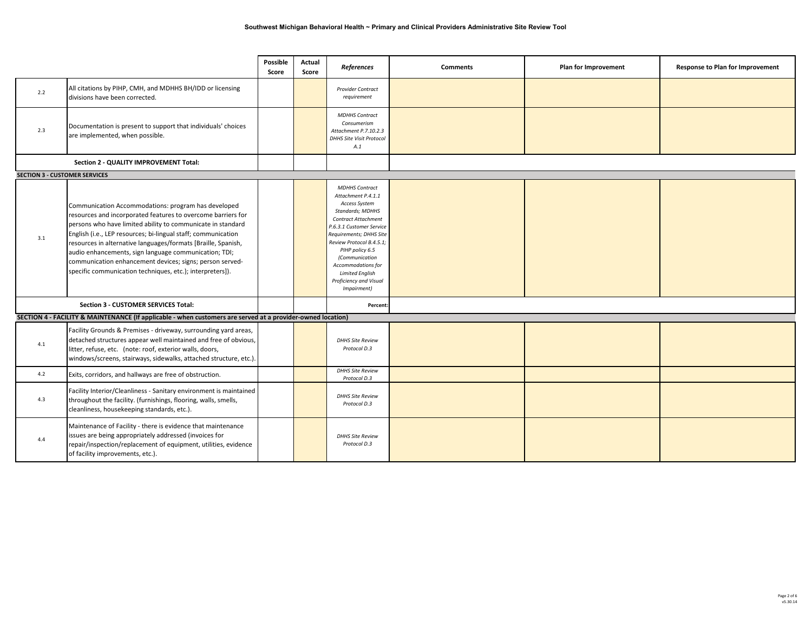|                                      |                                                                                                                                                                                                                                                                                                                                                                                                                                                                                                        | <b>Possible</b><br>Score | Actual<br>Score | References                                                                                                                                                                                                                                                                                                                             | <b>Comments</b> | Plan for Improvement | Response to Plan for Improvement |
|--------------------------------------|--------------------------------------------------------------------------------------------------------------------------------------------------------------------------------------------------------------------------------------------------------------------------------------------------------------------------------------------------------------------------------------------------------------------------------------------------------------------------------------------------------|--------------------------|-----------------|----------------------------------------------------------------------------------------------------------------------------------------------------------------------------------------------------------------------------------------------------------------------------------------------------------------------------------------|-----------------|----------------------|----------------------------------|
| 2.2                                  | All citations by PIHP, CMH, and MDHHS BH/IDD or licensing<br>divisions have been corrected.                                                                                                                                                                                                                                                                                                                                                                                                            |                          |                 | <b>Provider Contract</b><br>requirement                                                                                                                                                                                                                                                                                                |                 |                      |                                  |
| 2.3                                  | Documentation is present to support that individuals' choices<br>are implemented, when possible.                                                                                                                                                                                                                                                                                                                                                                                                       |                          |                 | <b>MDHHS Contract</b><br>Consumerism<br>Attachment P.7.10.2.3<br>DHHS Site Visit Protocol<br>A.1                                                                                                                                                                                                                                       |                 |                      |                                  |
|                                      | Section 2 - QUALITY IMPROVEMENT Total:                                                                                                                                                                                                                                                                                                                                                                                                                                                                 |                          |                 |                                                                                                                                                                                                                                                                                                                                        |                 |                      |                                  |
| <b>SECTION 3 - CUSTOMER SERVICES</b> |                                                                                                                                                                                                                                                                                                                                                                                                                                                                                                        |                          |                 |                                                                                                                                                                                                                                                                                                                                        |                 |                      |                                  |
| 3.1                                  | Communication Accommodations: program has developed<br>resources and incorporated features to overcome barriers for<br>persons who have limited ability to communicate in standard<br>English (i.e., LEP resources; bi-lingual staff; communication<br>resources in alternative languages/formats [Braille, Spanish,<br>audio enhancements, sign language communication; TDI;<br>communication enhancement devices; signs; person served-<br>specific communication techniques, etc.); interpreters]). |                          |                 | <b>MDHHS Contract</b><br>Attachment P.4.1.1<br>Access System<br>Standards; MDHHS<br><b>Contract Attachment</b><br>P.6.3.1 Customer Service<br>Requirements; DHHS Site<br>Review Protocol B.4.5.1;<br>PIHP policy 6.5<br>(Communication<br><b>Accommodations for</b><br><b>Limited English</b><br>Proficiency and Visual<br>Impairment) |                 |                      |                                  |
|                                      | <b>Section 3 - CUSTOMER SERVICES Total:</b>                                                                                                                                                                                                                                                                                                                                                                                                                                                            |                          |                 | Percent:                                                                                                                                                                                                                                                                                                                               |                 |                      |                                  |
|                                      | SECTION 4 - FACILITY & MAINTENANCE (If applicable - when customers are served at a provider-owned location)                                                                                                                                                                                                                                                                                                                                                                                            |                          |                 |                                                                                                                                                                                                                                                                                                                                        |                 |                      |                                  |
| 4.1                                  | Facility Grounds & Premises - driveway, surrounding yard areas,<br>detached structures appear well maintained and free of obvious,<br>litter, refuse, etc. (note: roof, exterior walls, doors,<br>windows/screens, stairways, sidewalks, attached structure, etc.).                                                                                                                                                                                                                                    |                          |                 | <b>DHHS Site Review</b><br>Protocol D.3                                                                                                                                                                                                                                                                                                |                 |                      |                                  |
| 4.2                                  | Exits, corridors, and hallways are free of obstruction.                                                                                                                                                                                                                                                                                                                                                                                                                                                |                          |                 | <b>DHHS Site Review</b><br>Protocol D.3                                                                                                                                                                                                                                                                                                |                 |                      |                                  |
| 4.3                                  | Facility Interior/Cleanliness - Sanitary environment is maintained<br>throughout the facility. (furnishings, flooring, walls, smells,<br>cleanliness, housekeeping standards, etc.).                                                                                                                                                                                                                                                                                                                   |                          |                 | <b>DHHS Site Review</b><br>Protocol D.3                                                                                                                                                                                                                                                                                                |                 |                      |                                  |
| 4.4                                  | Maintenance of Facility - there is evidence that maintenance<br>issues are being appropriately addressed (invoices for<br>repair/inspection/replacement of equipment, utilities, evidence<br>of facility improvements, etc.).                                                                                                                                                                                                                                                                          |                          |                 | <b>DHHS Site Review</b><br>Protocol D.3                                                                                                                                                                                                                                                                                                |                 |                      |                                  |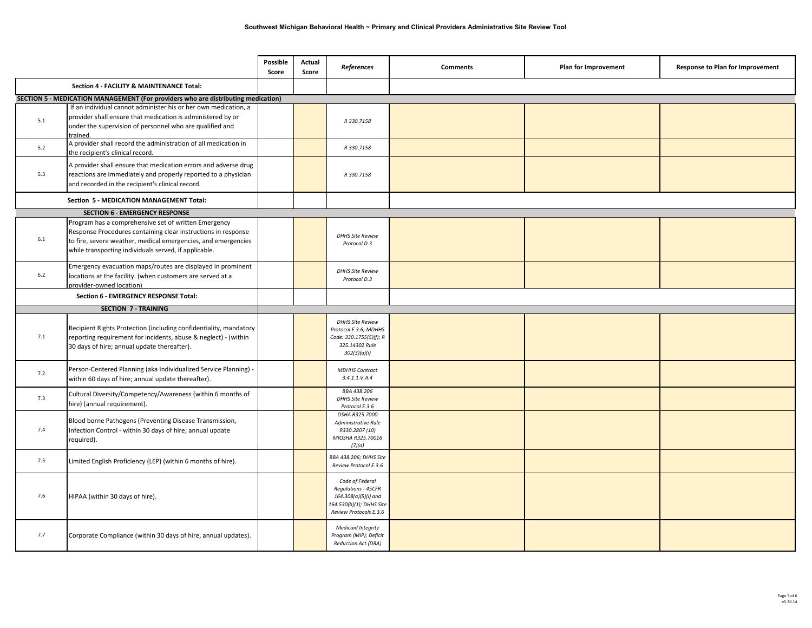|     |                                                                                                                                                                                                                                                 | Possible<br>Score | Actual<br>Score | References                                                                                                           | <b>Comments</b> | Plan for Improvement | Response to Plan for Improvement |
|-----|-------------------------------------------------------------------------------------------------------------------------------------------------------------------------------------------------------------------------------------------------|-------------------|-----------------|----------------------------------------------------------------------------------------------------------------------|-----------------|----------------------|----------------------------------|
|     | Section 4 - FACILITY & MAINTENANCE Total:                                                                                                                                                                                                       |                   |                 |                                                                                                                      |                 |                      |                                  |
|     | SECTION 5 - MEDICATION MANAGEMENT (For providers who are distributing medication)                                                                                                                                                               |                   |                 |                                                                                                                      |                 |                      |                                  |
| 5.1 | If an individual cannot administer his or her own medication, a<br>provider shall ensure that medication is administered by or<br>under the supervision of personnel who are qualified and<br>trained.                                          |                   |                 | R 330.7158                                                                                                           |                 |                      |                                  |
| 5.2 | A provider shall record the administration of all medication in<br>the recipient's clinical record.                                                                                                                                             |                   |                 | R 330.7158                                                                                                           |                 |                      |                                  |
| 5.3 | A provider shall ensure that medication errors and adverse drug<br>reactions are immediately and properly reported to a physician<br>and recorded in the recipient's clinical record.                                                           |                   |                 | R 330.7158                                                                                                           |                 |                      |                                  |
|     | Section 5 - MEDICATION MANAGEMENT Total:                                                                                                                                                                                                        |                   |                 |                                                                                                                      |                 |                      |                                  |
|     | <b>SECTION 6 - EMERGENCY RESPONSE</b>                                                                                                                                                                                                           |                   |                 |                                                                                                                      |                 |                      |                                  |
| 6.1 | Program has a comprehensive set of written Emergency<br>Response Procedures containing clear instructions in response<br>to fire, severe weather, medical emergencies, and emergencies<br>while transporting individuals served, if applicable. |                   |                 | <b>DHHS Site Review</b><br>Protocol D.3                                                                              |                 |                      |                                  |
| 6.2 | Emergency evacuation maps/routes are displayed in prominent<br>locations at the facility. (when customers are served at a<br>provider-owned location)                                                                                           |                   |                 | <b>DHHS Site Review</b><br>Protocol D.3                                                                              |                 |                      |                                  |
|     | Section 6 - EMERGENCY RESPONSE Total:                                                                                                                                                                                                           |                   |                 |                                                                                                                      |                 |                      |                                  |
|     | <b>SECTION 7 - TRAINING</b>                                                                                                                                                                                                                     |                   |                 |                                                                                                                      |                 |                      |                                  |
| 7.1 | Recipient Rights Protection (including confidentiality, mandatory<br>reporting requirement for incidents, abuse & neglect) - (within<br>30 days of hire; annual update thereafter).                                                             |                   |                 | <b>DHHS Site Review</b><br>Protocol E.3.6; MDHHS<br>Code: 330.1755(5)(f); R<br>325.14302 Rule<br>302(3)(a)(i)        |                 |                      |                                  |
| 7.2 | Person-Centered Planning (aka Individualized Service Planning) -<br>within 60 days of hire; annual update thereafter).                                                                                                                          |                   |                 | <b>MDHHS Contract</b><br>3.4.1.1. V.A.4                                                                              |                 |                      |                                  |
| 7.3 | Cultural Diversity/Competency/Awareness (within 6 months of<br>hire) (annual requirement).                                                                                                                                                      |                   |                 | BBA 438.206<br><b>DHHS Site Review</b><br>Protocol E.3.6                                                             |                 |                      |                                  |
| 7.4 | Blood borne Pathogens (Preventing Disease Transmission,<br>Infection Control - within 30 days of hire; annual update<br>required).                                                                                                              |                   |                 | OSHA R325.7000<br>Administrative Rule<br>R330.2807 (10)<br>MIOSHA R325.70016<br>(7)(a)                               |                 |                      |                                  |
| 7.5 | Limited English Proficiency (LEP) (within 6 months of hire).                                                                                                                                                                                    |                   |                 | <b>BBA 438.206; DHHS Site</b><br>Review Protocol E.3.6                                                               |                 |                      |                                  |
| 7.6 | HIPAA (within 30 days of hire).                                                                                                                                                                                                                 |                   |                 | Code of Federal<br>Regulations - 45CFR<br>164.308(a)(5)(i) and<br>164.530(b)(1); DHHS Site<br>Review Protocols E.3.6 |                 |                      |                                  |
| 7.7 | Corporate Compliance (within 30 days of hire, annual updates).                                                                                                                                                                                  |                   |                 | <b>Medicaid Integrity</b><br>Program (MIP); Deficit<br>Reduction Act (DRA)                                           |                 |                      |                                  |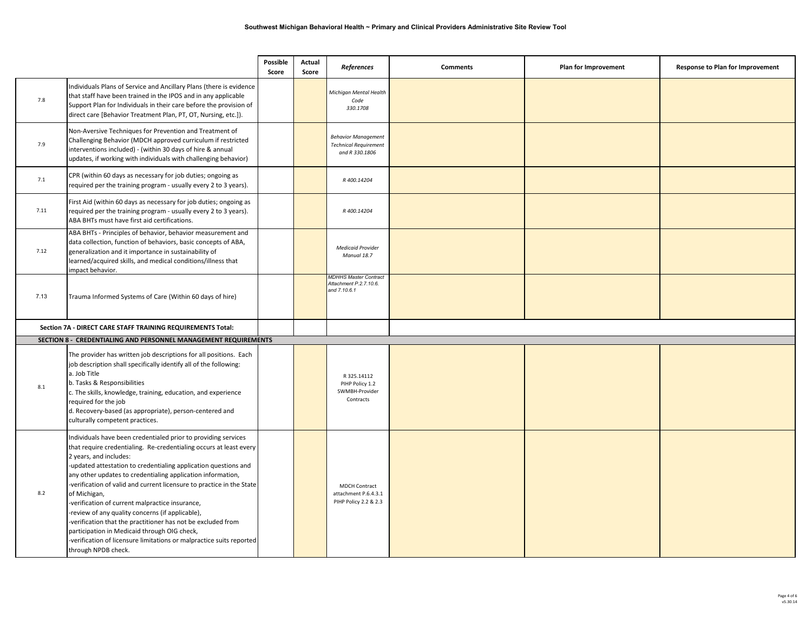|         |                                                                                                                                                                                                                                                                                                                                                                                                                                                                                                                                                                                                                                                                                                           | Possible<br>Score | Actual<br>Score | References                                                                   | <b>Comments</b> | Plan for Improvement | Response to Plan for Improvement |
|---------|-----------------------------------------------------------------------------------------------------------------------------------------------------------------------------------------------------------------------------------------------------------------------------------------------------------------------------------------------------------------------------------------------------------------------------------------------------------------------------------------------------------------------------------------------------------------------------------------------------------------------------------------------------------------------------------------------------------|-------------------|-----------------|------------------------------------------------------------------------------|-----------------|----------------------|----------------------------------|
| $7.8\,$ | Individuals Plans of Service and Ancillary Plans (there is evidence<br>that staff have been trained in the IPOS and in any applicable<br>Support Plan for Individuals in their care before the provision of<br>direct care [Behavior Treatment Plan, PT, OT, Nursing, etc.]).                                                                                                                                                                                                                                                                                                                                                                                                                             |                   |                 | Michigan Mental Health<br>Code<br>330.1708                                   |                 |                      |                                  |
| 7.9     | Non-Aversive Techniques for Prevention and Treatment of<br>Challenging Behavior (MDCH approved curriculum if restricted<br>interventions included) - (within 30 days of hire & annual<br>updates, if working with individuals with challenging behavior)                                                                                                                                                                                                                                                                                                                                                                                                                                                  |                   |                 | <b>Behavior Management</b><br><b>Technical Requirement</b><br>and R 330.1806 |                 |                      |                                  |
| 7.1     | CPR (within 60 days as necessary for job duties; ongoing as<br>required per the training program - usually every 2 to 3 years).                                                                                                                                                                                                                                                                                                                                                                                                                                                                                                                                                                           |                   |                 | R 400.14204                                                                  |                 |                      |                                  |
| 7.11    | First Aid (within 60 days as necessary for job duties; ongoing as<br>required per the training program - usually every 2 to 3 years).<br>ABA BHTs must have first aid certifications.                                                                                                                                                                                                                                                                                                                                                                                                                                                                                                                     |                   |                 | R 400.14204                                                                  |                 |                      |                                  |
| 7.12    | ABA BHTs - Principles of behavior, behavior measurement and<br>data collection, function of behaviors, basic concepts of ABA,<br>generalization and it importance in sustainability of<br>learned/acquired skills, and medical conditions/illness that<br>mpact behavior.                                                                                                                                                                                                                                                                                                                                                                                                                                 |                   |                 | <b>Medicaid Provider</b><br>Manual 18.7                                      |                 |                      |                                  |
| 7.13    | Trauma Informed Systems of Care (Within 60 days of hire)                                                                                                                                                                                                                                                                                                                                                                                                                                                                                                                                                                                                                                                  |                   |                 | <b>MDHHS Master Contract</b><br>Attachment P.2.7.10.6.<br>and 7.10.6.1       |                 |                      |                                  |
|         | Section 7A - DIRECT CARE STAFF TRAINING REQUIREMENTS Total:                                                                                                                                                                                                                                                                                                                                                                                                                                                                                                                                                                                                                                               |                   |                 |                                                                              |                 |                      |                                  |
|         | SECTION 8 - CREDENTIALING AND PERSONNEL MANAGEMENT REQUIREMENTS                                                                                                                                                                                                                                                                                                                                                                                                                                                                                                                                                                                                                                           |                   |                 |                                                                              |                 |                      |                                  |
| 8.1     | The provider has written job descriptions for all positions. Each<br>job description shall specifically identify all of the following:<br>a. Job Title<br>b. Tasks & Responsibilities<br>c. The skills, knowledge, training, education, and experience<br>required for the job<br>d. Recovery-based (as appropriate), person-centered and<br>culturally competent practices.                                                                                                                                                                                                                                                                                                                              |                   |                 | R 325.14112<br>PIHP Policy 1.2<br>SWMBH-Provider<br>Contracts                |                 |                      |                                  |
| 8.2     | ndividuals have been credentialed prior to providing services<br>that require credentialing. Re-credentialing occurs at least every<br>2 years, and includes:<br>updated attestation to credentialing application questions and<br>any other updates to credentialing application information,<br>-verification of valid and current licensure to practice in the State<br>of Michigan,<br>verification of current malpractice insurance,<br>review of any quality concerns (if applicable),<br>verification that the practitioner has not be excluded from<br>participation in Medicaid through OIG check,<br>verification of licensure limitations or malpractice suits reported<br>through NPDB check. |                   |                 | <b>MDCH Contract</b><br>attachment P.6.4.3.1<br>PIHP Policy 2.2 & 2.3        |                 |                      |                                  |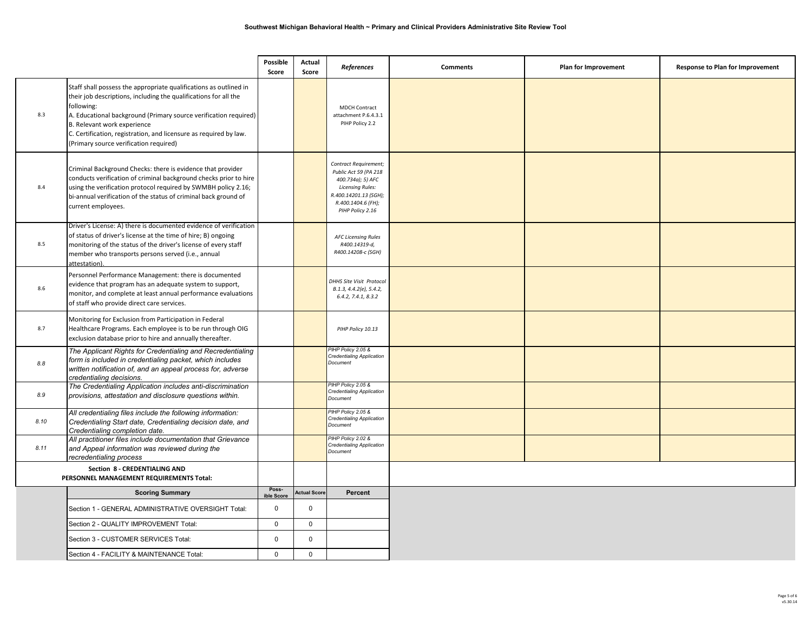|      |                                                                                                                                                                                                                                                                                                                                                                       | Possible<br>Score | Actual<br>Score    | References                                                                                                                                                        | <b>Comments</b> | Plan for Improvement | Response to Plan for Improvement |
|------|-----------------------------------------------------------------------------------------------------------------------------------------------------------------------------------------------------------------------------------------------------------------------------------------------------------------------------------------------------------------------|-------------------|--------------------|-------------------------------------------------------------------------------------------------------------------------------------------------------------------|-----------------|----------------------|----------------------------------|
| 8.3  | Staff shall possess the appropriate qualifications as outlined in<br>their job descriptions, including the qualifications for all the<br>following:<br>A. Educational background (Primary source verification required)<br>B. Relevant work experience<br>C. Certification, registration, and licensure as required by law.<br>(Primary source verification required) |                   |                    | MDCH Contract<br>attachment P.6.4.3.1<br>PIHP Policy 2.2                                                                                                          |                 |                      |                                  |
| 8.4  | Criminal Background Checks: there is evidence that provider<br>conducts verification of criminal background checks prior to hire<br>using the verification protocol required by SWMBH policy 2.16;<br>bi-annual verification of the status of criminal back ground of<br>current employees.                                                                           |                   |                    | Contract Requirement;<br>Public Act 59 (PA 218<br>400.734a); 5) AFC<br><b>Licensing Rules:</b><br>R.400.14201.13 (SGH);<br>R.400.1404.6 (FH);<br>PIHP Policy 2.16 |                 |                      |                                  |
| 8.5  | Driver's License: A) there is documented evidence of verification<br>of status of driver's license at the time of hire; B) ongoing<br>monitoring of the status of the driver's license of every staff<br>member who transports persons served (i.e., annual<br>attestation).                                                                                          |                   |                    | <b>AFC Licensing Rules</b><br>R400.14319-d,<br>R400.14208-c (SGH)                                                                                                 |                 |                      |                                  |
| 8.6  | Personnel Performance Management: there is documented<br>evidence that program has an adequate system to support,<br>monitor, and complete at least annual performance evaluations<br>of staff who provide direct care services.                                                                                                                                      |                   |                    | DHHS Site Visit Protocol<br>B.1.3, 4.4.2(e), 5.4.2,<br>6.4.2, 7.4.1, 8.3.2                                                                                        |                 |                      |                                  |
| 8.7  | Monitoring for Exclusion from Participation in Federal<br>Healthcare Programs. Each employee is to be run through OIG<br>exclusion database prior to hire and annually thereafter.                                                                                                                                                                                    |                   |                    | PIHP Policy 10.13                                                                                                                                                 |                 |                      |                                  |
| 8.8  | The Applicant Rights for Credentialing and Recredentialing<br>form is included in credentialing packet, which includes<br>written notification of, and an appeal process for, adverse<br>credentialing decisions.                                                                                                                                                     |                   |                    | PIHP Policy 2.05 &<br>Credentialing Application<br>Document                                                                                                       |                 |                      |                                  |
| 8.9  | The Credentialing Application includes anti-discrimination<br>provisions, attestation and disclosure questions within.                                                                                                                                                                                                                                                |                   |                    | PIHP Policy 2.05 &<br>Credentialing Application<br>Document                                                                                                       |                 |                      |                                  |
| 8.10 | All credentialing files include the following information:<br>Credentialing Start date, Credentialing decision date, and<br>Credentialing completion date.                                                                                                                                                                                                            |                   |                    | PIHP Policy 2.05 &<br>Credentialing Application<br>Document                                                                                                       |                 |                      |                                  |
| 8.11 | All practitioner files include documentation that Grievance<br>and Appeal information was reviewed during the<br>recredentialing process                                                                                                                                                                                                                              |                   |                    | PIHP Policy 2.02 &<br>Credentialing Application<br>Document                                                                                                       |                 |                      |                                  |
|      | Section 8 - CREDENTIALING AND<br>PERSONNEL MANAGEMENT REQUIREMENTS Total:                                                                                                                                                                                                                                                                                             |                   |                    |                                                                                                                                                                   |                 |                      |                                  |
|      |                                                                                                                                                                                                                                                                                                                                                                       | Poss-             | <b>Actual Scor</b> | Percent                                                                                                                                                           |                 |                      |                                  |
|      | <b>Scoring Summary</b>                                                                                                                                                                                                                                                                                                                                                | ible Sco          |                    |                                                                                                                                                                   |                 |                      |                                  |
|      | Section 1 - GENERAL ADMINISTRATIVE OVERSIGHT Total:                                                                                                                                                                                                                                                                                                                   | 0                 | 0                  |                                                                                                                                                                   |                 |                      |                                  |
|      | Section 2 - QUALITY IMPROVEMENT Total:                                                                                                                                                                                                                                                                                                                                | $\mathbf 0$       | $\mathbf 0$        |                                                                                                                                                                   |                 |                      |                                  |
|      | Section 3 - CUSTOMER SERVICES Total:                                                                                                                                                                                                                                                                                                                                  | 0                 | $\mathbf 0$        |                                                                                                                                                                   |                 |                      |                                  |
|      | Section 4 - FACILITY & MAINTENANCE Total:                                                                                                                                                                                                                                                                                                                             | $\Omega$          | $\mathbf 0$        |                                                                                                                                                                   |                 |                      |                                  |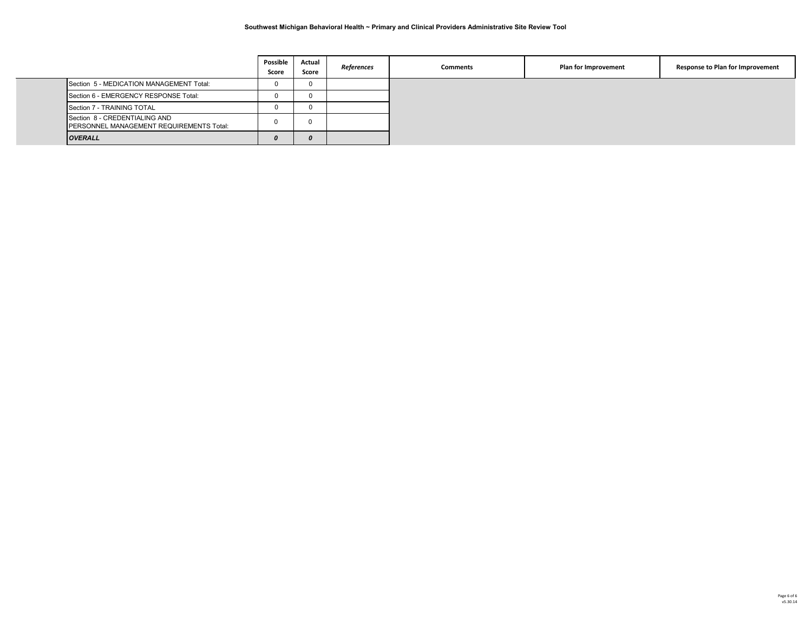|                                                                           | Possible<br>Score | Actual<br>Score | References | <b>Comments</b> | Plan for Improvement | Response to Plan for Improvement |
|---------------------------------------------------------------------------|-------------------|-----------------|------------|-----------------|----------------------|----------------------------------|
| Section 5 - MEDICATION MANAGEMENT Total:                                  |                   |                 |            |                 |                      |                                  |
| Section 6 - EMERGENCY RESPONSE Total:                                     |                   | 0               |            |                 |                      |                                  |
| Section 7 - TRAINING TOTAL                                                |                   |                 |            |                 |                      |                                  |
| Section 8 - CREDENTIALING AND<br>PERSONNEL MANAGEMENT REQUIREMENTS Total: | 0                 |                 |            |                 |                      |                                  |
| <b>OVERALL</b>                                                            |                   | 0               |            |                 |                      |                                  |